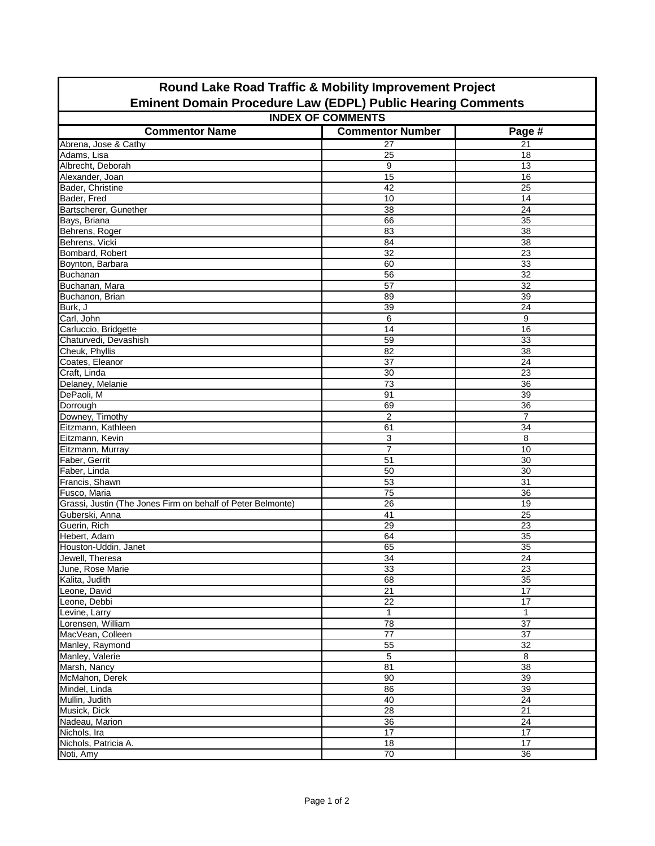| <b>Nound Land Noud Trains &amp; Mobility Improvement Fojcot</b><br><b>Eminent Domain Procedure Law (EDPL) Public Hearing Comments</b> |                         |                 |  |  |  |  |
|---------------------------------------------------------------------------------------------------------------------------------------|-------------------------|-----------------|--|--|--|--|
| <b>INDEX OF COMMENTS</b>                                                                                                              |                         |                 |  |  |  |  |
| <b>Commentor Name</b>                                                                                                                 | <b>Commentor Number</b> | Page #          |  |  |  |  |
| Abrena, Jose & Cathy                                                                                                                  | 27                      | 21              |  |  |  |  |
| Adams, Lisa                                                                                                                           | 25                      | 18              |  |  |  |  |
| Albrecht, Deborah                                                                                                                     | 9                       | 13              |  |  |  |  |
| Alexander, Joan                                                                                                                       | $\overline{15}$         | 16              |  |  |  |  |
| Bader, Christine                                                                                                                      | 42                      | 25              |  |  |  |  |
| Bader, Fred                                                                                                                           | 10                      | 14              |  |  |  |  |
| Bartscherer, Gunether                                                                                                                 | 38                      | 24              |  |  |  |  |
| Bays, Briana                                                                                                                          | 66                      | 35              |  |  |  |  |
| Behrens, Roger                                                                                                                        | 83                      | 38              |  |  |  |  |
| Behrens, Vicki                                                                                                                        | 84                      | 38              |  |  |  |  |
| Bombard, Robert                                                                                                                       | 32                      | 23              |  |  |  |  |
|                                                                                                                                       |                         |                 |  |  |  |  |
| Boynton, Barbara                                                                                                                      | 60                      | 33              |  |  |  |  |
| <b>Buchanan</b>                                                                                                                       | 56                      | 32              |  |  |  |  |
| Buchanan, Mara                                                                                                                        | $\overline{57}$         | $\overline{32}$ |  |  |  |  |
| Buchanon, Brian                                                                                                                       | 89                      | 39              |  |  |  |  |
| Burk, J                                                                                                                               | 39                      | 24              |  |  |  |  |
| Carl, John                                                                                                                            | 6                       | 9               |  |  |  |  |
| Carluccio, Bridgette                                                                                                                  | 14                      | 16              |  |  |  |  |
| Chaturvedi, Devashish                                                                                                                 | 59                      | 33              |  |  |  |  |
| Cheuk, Phyllis                                                                                                                        | 82                      | 38              |  |  |  |  |
| Coates, Eleanor                                                                                                                       | 37                      | 24              |  |  |  |  |
| Craft, Linda                                                                                                                          | 30                      | 23              |  |  |  |  |
| Delaney, Melanie                                                                                                                      | 73                      | 36              |  |  |  |  |
| DePaoli, M                                                                                                                            | 91                      | 39              |  |  |  |  |
| Dorrough                                                                                                                              | 69                      | 36              |  |  |  |  |
| Downey, Timothy                                                                                                                       | $\overline{2}$          | $\overline{7}$  |  |  |  |  |
| Eitzmann, Kathleen                                                                                                                    | 61                      | 34              |  |  |  |  |
| Eitzmann, Kevin                                                                                                                       | 3                       | 8               |  |  |  |  |
| Eitzmann, Murray                                                                                                                      | $\overline{7}$          | 10              |  |  |  |  |
| Faber, Gerrit                                                                                                                         | 51                      | 30              |  |  |  |  |
| Faber, Linda                                                                                                                          | 50                      | 30              |  |  |  |  |
| Francis, Shawn                                                                                                                        | 53                      | 31              |  |  |  |  |
| Fusco, Maria                                                                                                                          | 75                      | 36              |  |  |  |  |
| Grassi, Justin (The Jones Firm on behalf of Peter Belmonte)                                                                           | $\overline{26}$         | $\overline{19}$ |  |  |  |  |
| Guberski, Anna                                                                                                                        | $\overline{41}$         | $\overline{25}$ |  |  |  |  |
| Guerin, Rich                                                                                                                          | $\overline{29}$         | $\overline{23}$ |  |  |  |  |
| Hebert, Adam                                                                                                                          | 64                      | 35              |  |  |  |  |
| Houston-Uddin, Janet                                                                                                                  | 65                      | $\overline{35}$ |  |  |  |  |
| Jewell, Theresa                                                                                                                       | $\overline{34}$         | $\overline{24}$ |  |  |  |  |
| June, Rose Marie                                                                                                                      | 33                      | $\overline{23}$ |  |  |  |  |
| Kalita, Judith                                                                                                                        | 68                      | $\overline{35}$ |  |  |  |  |
| Leone, David                                                                                                                          | $\overline{21}$         | $\overline{17}$ |  |  |  |  |
| Leone, Debbi                                                                                                                          | 22                      | 17              |  |  |  |  |
| Levine, Larry                                                                                                                         | $\mathbf{1}$            | $\mathbf{1}$    |  |  |  |  |
| Lorensen, William                                                                                                                     | $\overline{78}$         | $\overline{37}$ |  |  |  |  |
| MacVean, Colleen                                                                                                                      | $\overline{77}$         | 37              |  |  |  |  |
| Manley, Raymond                                                                                                                       | 55                      | 32              |  |  |  |  |
| Manley, Valerie                                                                                                                       | 5                       | 8               |  |  |  |  |
| Marsh, Nancy                                                                                                                          | 81                      | 38              |  |  |  |  |
| McMahon, Derek                                                                                                                        | 90                      | 39              |  |  |  |  |
| Mindel, Linda                                                                                                                         | 86                      | 39              |  |  |  |  |
| Mullin, Judith                                                                                                                        | 40                      | 24              |  |  |  |  |
| Musick, Dick                                                                                                                          | 28                      | 21              |  |  |  |  |
| Nadeau, Marion                                                                                                                        | 36                      | 24              |  |  |  |  |
| Nichols, Ira                                                                                                                          | $\overline{17}$         | $\overline{17}$ |  |  |  |  |
| Nichols, Patricia A.                                                                                                                  | 18                      | 17              |  |  |  |  |
| Noti, Amy                                                                                                                             | 70                      | 36              |  |  |  |  |
|                                                                                                                                       |                         |                 |  |  |  |  |

## **Round Lake Road Traffic & Mobility Improvement Project**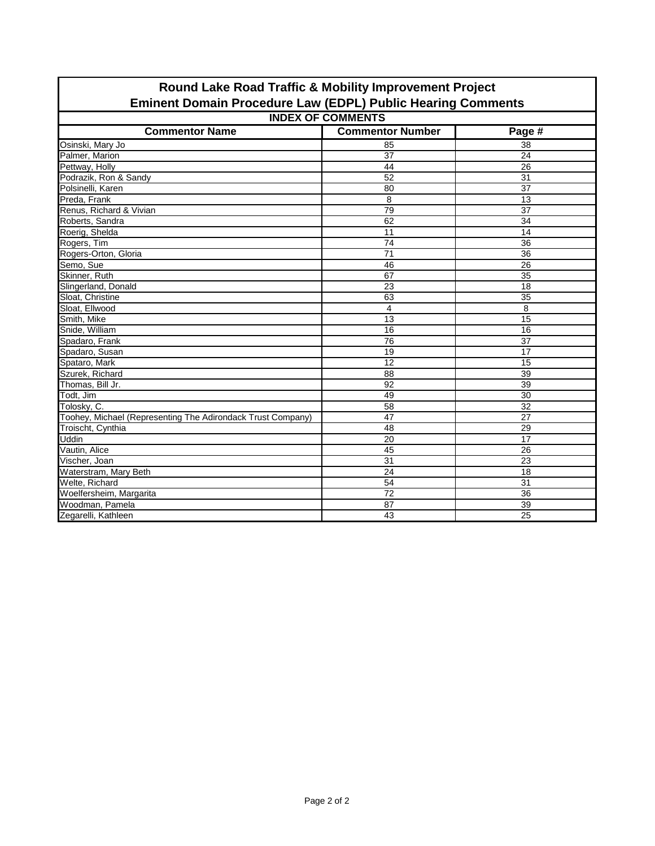| <b>Eminent Domain Procedure Law (EDPL) Public Hearing Comments</b> |                         |                 |  |  |  |  |
|--------------------------------------------------------------------|-------------------------|-----------------|--|--|--|--|
| <b>INDEX OF COMMENTS</b>                                           |                         |                 |  |  |  |  |
| <b>Commentor Name</b>                                              | <b>Commentor Number</b> | Page #          |  |  |  |  |
| Osinski, Mary Jo                                                   | 85                      | 38              |  |  |  |  |
| Palmer, Marion                                                     | $\overline{37}$         | $\overline{24}$ |  |  |  |  |
| Pettway, Holly                                                     | $\overline{44}$         | $\overline{26}$ |  |  |  |  |
| Podrazik, Ron & Sandy                                              | 52                      | $\overline{31}$ |  |  |  |  |
| Polsinelli, Karen                                                  | 80                      | $\overline{37}$ |  |  |  |  |
| Preda, Frank                                                       | 8                       | 13              |  |  |  |  |
| Renus, Richard & Vivian                                            | 79                      | 37              |  |  |  |  |
| Roberts, Sandra                                                    | 62                      | $\overline{34}$ |  |  |  |  |
| Roerig, Shelda                                                     | 11                      | 14              |  |  |  |  |
| Rogers, Tim                                                        | $\overline{74}$         | 36              |  |  |  |  |
| Rogers-Orton, Gloria                                               | $\overline{71}$         | $\overline{36}$ |  |  |  |  |
| Semo, Sue                                                          | 46                      | $\overline{26}$ |  |  |  |  |
| Skinner, Ruth                                                      | $\overline{67}$         | 35              |  |  |  |  |
| Slingerland, Donald                                                | $\overline{23}$         | $\overline{18}$ |  |  |  |  |
| Sloat, Christine                                                   | 63                      | $\overline{35}$ |  |  |  |  |
| Sloat, Ellwood                                                     | 4                       | 8               |  |  |  |  |
| Smith, Mike                                                        | 13                      | 15              |  |  |  |  |
| Snide, William                                                     | 16                      | 16              |  |  |  |  |
| Spadaro, Frank                                                     | 76                      | 37              |  |  |  |  |
| Spadaro, Susan                                                     | 19                      | 17              |  |  |  |  |
| Spataro, Mark                                                      | $\overline{12}$         | 15              |  |  |  |  |
| Szurek, Richard                                                    | $\overline{88}$         | $\overline{39}$ |  |  |  |  |
| Thomas, Bill Jr.                                                   | $\overline{92}$         | 39              |  |  |  |  |
| Todt, Jim                                                          | 49                      | 30              |  |  |  |  |
| Tolosky, C.                                                        | 58                      | $\overline{32}$ |  |  |  |  |
| Toohey, Michael (Representing The Adirondack Trust Company)        | $\overline{47}$         | $\overline{27}$ |  |  |  |  |
| Troischt, Cynthia                                                  | $\overline{48}$         | $\overline{29}$ |  |  |  |  |
| <b>Uddin</b>                                                       | 20                      | 17              |  |  |  |  |
| Vautin, Alice                                                      | 45                      | 26              |  |  |  |  |
| Vischer, Joan                                                      | $\overline{31}$         | 23              |  |  |  |  |
| Waterstram, Mary Beth                                              | 24                      | 18              |  |  |  |  |
| Welte, Richard                                                     | $\overline{54}$         | 31              |  |  |  |  |
| Woelfersheim, Margarita                                            | $\overline{72}$         | $\overline{36}$ |  |  |  |  |
| Woodman, Pamela                                                    | $\overline{87}$         | 39              |  |  |  |  |
| Zegarelli, Kathleen                                                | 43                      | $\overline{25}$ |  |  |  |  |

## **Round Lake Road Traffic & Mobility Improvement Project**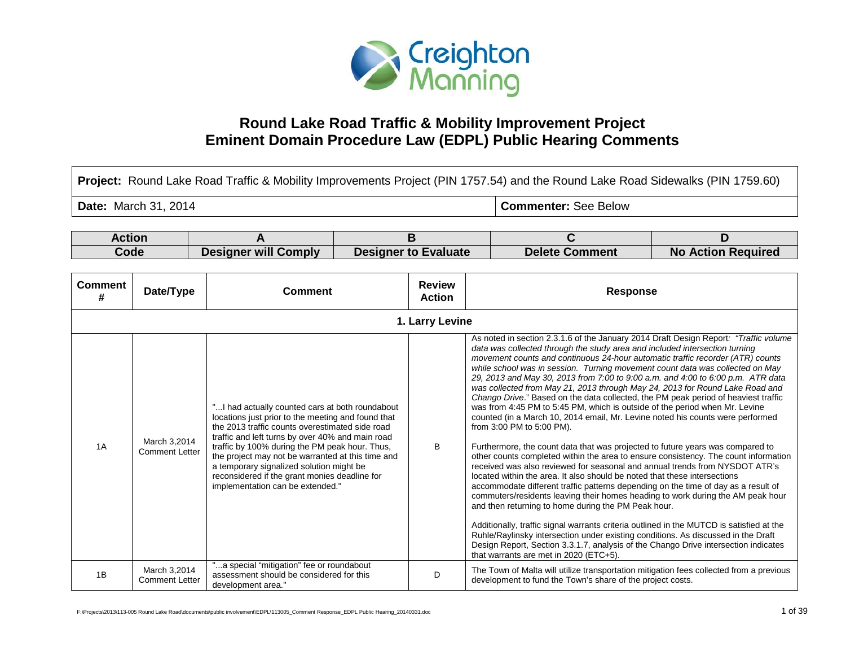

## **Round Lake Road Traffic & Mobility Improvement Project Eminent Domain Procedure Law (EDPL) Public Hearing Comments**

| Project: Round Lake Road Traffic & Mobility Improvements Project (PIN 1757.54) and the Round Lake Road Sidewalks (PIN 1759.60) |                                       |                                                                                                                                                                                                                                                                                                                                                                                                                                                       |  |                                |                             |                                                                                                                                                                                                                                                                                                                                                                                                                                                                                                                                                                                                                                                                                                                                                                                                                                                                                                                                                                                                                                                                                                                                                                                                                                                                                                                                                                                                                                                                                                                                                                                                                                                                                      |                           |
|--------------------------------------------------------------------------------------------------------------------------------|---------------------------------------|-------------------------------------------------------------------------------------------------------------------------------------------------------------------------------------------------------------------------------------------------------------------------------------------------------------------------------------------------------------------------------------------------------------------------------------------------------|--|--------------------------------|-----------------------------|--------------------------------------------------------------------------------------------------------------------------------------------------------------------------------------------------------------------------------------------------------------------------------------------------------------------------------------------------------------------------------------------------------------------------------------------------------------------------------------------------------------------------------------------------------------------------------------------------------------------------------------------------------------------------------------------------------------------------------------------------------------------------------------------------------------------------------------------------------------------------------------------------------------------------------------------------------------------------------------------------------------------------------------------------------------------------------------------------------------------------------------------------------------------------------------------------------------------------------------------------------------------------------------------------------------------------------------------------------------------------------------------------------------------------------------------------------------------------------------------------------------------------------------------------------------------------------------------------------------------------------------------------------------------------------------|---------------------------|
| <b>Date:</b> March 31, 2014                                                                                                    |                                       |                                                                                                                                                                                                                                                                                                                                                                                                                                                       |  |                                | <b>Commenter: See Below</b> |                                                                                                                                                                                                                                                                                                                                                                                                                                                                                                                                                                                                                                                                                                                                                                                                                                                                                                                                                                                                                                                                                                                                                                                                                                                                                                                                                                                                                                                                                                                                                                                                                                                                                      |                           |
| <b>Action</b>                                                                                                                  |                                       |                                                                                                                                                                                                                                                                                                                                                                                                                                                       |  |                                |                             |                                                                                                                                                                                                                                                                                                                                                                                                                                                                                                                                                                                                                                                                                                                                                                                                                                                                                                                                                                                                                                                                                                                                                                                                                                                                                                                                                                                                                                                                                                                                                                                                                                                                                      |                           |
|                                                                                                                                |                                       | A                                                                                                                                                                                                                                                                                                                                                                                                                                                     |  | B                              |                             | С                                                                                                                                                                                                                                                                                                                                                                                                                                                                                                                                                                                                                                                                                                                                                                                                                                                                                                                                                                                                                                                                                                                                                                                                                                                                                                                                                                                                                                                                                                                                                                                                                                                                                    | D                         |
| Code                                                                                                                           |                                       | <b>Designer will Comply</b>                                                                                                                                                                                                                                                                                                                                                                                                                           |  | <b>Designer to Evaluate</b>    |                             | <b>Delete Comment</b>                                                                                                                                                                                                                                                                                                                                                                                                                                                                                                                                                                                                                                                                                                                                                                                                                                                                                                                                                                                                                                                                                                                                                                                                                                                                                                                                                                                                                                                                                                                                                                                                                                                                | <b>No Action Required</b> |
| <b>Comment</b><br>#                                                                                                            | Date/Type                             | <b>Comment</b>                                                                                                                                                                                                                                                                                                                                                                                                                                        |  | <b>Review</b><br><b>Action</b> |                             | <b>Response</b>                                                                                                                                                                                                                                                                                                                                                                                                                                                                                                                                                                                                                                                                                                                                                                                                                                                                                                                                                                                                                                                                                                                                                                                                                                                                                                                                                                                                                                                                                                                                                                                                                                                                      |                           |
| 1. Larry Levine                                                                                                                |                                       |                                                                                                                                                                                                                                                                                                                                                                                                                                                       |  |                                |                             |                                                                                                                                                                                                                                                                                                                                                                                                                                                                                                                                                                                                                                                                                                                                                                                                                                                                                                                                                                                                                                                                                                                                                                                                                                                                                                                                                                                                                                                                                                                                                                                                                                                                                      |                           |
| 1A                                                                                                                             | March 3,2014<br><b>Comment Letter</b> | " I had actually counted cars at both roundabout<br>locations just prior to the meeting and found that<br>the 2013 traffic counts overestimated side road<br>traffic and left turns by over 40% and main road<br>traffic by 100% during the PM peak hour. Thus,<br>the project may not be warranted at this time and<br>a temporary signalized solution might be<br>reconsidered if the grant monies deadline for<br>implementation can be extended." |  | B                              |                             | As noted in section 2.3.1.6 of the January 2014 Draft Design Report: "Traffic volume<br>data was collected through the study area and included intersection turning<br>movement counts and continuous 24-hour automatic traffic recorder (ATR) counts<br>while school was in session. Turning movement count data was collected on May<br>29, 2013 and May 30, 2013 from 7:00 to 9:00 a.m. and 4:00 to 6:00 p.m. ATR data<br>was collected from May 21, 2013 through May 24, 2013 for Round Lake Road and<br>Chango Drive." Based on the data collected, the PM peak period of heaviest traffic<br>was from 4:45 PM to 5:45 PM, which is outside of the period when Mr. Levine<br>counted (in a March 10, 2014 email, Mr. Levine noted his counts were performed<br>from 3:00 PM to 5:00 PM).<br>Furthermore, the count data that was projected to future years was compared to<br>other counts completed within the area to ensure consistency. The count information<br>received was also reviewed for seasonal and annual trends from NYSDOT ATR's<br>located within the area. It also should be noted that these intersections<br>accommodate different traffic patterns depending on the time of day as a result of<br>commuters/residents leaving their homes heading to work during the AM peak hour<br>and then returning to home during the PM Peak hour.<br>Additionally, traffic signal warrants criteria outlined in the MUTCD is satisfied at the<br>Ruhle/Raylinsky intersection under existing conditions. As discussed in the Draft<br>Design Report, Section 3.3.1.7, analysis of the Chango Drive intersection indicates<br>that warrants are met in 2020 (ETC+5). |                           |
| 1B                                                                                                                             | March 3,2014<br><b>Comment Letter</b> | "a special "mitigation" fee or roundabout<br>assessment should be considered for this<br>development area."                                                                                                                                                                                                                                                                                                                                           |  | D                              |                             | The Town of Malta will utilize transportation mitigation fees collected from a previous<br>development to fund the Town's share of the project costs.                                                                                                                                                                                                                                                                                                                                                                                                                                                                                                                                                                                                                                                                                                                                                                                                                                                                                                                                                                                                                                                                                                                                                                                                                                                                                                                                                                                                                                                                                                                                |                           |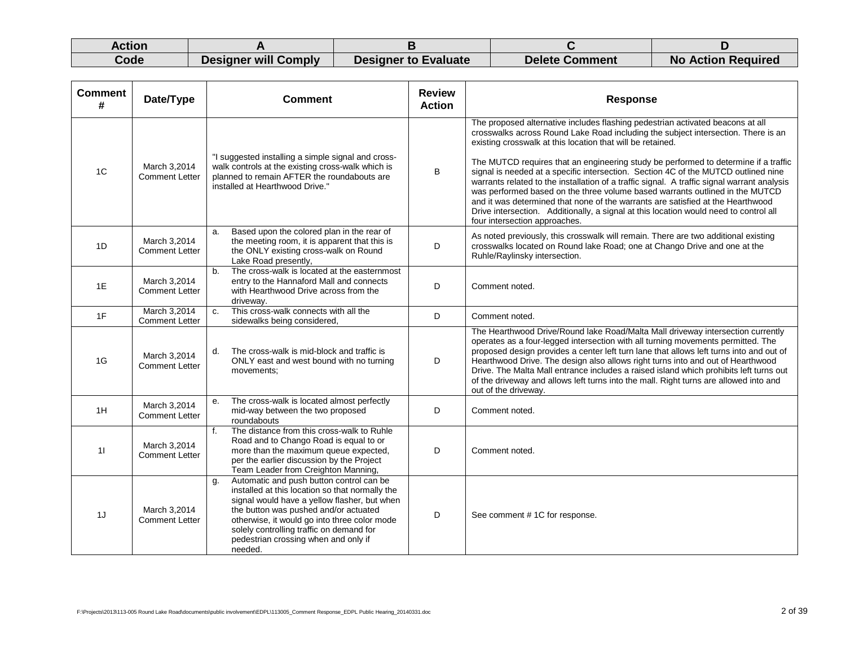| Action |                      |                      |                       |                           |
|--------|----------------------|----------------------|-----------------------|---------------------------|
| Code   | Designer will Comply | Designer to Evaluate | <b>Delete Comment</b> | <b>No Action Required</b> |

| <b>Comment</b><br># | Date/Type                             | <b>Comment</b>                                                                                                                                                                                                                                                                                                                            | <b>Review</b><br><b>Action</b> | <b>Response</b>                                                                                                                                                                                                                                                                                                                                                                                                                                                                                                                                                                                                                                                                                                                                                                                            |
|---------------------|---------------------------------------|-------------------------------------------------------------------------------------------------------------------------------------------------------------------------------------------------------------------------------------------------------------------------------------------------------------------------------------------|--------------------------------|------------------------------------------------------------------------------------------------------------------------------------------------------------------------------------------------------------------------------------------------------------------------------------------------------------------------------------------------------------------------------------------------------------------------------------------------------------------------------------------------------------------------------------------------------------------------------------------------------------------------------------------------------------------------------------------------------------------------------------------------------------------------------------------------------------|
| 1 <sup>C</sup>      | March 3,2014<br><b>Comment Letter</b> | "I suggested installing a simple signal and cross-<br>walk controls at the existing cross-walk which is<br>planned to remain AFTER the roundabouts are<br>installed at Hearthwood Drive."                                                                                                                                                 | B                              | The proposed alternative includes flashing pedestrian activated beacons at all<br>crosswalks across Round Lake Road including the subject intersection. There is an<br>existing crosswalk at this location that will be retained.<br>The MUTCD requires that an engineering study be performed to determine if a traffic<br>signal is needed at a specific intersection. Section 4C of the MUTCD outlined nine<br>warrants related to the installation of a traffic signal. A traffic signal warrant analysis<br>was performed based on the three volume based warrants outlined in the MUTCD<br>and it was determined that none of the warrants are satisfied at the Hearthwood<br>Drive intersection. Additionally, a signal at this location would need to control all<br>four intersection approaches. |
| 1D                  | March 3,2014<br><b>Comment Letter</b> | Based upon the colored plan in the rear of<br>a.<br>the meeting room, it is apparent that this is<br>the ONLY existing cross-walk on Round<br>Lake Road presently,                                                                                                                                                                        | D                              | As noted previously, this crosswalk will remain. There are two additional existing<br>crosswalks located on Round lake Road; one at Chango Drive and one at the<br>Ruhle/Raylinsky intersection.                                                                                                                                                                                                                                                                                                                                                                                                                                                                                                                                                                                                           |
| 1E                  | March 3,2014<br><b>Comment Letter</b> | The cross-walk is located at the easternmost<br>b.<br>entry to the Hannaford Mall and connects<br>with Hearthwood Drive across from the<br>driveway.                                                                                                                                                                                      | D                              | Comment noted.                                                                                                                                                                                                                                                                                                                                                                                                                                                                                                                                                                                                                                                                                                                                                                                             |
| 1F                  | March 3,2014<br><b>Comment Letter</b> | This cross-walk connects with all the<br>C.<br>sidewalks being considered,                                                                                                                                                                                                                                                                | D                              | Comment noted.                                                                                                                                                                                                                                                                                                                                                                                                                                                                                                                                                                                                                                                                                                                                                                                             |
| 1G                  | March 3,2014<br><b>Comment Letter</b> | The cross-walk is mid-block and traffic is<br>d.<br>ONLY east and west bound with no turning<br>movements;                                                                                                                                                                                                                                | D                              | The Hearthwood Drive/Round lake Road/Malta Mall driveway intersection currently<br>operates as a four-legged intersection with all turning movements permitted. The<br>proposed design provides a center left turn lane that allows left turns into and out of<br>Hearthwood Drive. The design also allows right turns into and out of Hearthwood<br>Drive. The Malta Mall entrance includes a raised island which prohibits left turns out<br>of the driveway and allows left turns into the mall. Right turns are allowed into and<br>out of the driveway.                                                                                                                                                                                                                                               |
| 1H                  | March 3,2014<br><b>Comment Letter</b> | The cross-walk is located almost perfectly<br>e.<br>mid-way between the two proposed<br>roundabouts                                                                                                                                                                                                                                       | D                              | Comment noted.                                                                                                                                                                                                                                                                                                                                                                                                                                                                                                                                                                                                                                                                                                                                                                                             |
| 11                  | March 3,2014<br><b>Comment Letter</b> | The distance from this cross-walk to Ruhle<br>f.<br>Road and to Chango Road is equal to or<br>more than the maximum queue expected,<br>per the earlier discussion by the Project<br>Team Leader from Creighton Manning,                                                                                                                   | D                              | Comment noted.                                                                                                                                                                                                                                                                                                                                                                                                                                                                                                                                                                                                                                                                                                                                                                                             |
| 1J                  | March 3,2014<br><b>Comment Letter</b> | Automatic and push button control can be<br>g.<br>installed at this location so that normally the<br>signal would have a yellow flasher, but when<br>the button was pushed and/or actuated<br>otherwise, it would go into three color mode<br>solely controlling traffic on demand for<br>pedestrian crossing when and only if<br>needed. | D                              | See comment #1C for response.                                                                                                                                                                                                                                                                                                                                                                                                                                                                                                                                                                                                                                                                                                                                                                              |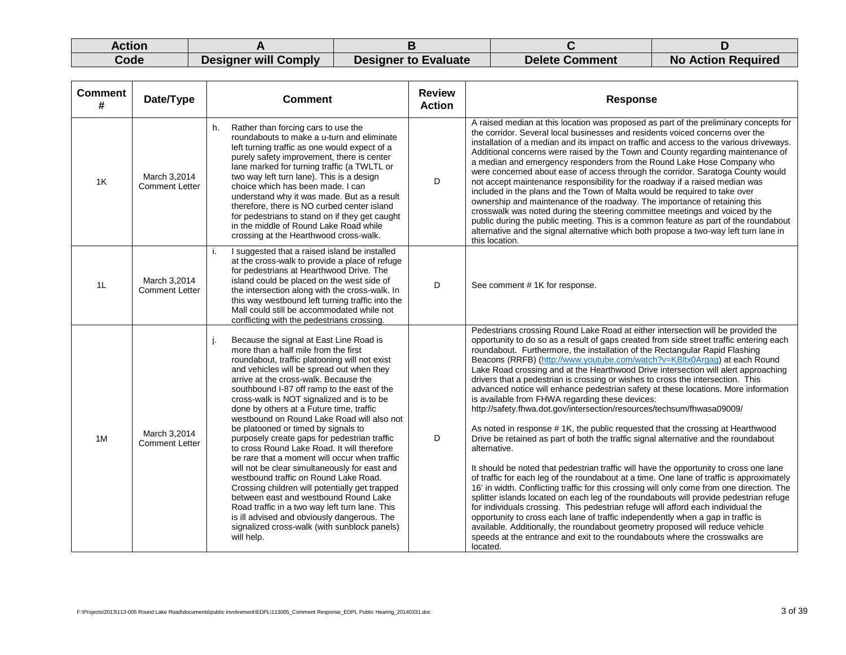| Action |                             |                             |                       |                           |
|--------|-----------------------------|-----------------------------|-----------------------|---------------------------|
| Code   | <b>Designer will Comply</b> | <b>Designer to Evaluate</b> | <b>Delete Comment</b> | <b>No Action Required</b> |

| <b>Comment</b><br># | Date/Type                             | <b>Comment</b>                                                                                                                                                                                                                                                                                                                                                                                                                                                                                                                                                                                                                                                                                                                                                                                                                                                                                                                                          | <b>Review</b><br><b>Action</b> | <b>Response</b>                                                                                                                                                                                                                                                                                                                                                                                                                                                                                                                                                                                                                                                                                                                                                                                                                                                                                                                                                                                                                                                                                                                                                                                                                                                                                                                                                                                                                                                                                                                                                                                                                                                  |
|---------------------|---------------------------------------|---------------------------------------------------------------------------------------------------------------------------------------------------------------------------------------------------------------------------------------------------------------------------------------------------------------------------------------------------------------------------------------------------------------------------------------------------------------------------------------------------------------------------------------------------------------------------------------------------------------------------------------------------------------------------------------------------------------------------------------------------------------------------------------------------------------------------------------------------------------------------------------------------------------------------------------------------------|--------------------------------|------------------------------------------------------------------------------------------------------------------------------------------------------------------------------------------------------------------------------------------------------------------------------------------------------------------------------------------------------------------------------------------------------------------------------------------------------------------------------------------------------------------------------------------------------------------------------------------------------------------------------------------------------------------------------------------------------------------------------------------------------------------------------------------------------------------------------------------------------------------------------------------------------------------------------------------------------------------------------------------------------------------------------------------------------------------------------------------------------------------------------------------------------------------------------------------------------------------------------------------------------------------------------------------------------------------------------------------------------------------------------------------------------------------------------------------------------------------------------------------------------------------------------------------------------------------------------------------------------------------------------------------------------------------|
| 1K                  | March 3.2014<br><b>Comment Letter</b> | Rather than forcing cars to use the<br>h.<br>roundabouts to make a u-turn and eliminate<br>left turning traffic as one would expect of a<br>purely safety improvement, there is center<br>lane marked for turning traffic (a TWLTL or<br>two way left turn lane). This is a design<br>choice which has been made. I can<br>understand why it was made. But as a result<br>therefore, there is NO curbed center island<br>for pedestrians to stand on if they get caught<br>in the middle of Round Lake Road while<br>crossing at the Hearthwood cross-walk.                                                                                                                                                                                                                                                                                                                                                                                             | D                              | A raised median at this location was proposed as part of the preliminary concepts for<br>the corridor. Several local businesses and residents voiced concerns over the<br>installation of a median and its impact on traffic and access to the various driveways.<br>Additional concerns were raised by the Town and County regarding maintenance of<br>a median and emergency responders from the Round Lake Hose Company who<br>were concerned about ease of access through the corridor. Saratoga County would<br>not accept maintenance responsibility for the roadway if a raised median was<br>included in the plans and the Town of Malta would be required to take over<br>ownership and maintenance of the roadway. The importance of retaining this<br>crosswalk was noted during the steering committee meetings and voiced by the<br>public during the public meeting. This is a common feature as part of the roundabout<br>alternative and the signal alternative which both propose a two-way left turn lane in<br>this location.                                                                                                                                                                                                                                                                                                                                                                                                                                                                                                                                                                                                                 |
| 1L                  | March 3,2014<br><b>Comment Letter</b> | I suggested that a raised island be installed<br>i.<br>at the cross-walk to provide a place of refuge<br>for pedestrians at Hearthwood Drive. The<br>island could be placed on the west side of<br>the intersection along with the cross-walk. In<br>this way westbound left turning traffic into the<br>Mall could still be accommodated while not<br>conflicting with the pedestrians crossing.                                                                                                                                                                                                                                                                                                                                                                                                                                                                                                                                                       | D                              | See comment #1K for response.                                                                                                                                                                                                                                                                                                                                                                                                                                                                                                                                                                                                                                                                                                                                                                                                                                                                                                                                                                                                                                                                                                                                                                                                                                                                                                                                                                                                                                                                                                                                                                                                                                    |
| 1M                  | March 3,2014<br><b>Comment Letter</b> | Because the signal at East Line Road is<br>more than a half mile from the first<br>roundabout, traffic platooning will not exist<br>and vehicles will be spread out when they<br>arrive at the cross-walk. Because the<br>southbound I-87 off ramp to the east of the<br>cross-walk is NOT signalized and is to be<br>done by others at a Future time, traffic<br>westbound on Round Lake Road will also not<br>be platooned or timed by signals to<br>purposely create gaps for pedestrian traffic<br>to cross Round Lake Road. It will therefore<br>be rare that a moment will occur when traffic<br>will not be clear simultaneously for east and<br>westbound traffic on Round Lake Road.<br>Crossing children will potentially get trapped<br>between east and westbound Round Lake<br>Road traffic in a two way left turn lane. This<br>is ill advised and obviously dangerous. The<br>signalized cross-walk (with sunblock panels)<br>will help. | D                              | Pedestrians crossing Round Lake Road at either intersection will be provided the<br>opportunity to do so as a result of gaps created from side street traffic entering each<br>roundabout. Furthermore, the installation of the Rectangular Rapid Flashing<br>Beacons (RRFB) (http://www.youtube.com/watch?v=KBltx0Argag) at each Round<br>Lake Road crossing and at the Hearthwood Drive intersection will alert approaching<br>drivers that a pedestrian is crossing or wishes to cross the intersection. This<br>advanced notice will enhance pedestrian safety at these locations. More information<br>is available from FHWA regarding these devices:<br>http://safety.fhwa.dot.gov/intersection/resources/techsum/fhwasa09009/<br>As noted in response #1K, the public requested that the crossing at Hearthwood<br>Drive be retained as part of both the traffic signal alternative and the roundabout<br>alternative.<br>It should be noted that pedestrian traffic will have the opportunity to cross one lane<br>of traffic for each leg of the roundabout at a time. One lane of traffic is approximately<br>16' in width. Conflicting traffic for this crossing will only come from one direction. The<br>splitter islands located on each leg of the roundabouts will provide pedestrian refuge<br>for individuals crossing. This pedestrian refuge will afford each individual the<br>opportunity to cross each lane of traffic independently when a gap in traffic is<br>available. Additionally, the roundabout geometry proposed will reduce vehicle<br>speeds at the entrance and exit to the roundabouts where the crosswalks are<br>located. |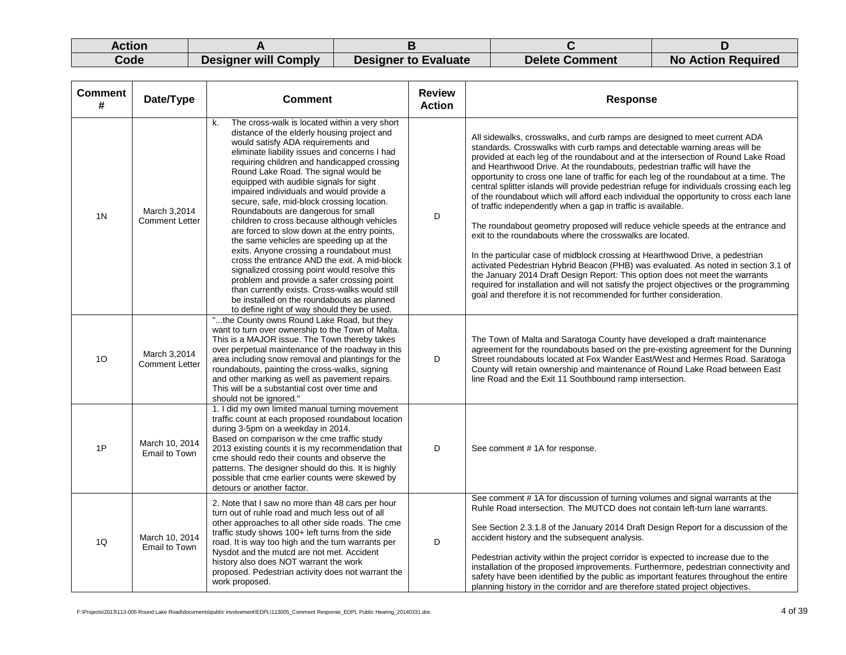| Action |                             |                             |                       |                           |
|--------|-----------------------------|-----------------------------|-----------------------|---------------------------|
| Code   | <b>Designer will Comply</b> | <b>Designer to Evaluate</b> | <b>Delete Comment</b> | <b>No Action Required</b> |

| <b>Comment</b><br># | Date/Type                             | <b>Comment</b>                                                                                                                                                                                                                                                                                                                                                                                                                                                                                                                                                                                                                                                                                                                                                                                                                                                                                                                                   | <b>Review</b><br><b>Action</b> | <b>Response</b>                                                                                                                                                                                                                                                                                                                                                                                                                                                                                                                                                                                                                                                                                                                                                                                                                                                                                                                                                                                                                                                                                                                                                                                                                                        |
|---------------------|---------------------------------------|--------------------------------------------------------------------------------------------------------------------------------------------------------------------------------------------------------------------------------------------------------------------------------------------------------------------------------------------------------------------------------------------------------------------------------------------------------------------------------------------------------------------------------------------------------------------------------------------------------------------------------------------------------------------------------------------------------------------------------------------------------------------------------------------------------------------------------------------------------------------------------------------------------------------------------------------------|--------------------------------|--------------------------------------------------------------------------------------------------------------------------------------------------------------------------------------------------------------------------------------------------------------------------------------------------------------------------------------------------------------------------------------------------------------------------------------------------------------------------------------------------------------------------------------------------------------------------------------------------------------------------------------------------------------------------------------------------------------------------------------------------------------------------------------------------------------------------------------------------------------------------------------------------------------------------------------------------------------------------------------------------------------------------------------------------------------------------------------------------------------------------------------------------------------------------------------------------------------------------------------------------------|
| 1 <sup>N</sup>      | March 3.2014<br><b>Comment Letter</b> | The cross-walk is located within a very short<br>k.<br>distance of the elderly housing project and<br>would satisfy ADA requirements and<br>eliminate liability issues and concerns I had<br>requiring children and handicapped crossing<br>Round Lake Road. The signal would be<br>equipped with audible signals for sight<br>impaired individuals and would provide a<br>secure, safe, mid-block crossing location.<br>Roundabouts are dangerous for small<br>children to cross because although vehicles<br>are forced to slow down at the entry points,<br>the same vehicles are speeding up at the<br>exits. Anyone crossing a roundabout must<br>cross the entrance AND the exit. A mid-block<br>signalized crossing point would resolve this<br>problem and provide a safer crossing point<br>than currently exists. Cross-walks would still<br>be installed on the roundabouts as planned<br>to define right of way should they be used. | D                              | All sidewalks, crosswalks, and curb ramps are designed to meet current ADA<br>standards. Crosswalks with curb ramps and detectable warning areas will be<br>provided at each leg of the roundabout and at the intersection of Round Lake Road<br>and Hearthwood Drive. At the roundabouts, pedestrian traffic will have the<br>opportunity to cross one lane of traffic for each leg of the roundabout at a time. The<br>central splitter islands will provide pedestrian refuge for individuals crossing each leg<br>of the roundabout which will afford each individual the opportunity to cross each lane<br>of traffic independently when a gap in traffic is available.<br>The roundabout geometry proposed will reduce vehicle speeds at the entrance and<br>exit to the roundabouts where the crosswalks are located.<br>In the particular case of midblock crossing at Hearthwood Drive, a pedestrian<br>activated Pedestrian Hybrid Beacon (PHB) was evaluated. As noted in section 3.1 of<br>the January 2014 Draft Design Report: This option does not meet the warrants<br>required for installation and will not satisfy the project objectives or the programming<br>goal and therefore it is not recommended for further consideration. |
| 10                  | March 3,2014<br><b>Comment Letter</b> | "the County owns Round Lake Road, but they<br>want to turn over ownership to the Town of Malta.<br>This is a MAJOR issue. The Town thereby takes<br>over perpetual maintenance of the roadway in this<br>area including snow removal and plantings for the<br>roundabouts, painting the cross-walks, signing<br>and other marking as well as pavement repairs.<br>This will be a substantial cost over time and<br>should not be ignored."                                                                                                                                                                                                                                                                                                                                                                                                                                                                                                       | D                              | The Town of Malta and Saratoga County have developed a draft maintenance<br>agreement for the roundabouts based on the pre-existing agreement for the Dunning<br>Street roundabouts located at Fox Wander East/West and Hermes Road. Saratoga<br>County will retain ownership and maintenance of Round Lake Road between East<br>line Road and the Exit 11 Southbound ramp intersection.                                                                                                                                                                                                                                                                                                                                                                                                                                                                                                                                                                                                                                                                                                                                                                                                                                                               |
| 1P                  | March 10, 2014<br>Email to Town       | 1. I did my own limited manual turning movement<br>traffic count at each proposed roundabout location<br>during 3-5pm on a weekday in 2014.<br>Based on comparison w the cme traffic study<br>2013 existing counts it is my recommendation that<br>cme should redo their counts and observe the<br>patterns. The designer should do this. It is highly<br>possible that cme earlier counts were skewed by<br>detours or another factor.                                                                                                                                                                                                                                                                                                                                                                                                                                                                                                          | D                              | See comment #1A for response.                                                                                                                                                                                                                                                                                                                                                                                                                                                                                                                                                                                                                                                                                                                                                                                                                                                                                                                                                                                                                                                                                                                                                                                                                          |
| 1Q                  | March 10, 2014<br>Email to Town       | 2. Note that I saw no more than 48 cars per hour<br>turn out of ruhle road and much less out of all<br>other approaches to all other side roads. The cme<br>traffic study shows 100+ left turns from the side<br>road. It is way too high and the turn warrants per<br>Nysdot and the mutcd are not met. Accident<br>history also does NOT warrant the work<br>proposed. Pedestrian activity does not warrant the<br>work proposed.                                                                                                                                                                                                                                                                                                                                                                                                                                                                                                              | D                              | See comment #1A for discussion of turning volumes and signal warrants at the<br>Ruhle Road intersection. The MUTCD does not contain left-turn lane warrants.<br>See Section 2.3.1.8 of the January 2014 Draft Design Report for a discussion of the<br>accident history and the subsequent analysis.<br>Pedestrian activity within the project corridor is expected to increase due to the<br>installation of the proposed improvements. Furthermore, pedestrian connectivity and<br>safety have been identified by the public as important features throughout the entire<br>planning history in the corridor and are therefore stated project objectives.                                                                                                                                                                                                                                                                                                                                                                                                                                                                                                                                                                                            |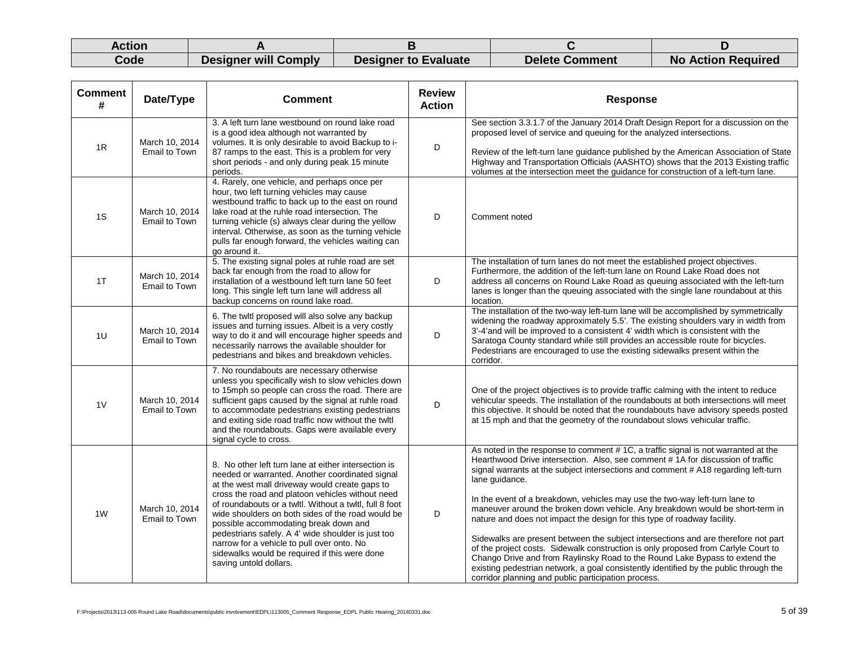| Action |                      |                             |                       |                           |
|--------|----------------------|-----------------------------|-----------------------|---------------------------|
| Code   | Designer will Comply | <b>Designer to Evaluate</b> | <b>Delete Comment</b> | <b>No Action Required</b> |

| <b>Comment</b><br># | Date/Type                       | <b>Comment</b>                                                                                                                                                                                                                                                                                                                                                                                                                                                                                                                                        | <b>Review</b><br><b>Action</b> | <b>Response</b>                                                                                                                                                                                                                                                                                                                                                                                                                                                                                                                                                                                                                                                                                                                                                                                                                                                                                                                     |
|---------------------|---------------------------------|-------------------------------------------------------------------------------------------------------------------------------------------------------------------------------------------------------------------------------------------------------------------------------------------------------------------------------------------------------------------------------------------------------------------------------------------------------------------------------------------------------------------------------------------------------|--------------------------------|-------------------------------------------------------------------------------------------------------------------------------------------------------------------------------------------------------------------------------------------------------------------------------------------------------------------------------------------------------------------------------------------------------------------------------------------------------------------------------------------------------------------------------------------------------------------------------------------------------------------------------------------------------------------------------------------------------------------------------------------------------------------------------------------------------------------------------------------------------------------------------------------------------------------------------------|
| 1R                  | March 10, 2014<br>Email to Town | 3. A left turn lane westbound on round lake road<br>is a good idea although not warranted by<br>volumes. It is only desirable to avoid Backup to i-<br>87 ramps to the east. This is a problem for very<br>short periods - and only during peak 15 minute<br>periods.                                                                                                                                                                                                                                                                                 | D                              | See section 3.3.1.7 of the January 2014 Draft Design Report for a discussion on the<br>proposed level of service and queuing for the analyzed intersections.<br>Review of the left-turn lane guidance published by the American Association of State<br>Highway and Transportation Officials (AASHTO) shows that the 2013 Existing traffic<br>volumes at the intersection meet the guidance for construction of a left-turn lane.                                                                                                                                                                                                                                                                                                                                                                                                                                                                                                   |
| 1S                  | March 10, 2014<br>Email to Town | 4. Rarely, one vehicle, and perhaps once per<br>hour, two left turning vehicles may cause<br>westbound traffic to back up to the east on round<br>lake road at the ruhle road intersection. The<br>turning vehicle (s) always clear during the yellow<br>interval. Otherwise, as soon as the turning vehicle<br>pulls far enough forward, the vehicles waiting can<br>go around it.                                                                                                                                                                   | D                              | Comment noted                                                                                                                                                                                                                                                                                                                                                                                                                                                                                                                                                                                                                                                                                                                                                                                                                                                                                                                       |
| 1T                  | March 10, 2014<br>Email to Town | 5. The existing signal poles at ruhle road are set<br>back far enough from the road to allow for<br>installation of a westbound left turn lane 50 feet<br>long. This single left turn lane will address all<br>backup concerns on round lake road.                                                                                                                                                                                                                                                                                                    | D                              | The installation of turn lanes do not meet the established project objectives.<br>Furthermore, the addition of the left-turn lane on Round Lake Road does not<br>address all concerns on Round Lake Road as queuing associated with the left-turn<br>lanes is longer than the queuing associated with the single lane roundabout at this<br>location.                                                                                                                                                                                                                                                                                                                                                                                                                                                                                                                                                                               |
| 1U                  | March 10, 2014<br>Email to Town | 6. The twitl proposed will also solve any backup<br>issues and turning issues. Albeit is a very costly<br>way to do it and will encourage higher speeds and<br>necessarily narrows the available shoulder for<br>pedestrians and bikes and breakdown vehicles.                                                                                                                                                                                                                                                                                        | D                              | The installation of the two-way left-turn lane will be accomplished by symmetrically<br>widening the roadway approximately 5.5'. The existing shoulders vary in width from<br>3'-4'and will be improved to a consistent 4' width which is consistent with the<br>Saratoga County standard while still provides an accessible route for bicycles.<br>Pedestrians are encouraged to use the existing sidewalks present within the<br>corridor.                                                                                                                                                                                                                                                                                                                                                                                                                                                                                        |
| 1 <sub>V</sub>      | March 10, 2014<br>Email to Town | 7. No roundabouts are necessary otherwise<br>unless you specifically wish to slow vehicles down<br>to 15mph so people can cross the road. There are<br>sufficient gaps caused by the signal at ruhle road<br>to accommodate pedestrians existing pedestrians<br>and exiting side road traffic now without the twltl<br>and the roundabouts. Gaps were available every<br>signal cycle to cross.                                                                                                                                                       | D                              | One of the project objectives is to provide traffic calming with the intent to reduce<br>vehicular speeds. The installation of the roundabouts at both intersections will meet<br>this objective. It should be noted that the roundabouts have advisory speeds posted<br>at 15 mph and that the geometry of the roundabout slows vehicular traffic.                                                                                                                                                                                                                                                                                                                                                                                                                                                                                                                                                                                 |
| 1 <sub>W</sub>      | March 10, 2014<br>Email to Town | 8. No other left turn lane at either intersection is<br>needed or warranted. Another coordinated signal<br>at the west mall driveway would create gaps to<br>cross the road and platoon vehicles without need<br>of roundabouts or a twitl. Without a twitl, full 8 foot<br>wide shoulders on both sides of the road would be<br>possible accommodating break down and<br>pedestrians safely. A 4' wide shoulder is just too<br>narrow for a vehicle to pull over onto. No<br>sidewalks would be required if this were done<br>saving untold dollars. | D                              | As noted in the response to comment #1C, a traffic signal is not warranted at the<br>Hearthwood Drive intersection. Also, see comment # 1A for discussion of traffic<br>signal warrants at the subject intersections and comment # A18 regarding left-turn<br>lane guidance.<br>In the event of a breakdown, vehicles may use the two-way left-turn lane to<br>maneuver around the broken down vehicle. Any breakdown would be short-term in<br>nature and does not impact the design for this type of roadway facility.<br>Sidewalks are present between the subject intersections and are therefore not part<br>of the project costs. Sidewalk construction is only proposed from Carlyle Court to<br>Chango Drive and from Raylinsky Road to the Round Lake Bypass to extend the<br>existing pedestrian network, a goal consistently identified by the public through the<br>corridor planning and public participation process. |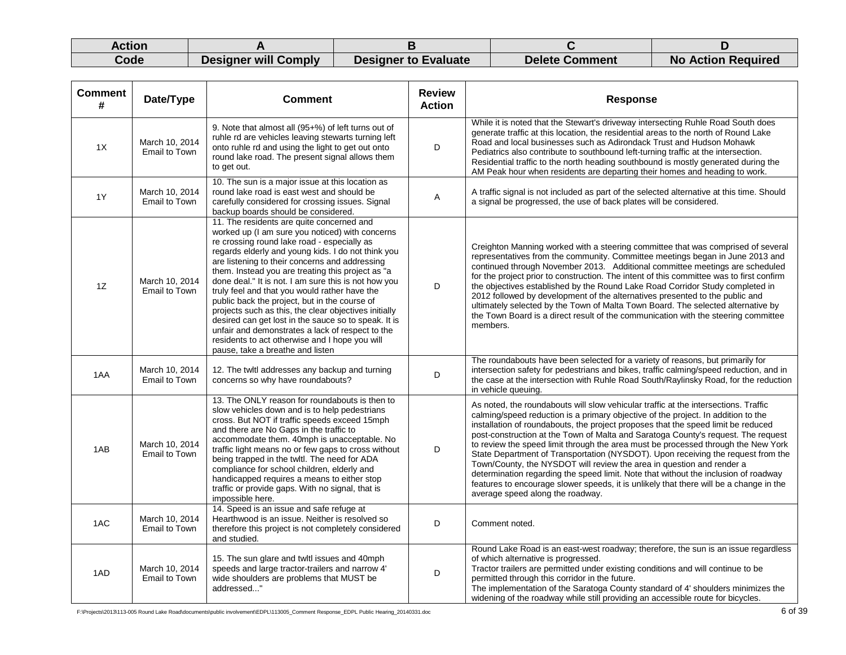| Action |                      |                             |                       |                           |
|--------|----------------------|-----------------------------|-----------------------|---------------------------|
| Code   | Designer will Comply | <b>Designer to Evaluate</b> | <b>Delete Comment</b> | <b>No Action Required</b> |

| <b>Comment</b><br># | Date/Type                              | <b>Comment</b>                                                                                                                                                                                                                                                                                                                                                                                                                                                                                                                                                                                                                                                                                                                | <b>Review</b><br><b>Action</b> | <b>Response</b>                                                                                                                                                                                                                                                                                                                                                                                                                                                                                                                                                                                                                                                                                                                                                                                                           |
|---------------------|----------------------------------------|-------------------------------------------------------------------------------------------------------------------------------------------------------------------------------------------------------------------------------------------------------------------------------------------------------------------------------------------------------------------------------------------------------------------------------------------------------------------------------------------------------------------------------------------------------------------------------------------------------------------------------------------------------------------------------------------------------------------------------|--------------------------------|---------------------------------------------------------------------------------------------------------------------------------------------------------------------------------------------------------------------------------------------------------------------------------------------------------------------------------------------------------------------------------------------------------------------------------------------------------------------------------------------------------------------------------------------------------------------------------------------------------------------------------------------------------------------------------------------------------------------------------------------------------------------------------------------------------------------------|
| 1X                  | March 10, 2014<br>Email to Town        | 9. Note that almost all (95+%) of left turns out of<br>ruhle rd are vehicles leaving stewarts turning left<br>onto ruhle rd and using the light to get out onto<br>round lake road. The present signal allows them<br>to get out.                                                                                                                                                                                                                                                                                                                                                                                                                                                                                             | D                              | While it is noted that the Stewart's driveway intersecting Ruhle Road South does<br>generate traffic at this location, the residential areas to the north of Round Lake<br>Road and local businesses such as Adirondack Trust and Hudson Mohawk<br>Pediatrics also contribute to southbound left-turning traffic at the intersection.<br>Residential traffic to the north heading southbound is mostly generated during the<br>AM Peak hour when residents are departing their homes and heading to work.                                                                                                                                                                                                                                                                                                                 |
| 1Y                  | March 10, 2014<br><b>Email to Town</b> | 10. The sun is a major issue at this location as<br>round lake road is east west and should be<br>carefully considered for crossing issues. Signal<br>backup boards should be considered.                                                                                                                                                                                                                                                                                                                                                                                                                                                                                                                                     | A                              | A traffic signal is not included as part of the selected alternative at this time. Should<br>a signal be progressed, the use of back plates will be considered.                                                                                                                                                                                                                                                                                                                                                                                                                                                                                                                                                                                                                                                           |
| 1Z                  | March 10, 2014<br>Email to Town        | 11. The residents are quite concerned and<br>worked up (I am sure you noticed) with concerns<br>re crossing round lake road - especially as<br>regards elderly and young kids. I do not think you<br>are listening to their concerns and addressing<br>them. Instead you are treating this project as "a<br>done deal." It is not. I am sure this is not how you<br>truly feel and that you would rather have the<br>public back the project, but in the course of<br>projects such as this, the clear objectives initially<br>desired can get lost in the sauce so to speak. It is<br>unfair and demonstrates a lack of respect to the<br>residents to act otherwise and I hope you will<br>pause, take a breathe and listen | D                              | Creighton Manning worked with a steering committee that was comprised of several<br>representatives from the community. Committee meetings began in June 2013 and<br>continued through November 2013. Additional committee meetings are scheduled<br>for the project prior to construction. The intent of this committee was to first confirm<br>the objectives established by the Round Lake Road Corridor Study completed in<br>2012 followed by development of the alternatives presented to the public and<br>ultimately selected by the Town of Malta Town Board. The selected alternative by<br>the Town Board is a direct result of the communication with the steering committee<br>members.                                                                                                                      |
| 1AA                 | March 10, 2014<br>Email to Town        | 12. The twitl addresses any backup and turning<br>concerns so why have roundabouts?                                                                                                                                                                                                                                                                                                                                                                                                                                                                                                                                                                                                                                           | D                              | The roundabouts have been selected for a variety of reasons, but primarily for<br>intersection safety for pedestrians and bikes, traffic calming/speed reduction, and in<br>the case at the intersection with Ruhle Road South/Raylinsky Road, for the reduction<br>in vehicle queuing.                                                                                                                                                                                                                                                                                                                                                                                                                                                                                                                                   |
| 1AB                 | March 10, 2014<br>Email to Town        | 13. The ONLY reason for roundabouts is then to<br>slow vehicles down and is to help pedestrians<br>cross. But NOT if traffic speeds exceed 15mph<br>and there are No Gaps in the traffic to<br>accommodate them. 40mph is unacceptable. No<br>traffic light means no or few gaps to cross without<br>being trapped in the twltl. The need for ADA<br>compliance for school children, elderly and<br>handicapped requires a means to either stop<br>traffic or provide gaps. With no signal, that is<br>impossible here.                                                                                                                                                                                                       | D                              | As noted, the roundabouts will slow vehicular traffic at the intersections. Traffic<br>calming/speed reduction is a primary objective of the project. In addition to the<br>installation of roundabouts, the project proposes that the speed limit be reduced<br>post-construction at the Town of Malta and Saratoga County's request. The request<br>to review the speed limit through the area must be processed through the New York<br>State Department of Transportation (NYSDOT). Upon receiving the request from the<br>Town/County, the NYSDOT will review the area in question and render a<br>determination regarding the speed limit. Note that without the inclusion of roadway<br>features to encourage slower speeds, it is unlikely that there will be a change in the<br>average speed along the roadway. |
| 1AC                 | March 10, 2014<br>Email to Town        | 14. Speed is an issue and safe refuge at<br>Hearthwood is an issue. Neither is resolved so<br>therefore this project is not completely considered<br>and studied.                                                                                                                                                                                                                                                                                                                                                                                                                                                                                                                                                             | D                              | Comment noted.                                                                                                                                                                                                                                                                                                                                                                                                                                                                                                                                                                                                                                                                                                                                                                                                            |
| 1AD                 | March 10, 2014<br><b>Email to Town</b> | 15. The sun glare and twitl issues and 40mph<br>speeds and large tractor-trailers and narrow 4'<br>wide shoulders are problems that MUST be<br>addressed"                                                                                                                                                                                                                                                                                                                                                                                                                                                                                                                                                                     | D                              | Round Lake Road is an east-west roadway; therefore, the sun is an issue regardless<br>of which alternative is progressed.<br>Tractor trailers are permitted under existing conditions and will continue to be<br>permitted through this corridor in the future.<br>The implementation of the Saratoga County standard of 4' shoulders minimizes the<br>widening of the roadway while still providing an accessible route for bicycles.                                                                                                                                                                                                                                                                                                                                                                                    |

F:\Projects\2013\113-005 Round Lake Road\documents\public involvement\EDPL\113005\_Comment Response\_EDPL Public Hearing\_20140331.doc 6 of 39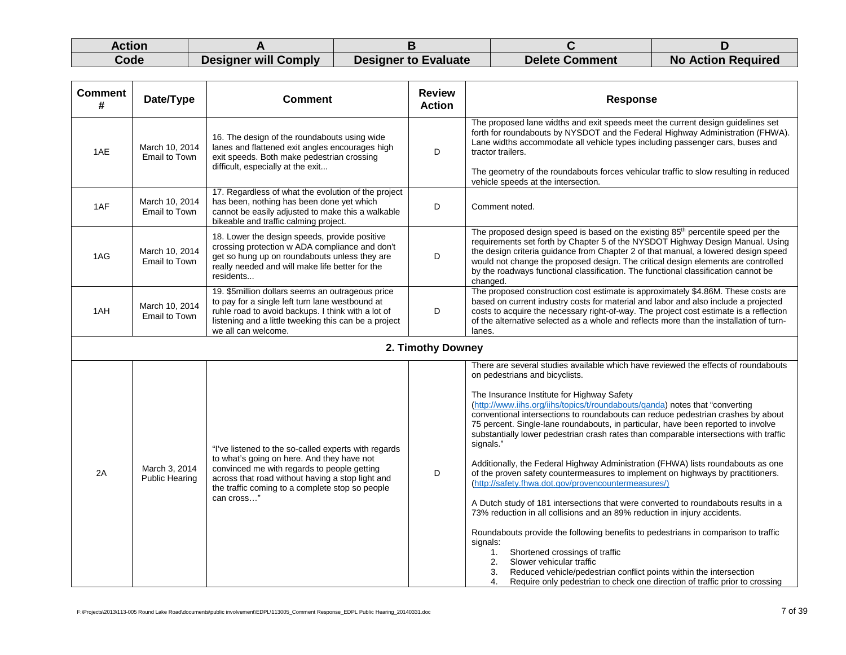| Action |                      |                             |                       |                           |
|--------|----------------------|-----------------------------|-----------------------|---------------------------|
| Code   | Designer will Comply | <b>Designer to Evaluate</b> | <b>Delete Comment</b> | <b>No Action Required</b> |

| <b>Comment</b><br># | Date/Type                              | <b>Comment</b>                                                                                                                                                                                                                                                         | <b>Review</b><br><b>Action</b> | <b>Response</b>                                                                                                                                                                                                                                                                                                                                                                                                                                                                                                                                                                                                                                                                                                                                                                                                                                                                                                                                                                                                                                                                                                                                                                                                                                                                 |
|---------------------|----------------------------------------|------------------------------------------------------------------------------------------------------------------------------------------------------------------------------------------------------------------------------------------------------------------------|--------------------------------|---------------------------------------------------------------------------------------------------------------------------------------------------------------------------------------------------------------------------------------------------------------------------------------------------------------------------------------------------------------------------------------------------------------------------------------------------------------------------------------------------------------------------------------------------------------------------------------------------------------------------------------------------------------------------------------------------------------------------------------------------------------------------------------------------------------------------------------------------------------------------------------------------------------------------------------------------------------------------------------------------------------------------------------------------------------------------------------------------------------------------------------------------------------------------------------------------------------------------------------------------------------------------------|
| 1AE                 | March 10, 2014<br><b>Email to Town</b> | 16. The design of the roundabouts using wide<br>lanes and flattened exit angles encourages high<br>exit speeds. Both make pedestrian crossing<br>difficult, especially at the exit                                                                                     | D                              | The proposed lane widths and exit speeds meet the current design guidelines set<br>forth for roundabouts by NYSDOT and the Federal Highway Administration (FHWA).<br>Lane widths accommodate all vehicle types including passenger cars, buses and<br>tractor trailers.<br>The geometry of the roundabouts forces vehicular traffic to slow resulting in reduced<br>vehicle speeds at the intersection.                                                                                                                                                                                                                                                                                                                                                                                                                                                                                                                                                                                                                                                                                                                                                                                                                                                                         |
| 1AF                 | March 10, 2014<br>Email to Town        | 17. Regardless of what the evolution of the project<br>has been, nothing has been done yet which<br>cannot be easily adjusted to make this a walkable<br>bikeable and traffic calming project.                                                                         | D                              | Comment noted.                                                                                                                                                                                                                                                                                                                                                                                                                                                                                                                                                                                                                                                                                                                                                                                                                                                                                                                                                                                                                                                                                                                                                                                                                                                                  |
| 1AG                 | March 10, 2014<br><b>Email to Town</b> | 18. Lower the design speeds, provide positive<br>crossing protection w ADA compliance and don't<br>get so hung up on roundabouts unless they are<br>really needed and will make life better for the<br>residents                                                       | D                              | The proposed design speed is based on the existing 85 <sup>th</sup> percentile speed per the<br>requirements set forth by Chapter 5 of the NYSDOT Highway Design Manual. Using<br>the design criteria guidance from Chapter 2 of that manual, a lowered design speed<br>would not change the proposed design. The critical design elements are controlled<br>by the roadways functional classification. The functional classification cannot be<br>changed.                                                                                                                                                                                                                                                                                                                                                                                                                                                                                                                                                                                                                                                                                                                                                                                                                     |
| 1AH                 | March 10, 2014<br>Email to Town        | 19. \$5million dollars seems an outrageous price<br>to pay for a single left turn lane westbound at<br>ruhle road to avoid backups. I think with a lot of<br>listening and a little tweeking this can be a project<br>we all can welcome.                              | D                              | The proposed construction cost estimate is approximately \$4.86M. These costs are<br>based on current industry costs for material and labor and also include a projected<br>costs to acquire the necessary right-of-way. The project cost estimate is a reflection<br>of the alternative selected as a whole and reflects more than the installation of turn-<br>lanes.                                                                                                                                                                                                                                                                                                                                                                                                                                                                                                                                                                                                                                                                                                                                                                                                                                                                                                         |
|                     |                                        |                                                                                                                                                                                                                                                                        | 2. Timothy Downey              |                                                                                                                                                                                                                                                                                                                                                                                                                                                                                                                                                                                                                                                                                                                                                                                                                                                                                                                                                                                                                                                                                                                                                                                                                                                                                 |
| 2A                  | March 3, 2014<br><b>Public Hearing</b> | "I've listened to the so-called experts with regards<br>to what's going on here. And they have not<br>convinced me with regards to people getting<br>across that road without having a stop light and<br>the traffic coming to a complete stop so people<br>can cross" | D                              | There are several studies available which have reviewed the effects of roundabouts<br>on pedestrians and bicyclists.<br>The Insurance Institute for Highway Safety<br>(http://www.iihs.org/iihs/topics/t/roundabouts/qanda) notes that "converting<br>conventional intersections to roundabouts can reduce pedestrian crashes by about<br>75 percent. Single-lane roundabouts, in particular, have been reported to involve<br>substantially lower pedestrian crash rates than comparable intersections with traffic<br>signals."<br>Additionally, the Federal Highway Administration (FHWA) lists roundabouts as one<br>of the proven safety countermeasures to implement on highways by practitioners.<br>(http://safety.fhwa.dot.gov/provencountermeasures/)<br>A Dutch study of 181 intersections that were converted to roundabouts results in a<br>73% reduction in all collisions and an 89% reduction in injury accidents.<br>Roundabouts provide the following benefits to pedestrians in comparison to traffic<br>signals:<br>Shortened crossings of traffic<br>1.<br>Slower vehicular traffic<br>2.<br>3.<br>Reduced vehicle/pedestrian conflict points within the intersection<br>Require only pedestrian to check one direction of traffic prior to crossing<br>4. |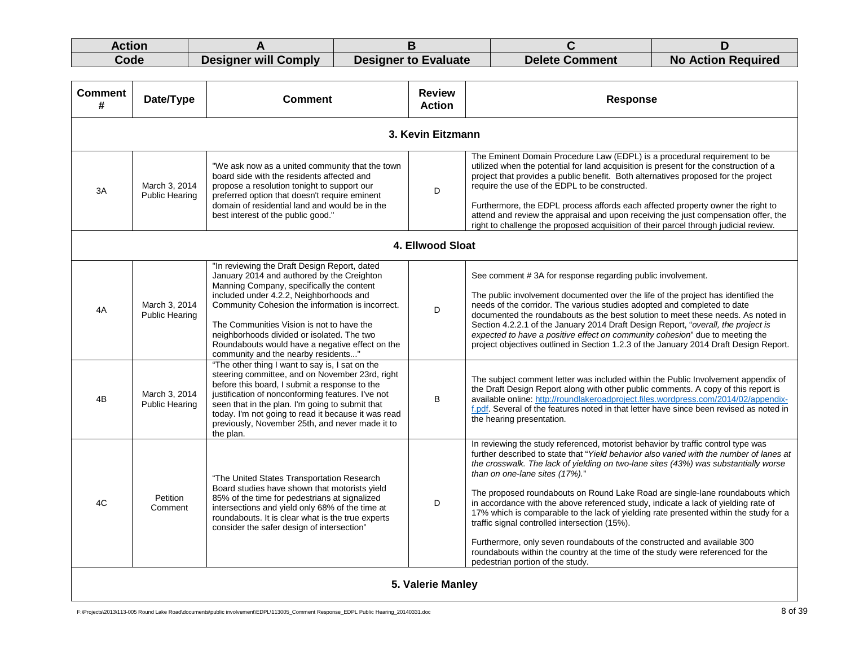| Action |                      |                             |                       |                           |
|--------|----------------------|-----------------------------|-----------------------|---------------------------|
| Code   | Designer will Comply | <b>Designer to Evaluate</b> | <b>Delete Comment</b> | <b>No Action Required</b> |

| <b>Comment</b><br># | Date/Type                              | <b>Comment</b>                                                                                                                                                                                                                                                                                                                                                                                                              | <b>Review</b><br><b>Action</b> | <b>Response</b>                                                                                                                                                                                                                                                                                                                                                                                                                                                                                                                                                                                                                                                                                                                                                                                                          |
|---------------------|----------------------------------------|-----------------------------------------------------------------------------------------------------------------------------------------------------------------------------------------------------------------------------------------------------------------------------------------------------------------------------------------------------------------------------------------------------------------------------|--------------------------------|--------------------------------------------------------------------------------------------------------------------------------------------------------------------------------------------------------------------------------------------------------------------------------------------------------------------------------------------------------------------------------------------------------------------------------------------------------------------------------------------------------------------------------------------------------------------------------------------------------------------------------------------------------------------------------------------------------------------------------------------------------------------------------------------------------------------------|
|                     |                                        |                                                                                                                                                                                                                                                                                                                                                                                                                             | 3. Kevin Eitzmann              |                                                                                                                                                                                                                                                                                                                                                                                                                                                                                                                                                                                                                                                                                                                                                                                                                          |
| 3A                  | March 3, 2014<br><b>Public Hearing</b> | "We ask now as a united community that the town<br>board side with the residents affected and<br>propose a resolution tonight to support our<br>preferred option that doesn't require eminent<br>domain of residential land and would be in the<br>best interest of the public good."                                                                                                                                       | D                              | The Eminent Domain Procedure Law (EDPL) is a procedural requirement to be<br>utilized when the potential for land acquisition is present for the construction of a<br>project that provides a public benefit. Both alternatives proposed for the project<br>require the use of the EDPL to be constructed.<br>Furthermore, the EDPL process affords each affected property owner the right to<br>attend and review the appraisal and upon receiving the just compensation offer, the<br>right to challenge the proposed acquisition of their parcel through judicial review.                                                                                                                                                                                                                                             |
| 4. Ellwood Sloat    |                                        |                                                                                                                                                                                                                                                                                                                                                                                                                             |                                |                                                                                                                                                                                                                                                                                                                                                                                                                                                                                                                                                                                                                                                                                                                                                                                                                          |
| 4A                  | March 3, 2014<br><b>Public Hearing</b> | "In reviewing the Draft Design Report, dated<br>January 2014 and authored by the Creighton<br>Manning Company, specifically the content<br>included under 4.2.2, Neighborhoods and<br>Community Cohesion the information is incorrect.<br>The Communities Vision is not to have the<br>neighborhoods divided or isolated. The two<br>Roundabouts would have a negative effect on the<br>community and the nearby residents" | D                              | See comment #3A for response regarding public involvement.<br>The public involvement documented over the life of the project has identified the<br>needs of the corridor. The various studies adopted and completed to date<br>documented the roundabouts as the best solution to meet these needs. As noted in<br>Section 4.2.2.1 of the January 2014 Draft Design Report, "overall, the project is<br>expected to have a positive effect on community cohesion" due to meeting the<br>project objectives outlined in Section 1.2.3 of the January 2014 Draft Design Report.                                                                                                                                                                                                                                            |
| 4B                  | March 3, 2014<br><b>Public Hearing</b> | "The other thing I want to say is, I sat on the<br>steering committee, and on November 23rd, right<br>before this board, I submit a response to the<br>justification of nonconforming features. I've not<br>seen that in the plan. I'm going to submit that<br>today. I'm not going to read it because it was read<br>previously, November 25th, and never made it to<br>the plan.                                          | B                              | The subject comment letter was included within the Public Involvement appendix of<br>the Draft Design Report along with other public comments. A copy of this report is<br>available online: http://roundlakeroadproject.files.wordpress.com/2014/02/appendix-<br>f.pdf. Several of the features noted in that letter have since been revised as noted in<br>the hearing presentation.                                                                                                                                                                                                                                                                                                                                                                                                                                   |
| 4C                  | Petition<br>Comment                    | "The United States Transportation Research<br>Board studies have shown that motorists yield<br>85% of the time for pedestrians at signalized<br>intersections and yield only 68% of the time at<br>roundabouts. It is clear what is the true experts<br>consider the safer design of intersection"                                                                                                                          | D                              | In reviewing the study referenced, motorist behavior by traffic control type was<br>further described to state that "Yield behavior also varied with the number of lanes at<br>the crosswalk. The lack of yielding on two-lane sites (43%) was substantially worse<br>than on one-lane sites (17%)."<br>The proposed roundabouts on Round Lake Road are single-lane roundabouts which<br>in accordance with the above referenced study, indicate a lack of yielding rate of<br>17% which is comparable to the lack of yielding rate presented within the study for a<br>traffic signal controlled intersection (15%).<br>Furthermore, only seven roundabouts of the constructed and available 300<br>roundabouts within the country at the time of the study were referenced for the<br>pedestrian portion of the study. |
|                     |                                        |                                                                                                                                                                                                                                                                                                                                                                                                                             | 5. Valerie Manley              |                                                                                                                                                                                                                                                                                                                                                                                                                                                                                                                                                                                                                                                                                                                                                                                                                          |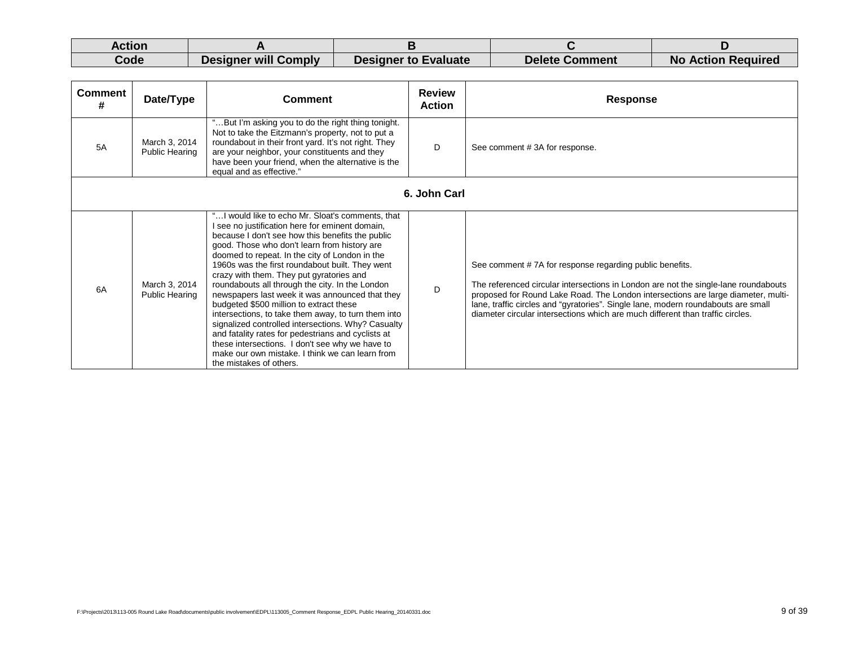| Action |                      |                             |                       |                           |
|--------|----------------------|-----------------------------|-----------------------|---------------------------|
| Code   | Designer will Comply | <b>Designer to Evaluate</b> | <b>Delete Comment</b> | <b>No Action Required</b> |

| <b>Comment</b><br># | Date/Type                              | <b>Comment</b>                                                                                                                                                                                                                                                                                                                                                                                                                                                                                                                                                                                                                                                                                                                                                                                               | <b>Review</b><br><b>Action</b> | <b>Response</b>                                                                                                                                                                                                                                                                                                                                                                                            |
|---------------------|----------------------------------------|--------------------------------------------------------------------------------------------------------------------------------------------------------------------------------------------------------------------------------------------------------------------------------------------------------------------------------------------------------------------------------------------------------------------------------------------------------------------------------------------------------------------------------------------------------------------------------------------------------------------------------------------------------------------------------------------------------------------------------------------------------------------------------------------------------------|--------------------------------|------------------------------------------------------------------------------------------------------------------------------------------------------------------------------------------------------------------------------------------------------------------------------------------------------------------------------------------------------------------------------------------------------------|
| 5A                  | March 3, 2014<br><b>Public Hearing</b> | "But I'm asking you to do the right thing tonight.<br>Not to take the Eitzmann's property, not to put a<br>roundabout in their front yard. It's not right. They<br>are your neighbor, your constituents and they<br>have been your friend, when the alternative is the<br>equal and as effective."                                                                                                                                                                                                                                                                                                                                                                                                                                                                                                           | D                              | See comment #3A for response.                                                                                                                                                                                                                                                                                                                                                                              |
|                     |                                        |                                                                                                                                                                                                                                                                                                                                                                                                                                                                                                                                                                                                                                                                                                                                                                                                              | 6. John Carl                   |                                                                                                                                                                                                                                                                                                                                                                                                            |
| 6A                  | March 3, 2014<br>Public Hearing        | " I would like to echo Mr. Sloat's comments, that<br>see no justification here for eminent domain,<br>because I don't see how this benefits the public<br>good. Those who don't learn from history are<br>doomed to repeat. In the city of London in the<br>1960s was the first roundabout built. They went<br>crazy with them. They put gyratories and<br>roundabouts all through the city. In the London<br>newspapers last week it was announced that they<br>budgeted \$500 million to extract these<br>intersections, to take them away, to turn them into<br>signalized controlled intersections. Why? Casualty<br>and fatality rates for pedestrians and cyclists at<br>these intersections. I don't see why we have to<br>make our own mistake. I think we can learn from<br>the mistakes of others. | D                              | See comment #7A for response regarding public benefits.<br>The referenced circular intersections in London are not the single-lane roundabouts<br>proposed for Round Lake Road. The London intersections are large diameter, multi-<br>lane, traffic circles and "gyratories". Single lane, modern roundabouts are small<br>diameter circular intersections which are much different than traffic circles. |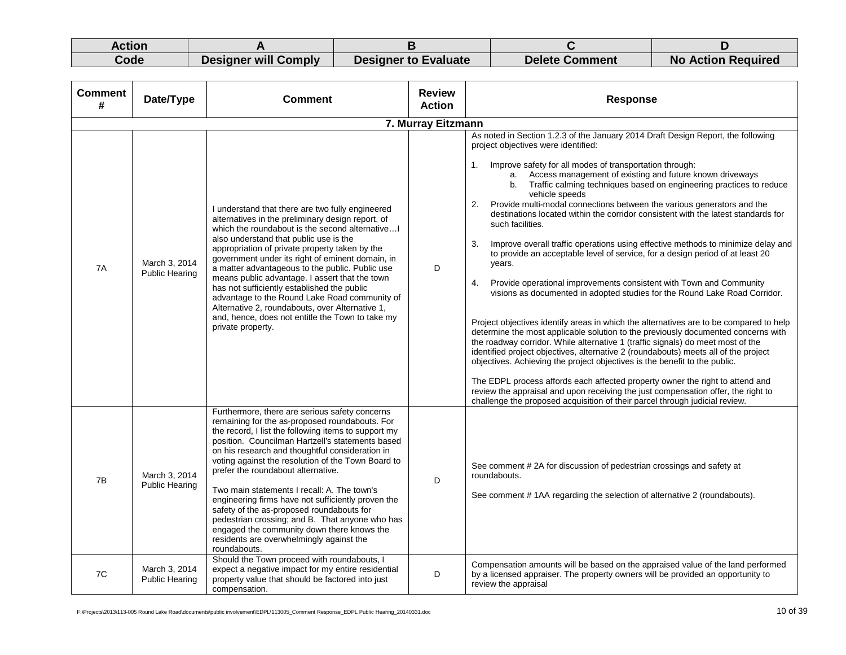| Action |                             |                             |                       |                           |
|--------|-----------------------------|-----------------------------|-----------------------|---------------------------|
| Code   | <b>Designer will Comply</b> | <b>Designer to Evaluate</b> | <b>Delete Comment</b> | <b>No Action Required</b> |

| <b>Comment</b><br># | Date/Type                              | <b>Comment</b>                                                                                                                                                                                                                                                                                                                                                                                                                                                                                                                                                                                                                                                             | <b>Review</b><br><b>Action</b> | <b>Response</b>                                                                                                                                                                                                                                                                                                                                                                                                                                                                                                                                                                                                                                                                                                                                                                                                                                                                                                                                                                                                                                                                                                                                                                                                                                                                                                                                                                                                                                                                                                                                                                          |
|---------------------|----------------------------------------|----------------------------------------------------------------------------------------------------------------------------------------------------------------------------------------------------------------------------------------------------------------------------------------------------------------------------------------------------------------------------------------------------------------------------------------------------------------------------------------------------------------------------------------------------------------------------------------------------------------------------------------------------------------------------|--------------------------------|------------------------------------------------------------------------------------------------------------------------------------------------------------------------------------------------------------------------------------------------------------------------------------------------------------------------------------------------------------------------------------------------------------------------------------------------------------------------------------------------------------------------------------------------------------------------------------------------------------------------------------------------------------------------------------------------------------------------------------------------------------------------------------------------------------------------------------------------------------------------------------------------------------------------------------------------------------------------------------------------------------------------------------------------------------------------------------------------------------------------------------------------------------------------------------------------------------------------------------------------------------------------------------------------------------------------------------------------------------------------------------------------------------------------------------------------------------------------------------------------------------------------------------------------------------------------------------------|
|                     |                                        |                                                                                                                                                                                                                                                                                                                                                                                                                                                                                                                                                                                                                                                                            | 7. Murray Eitzmann             |                                                                                                                                                                                                                                                                                                                                                                                                                                                                                                                                                                                                                                                                                                                                                                                                                                                                                                                                                                                                                                                                                                                                                                                                                                                                                                                                                                                                                                                                                                                                                                                          |
| 7A                  | March 3, 2014<br><b>Public Hearing</b> | I understand that there are two fully engineered<br>alternatives in the preliminary design report, of<br>which the roundabout is the second alternative<br>also understand that public use is the<br>appropriation of private property taken by the<br>government under its right of eminent domain, in<br>a matter advantageous to the public. Public use<br>means public advantage. I assert that the town<br>has not sufficiently established the public<br>advantage to the Round Lake Road community of<br>Alternative 2, roundabouts, over Alternative 1,<br>and, hence, does not entitle the Town to take my<br>private property.                                   | D                              | As noted in Section 1.2.3 of the January 2014 Draft Design Report, the following<br>project objectives were identified:<br>Improve safety for all modes of transportation through:<br>1.<br>a. Access management of existing and future known driveways<br>b. Traffic calming techniques based on engineering practices to reduce<br>vehicle speeds<br>Provide multi-modal connections between the various generators and the<br>2.<br>destinations located within the corridor consistent with the latest standards for<br>such facilities.<br>3.<br>Improve overall traffic operations using effective methods to minimize delay and<br>to provide an acceptable level of service, for a design period of at least 20<br>years.<br>Provide operational improvements consistent with Town and Community<br>4.<br>visions as documented in adopted studies for the Round Lake Road Corridor.<br>Project objectives identify areas in which the alternatives are to be compared to help<br>determine the most applicable solution to the previously documented concerns with<br>the roadway corridor. While alternative 1 (traffic signals) do meet most of the<br>identified project objectives, alternative 2 (roundabouts) meets all of the project<br>objectives. Achieving the project objectives is the benefit to the public.<br>The EDPL process affords each affected property owner the right to attend and<br>review the appraisal and upon receiving the just compensation offer, the right to<br>challenge the proposed acquisition of their parcel through judicial review. |
| 7B                  | March 3, 2014<br><b>Public Hearing</b> | Furthermore, there are serious safety concerns<br>remaining for the as-proposed roundabouts. For<br>the record, I list the following items to support my<br>position. Councilman Hartzell's statements based<br>on his research and thoughtful consideration in<br>voting against the resolution of the Town Board to<br>prefer the roundabout alternative.<br>Two main statements I recall: A. The town's<br>engineering firms have not sufficiently proven the<br>safety of the as-proposed roundabouts for<br>pedestrian crossing; and B. That anyone who has<br>engaged the community down there knows the<br>residents are overwhelmingly against the<br>roundabouts. | D                              | See comment #2A for discussion of pedestrian crossings and safety at<br>roundabouts.<br>See comment #1AA regarding the selection of alternative 2 (roundabouts).                                                                                                                                                                                                                                                                                                                                                                                                                                                                                                                                                                                                                                                                                                                                                                                                                                                                                                                                                                                                                                                                                                                                                                                                                                                                                                                                                                                                                         |
| 7C                  | March 3, 2014<br><b>Public Hearing</b> | Should the Town proceed with roundabouts, I<br>expect a negative impact for my entire residential<br>property value that should be factored into just<br>compensation.                                                                                                                                                                                                                                                                                                                                                                                                                                                                                                     | D                              | Compensation amounts will be based on the appraised value of the land performed<br>by a licensed appraiser. The property owners will be provided an opportunity to<br>review the appraisal                                                                                                                                                                                                                                                                                                                                                                                                                                                                                                                                                                                                                                                                                                                                                                                                                                                                                                                                                                                                                                                                                                                                                                                                                                                                                                                                                                                               |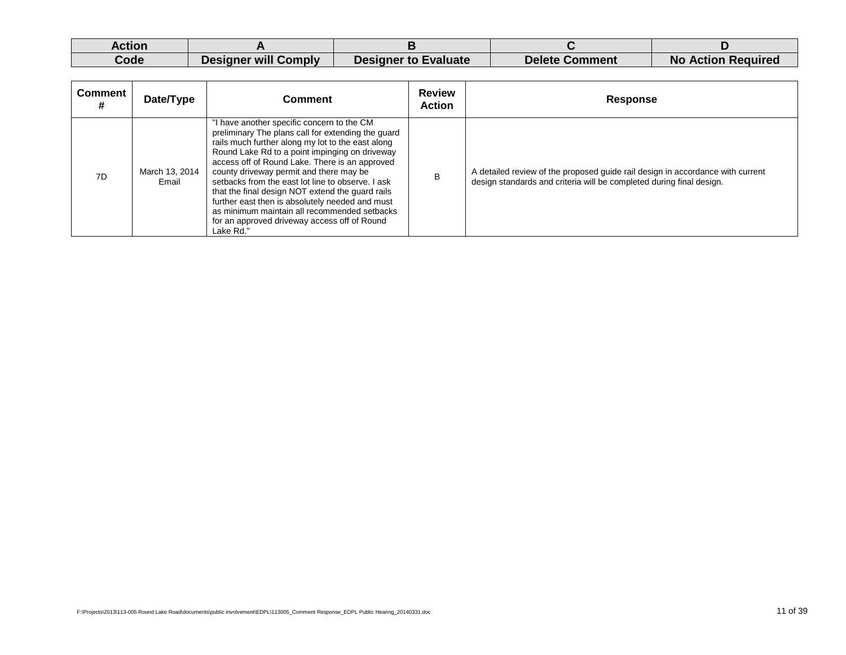| Action |                      |                             |                       |                           |
|--------|----------------------|-----------------------------|-----------------------|---------------------------|
| Code   | Designer will Comply | <b>Designer to Evaluate</b> | <b>Delete Comment</b> | <b>No Action Required</b> |

| Comment | Date/Type               | Comment                                                                                                                                                                                                                                                                                                                                                                                                                                                                                                                                                                       | <b>Review</b><br><b>Action</b> | <b>Response</b>                                                                                                                                        |
|---------|-------------------------|-------------------------------------------------------------------------------------------------------------------------------------------------------------------------------------------------------------------------------------------------------------------------------------------------------------------------------------------------------------------------------------------------------------------------------------------------------------------------------------------------------------------------------------------------------------------------------|--------------------------------|--------------------------------------------------------------------------------------------------------------------------------------------------------|
| 7D      | March 13, 2014<br>Email | "I have another specific concern to the CM<br>preliminary The plans call for extending the quard<br>rails much further along my lot to the east along<br>Round Lake Rd to a point impinging on driveway<br>access off of Round Lake. There is an approved<br>county driveway permit and there may be<br>setbacks from the east lot line to observe. I ask<br>that the final design NOT extend the quard rails<br>further east then is absolutely needed and must<br>as minimum maintain all recommended setbacks<br>for an approved driveway access off of Round<br>Lake Rd." | B                              | A detailed review of the proposed guide rail design in accordance with current<br>design standards and criteria will be completed during final design. |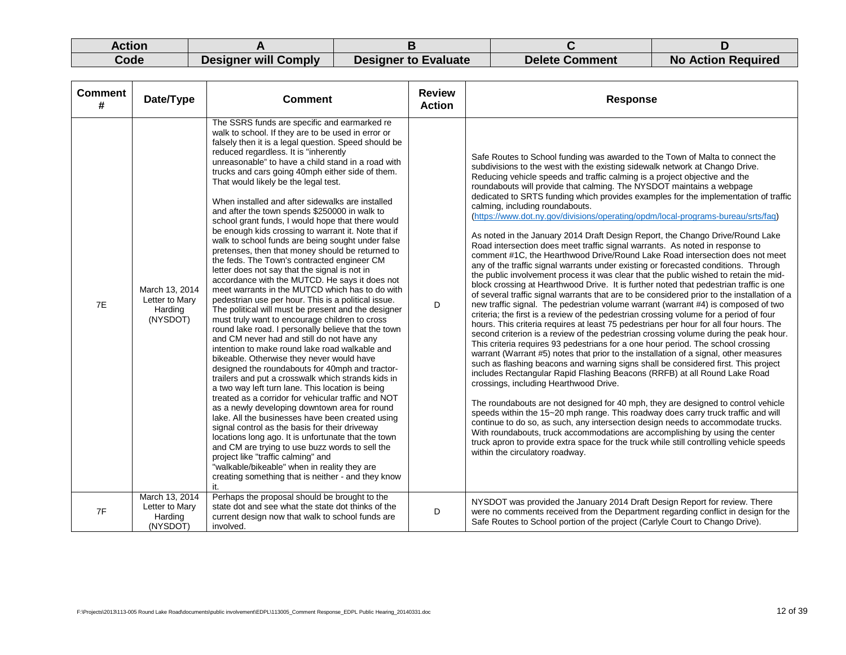| Action |                             |                      |                       |                           |
|--------|-----------------------------|----------------------|-----------------------|---------------------------|
| Code   | <b>Designer will Comply</b> | Designer to Evaluate | <b>Delete Comment</b> | <b>No Action Required</b> |

| <b>Comment</b><br># | Date/Type                                               | <b>Comment</b>                                                                                                                                                                                                                                                                                                                                                                                                                                                                                                                                                                                                                                                                                                                                                                                                                                                                                                                                                                                                                                                                                                                                                                                                                                                                                                                                                                                                                                                                                                                                                                                                                                                                                                                                                                                                                                                                            | <b>Review</b><br><b>Action</b> | <b>Response</b>                                                                                                                                                                                                                                                                                                                                                                                                                                                                                                                                                                                                                                                                                                                                                                                                                                                                                                                                                                                                                                                                                                                                                                                                                                                                                                                                                                                                                                                                                                                                                                                                                                                                                                                                                                                                                                                                                                                                                                                                                                                                                                                                                                                                                                                                                                                                                                                     |
|---------------------|---------------------------------------------------------|-------------------------------------------------------------------------------------------------------------------------------------------------------------------------------------------------------------------------------------------------------------------------------------------------------------------------------------------------------------------------------------------------------------------------------------------------------------------------------------------------------------------------------------------------------------------------------------------------------------------------------------------------------------------------------------------------------------------------------------------------------------------------------------------------------------------------------------------------------------------------------------------------------------------------------------------------------------------------------------------------------------------------------------------------------------------------------------------------------------------------------------------------------------------------------------------------------------------------------------------------------------------------------------------------------------------------------------------------------------------------------------------------------------------------------------------------------------------------------------------------------------------------------------------------------------------------------------------------------------------------------------------------------------------------------------------------------------------------------------------------------------------------------------------------------------------------------------------------------------------------------------------|--------------------------------|-----------------------------------------------------------------------------------------------------------------------------------------------------------------------------------------------------------------------------------------------------------------------------------------------------------------------------------------------------------------------------------------------------------------------------------------------------------------------------------------------------------------------------------------------------------------------------------------------------------------------------------------------------------------------------------------------------------------------------------------------------------------------------------------------------------------------------------------------------------------------------------------------------------------------------------------------------------------------------------------------------------------------------------------------------------------------------------------------------------------------------------------------------------------------------------------------------------------------------------------------------------------------------------------------------------------------------------------------------------------------------------------------------------------------------------------------------------------------------------------------------------------------------------------------------------------------------------------------------------------------------------------------------------------------------------------------------------------------------------------------------------------------------------------------------------------------------------------------------------------------------------------------------------------------------------------------------------------------------------------------------------------------------------------------------------------------------------------------------------------------------------------------------------------------------------------------------------------------------------------------------------------------------------------------------------------------------------------------------------------------------------------------------|
| <b>7E</b>           | March 13, 2014<br>Letter to Mary<br>Harding<br>(NYSDOT) | The SSRS funds are specific and earmarked re<br>walk to school. If they are to be used in error or<br>falsely then it is a legal question. Speed should be<br>reduced regardless. It is "inherently<br>unreasonable" to have a child stand in a road with<br>trucks and cars going 40mph either side of them.<br>That would likely be the legal test.<br>When installed and after sidewalks are installed<br>and after the town spends \$250000 in walk to<br>school grant funds, I would hope that there would<br>be enough kids crossing to warrant it. Note that if<br>walk to school funds are being sought under false<br>pretenses, then that money should be returned to<br>the feds. The Town's contracted engineer CM<br>letter does not say that the signal is not in<br>accordance with the MUTCD. He says it does not<br>meet warrants in the MUTCD which has to do with<br>pedestrian use per hour. This is a political issue.<br>The political will must be present and the designer<br>must truly want to encourage children to cross<br>round lake road. I personally believe that the town<br>and CM never had and still do not have any<br>intention to make round lake road walkable and<br>bikeable. Otherwise they never would have<br>designed the roundabouts for 40mph and tractor-<br>trailers and put a crosswalk which strands kids in<br>a two way left turn lane. This location is being<br>treated as a corridor for vehicular traffic and NOT<br>as a newly developing downtown area for round<br>lake. All the businesses have been created using<br>signal control as the basis for their driveway<br>locations long ago. It is unfortunate that the town<br>and CM are trying to use buzz words to sell the<br>project like "traffic calming" and<br>"walkable/bikeable" when in reality they are<br>creating something that is neither - and they know | D                              | Safe Routes to School funding was awarded to the Town of Malta to connect the<br>subdivisions to the west with the existing sidewalk network at Chango Drive.<br>Reducing vehicle speeds and traffic calming is a project objective and the<br>roundabouts will provide that calming. The NYSDOT maintains a webpage<br>dedicated to SRTS funding which provides examples for the implementation of traffic<br>calming, including roundabouts.<br>(https://www.dot.ny.gov/divisions/operating/opdm/local-programs-bureau/srts/faq)<br>As noted in the January 2014 Draft Design Report, the Chango Drive/Round Lake<br>Road intersection does meet traffic signal warrants. As noted in response to<br>comment #1C, the Hearthwood Drive/Round Lake Road intersection does not meet<br>any of the traffic signal warrants under existing or forecasted conditions. Through<br>the public involvement process it was clear that the public wished to retain the mid-<br>block crossing at Hearthwood Drive. It is further noted that pedestrian traffic is one<br>of several traffic signal warrants that are to be considered prior to the installation of a<br>new traffic signal. The pedestrian volume warrant (warrant #4) is composed of two<br>criteria; the first is a review of the pedestrian crossing volume for a period of four<br>hours. This criteria requires at least 75 pedestrians per hour for all four hours. The<br>second criterion is a review of the pedestrian crossing volume during the peak hour.<br>This criteria requires 93 pedestrians for a one hour period. The school crossing<br>warrant (Warrant #5) notes that prior to the installation of a signal, other measures<br>such as flashing beacons and warning signs shall be considered first. This project<br>includes Rectangular Rapid Flashing Beacons (RRFB) at all Round Lake Road<br>crossings, including Hearthwood Drive.<br>The roundabouts are not designed for 40 mph, they are designed to control vehicle<br>speeds within the 15~20 mph range. This roadway does carry truck traffic and will<br>continue to do so, as such, any intersection design needs to accommodate trucks.<br>With roundabouts, truck accommodations are accomplishing by using the center<br>truck apron to provide extra space for the truck while still controlling vehicle speeds<br>within the circulatory roadway. |
| 7F                  | March 13, 2014<br>Letter to Mary<br>Harding<br>(NYSDOT) | Perhaps the proposal should be brought to the<br>state dot and see what the state dot thinks of the<br>current design now that walk to school funds are<br>involved.                                                                                                                                                                                                                                                                                                                                                                                                                                                                                                                                                                                                                                                                                                                                                                                                                                                                                                                                                                                                                                                                                                                                                                                                                                                                                                                                                                                                                                                                                                                                                                                                                                                                                                                      | D                              | NYSDOT was provided the January 2014 Draft Design Report for review. There<br>were no comments received from the Department regarding conflict in design for the<br>Safe Routes to School portion of the project (Carlyle Court to Chango Drive).                                                                                                                                                                                                                                                                                                                                                                                                                                                                                                                                                                                                                                                                                                                                                                                                                                                                                                                                                                                                                                                                                                                                                                                                                                                                                                                                                                                                                                                                                                                                                                                                                                                                                                                                                                                                                                                                                                                                                                                                                                                                                                                                                   |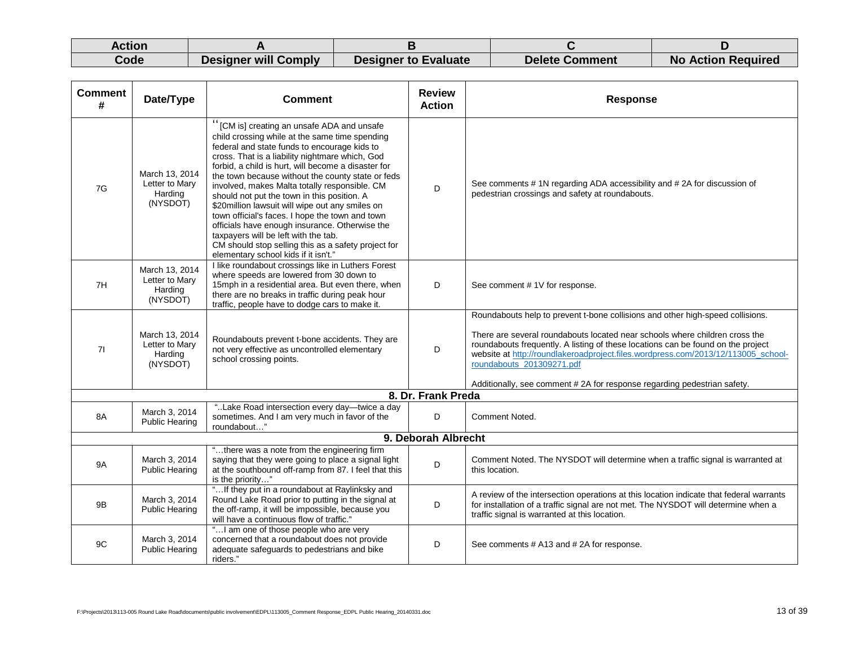| Action |                      |                             |                       |                           |
|--------|----------------------|-----------------------------|-----------------------|---------------------------|
| Code   | Designer will Comply | <b>Designer to Evaluate</b> | <b>Delete Comment</b> | <b>No Action Required</b> |

| <b>Comment</b><br># | Date/Type                                               | <b>Comment</b>                                                                                                                                                                                                                                                                                                                                                                                                                                                                                                                                                                                                                                                                                             | <b>Review</b><br><b>Action</b> | <b>Response</b>                                                                                                                                                                                                                                                                                                                                                                                                                                |
|---------------------|---------------------------------------------------------|------------------------------------------------------------------------------------------------------------------------------------------------------------------------------------------------------------------------------------------------------------------------------------------------------------------------------------------------------------------------------------------------------------------------------------------------------------------------------------------------------------------------------------------------------------------------------------------------------------------------------------------------------------------------------------------------------------|--------------------------------|------------------------------------------------------------------------------------------------------------------------------------------------------------------------------------------------------------------------------------------------------------------------------------------------------------------------------------------------------------------------------------------------------------------------------------------------|
| 7G                  | March 13, 2014<br>Letter to Mary<br>Harding<br>(NYSDOT) | "[CM is] creating an unsafe ADA and unsafe<br>child crossing while at the same time spending<br>federal and state funds to encourage kids to<br>cross. That is a liability nightmare which, God<br>forbid, a child is hurt, will become a disaster for<br>the town because without the county state or feds<br>involved, makes Malta totally responsible. CM<br>should not put the town in this position. A<br>\$20million lawsuit will wipe out any smiles on<br>town official's faces. I hope the town and town<br>officials have enough insurance. Otherwise the<br>taxpayers will be left with the tab.<br>CM should stop selling this as a safety project for<br>elementary school kids if it isn't." | D                              | See comments # 1N regarding ADA accessibility and # 2A for discussion of<br>pedestrian crossings and safety at roundabouts.                                                                                                                                                                                                                                                                                                                    |
| 7H                  | March 13, 2014<br>Letter to Mary<br>Harding<br>(NYSDOT) | I like roundabout crossings like in Luthers Forest<br>where speeds are lowered from 30 down to<br>15mph in a residential area. But even there, when<br>there are no breaks in traffic during peak hour<br>traffic, people have to dodge cars to make it.                                                                                                                                                                                                                                                                                                                                                                                                                                                   | D                              | See comment #1V for response.                                                                                                                                                                                                                                                                                                                                                                                                                  |
| 71                  | March 13, 2014<br>Letter to Mary<br>Harding<br>(NYSDOT) | Roundabouts prevent t-bone accidents. They are<br>not very effective as uncontrolled elementary<br>school crossing points.                                                                                                                                                                                                                                                                                                                                                                                                                                                                                                                                                                                 | D                              | Roundabouts help to prevent t-bone collisions and other high-speed collisions.<br>There are several roundabouts located near schools where children cross the<br>roundabouts frequently. A listing of these locations can be found on the project<br>website at http://roundlakeroadproject.files.wordpress.com/2013/12/113005_school-<br>roundabouts_201309271.pdf<br>Additionally, see comment #2A for response regarding pedestrian safety. |
|                     |                                                         |                                                                                                                                                                                                                                                                                                                                                                                                                                                                                                                                                                                                                                                                                                            | 8. Dr. Frank Preda             |                                                                                                                                                                                                                                                                                                                                                                                                                                                |
| 8A                  | March 3, 2014<br><b>Public Hearing</b>                  | "Lake Road intersection every day-twice a day<br>sometimes. And I am very much in favor of the<br>roundabout"                                                                                                                                                                                                                                                                                                                                                                                                                                                                                                                                                                                              | D                              | Comment Noted.                                                                                                                                                                                                                                                                                                                                                                                                                                 |
|                     |                                                         |                                                                                                                                                                                                                                                                                                                                                                                                                                                                                                                                                                                                                                                                                                            | 9. Deborah Albrecht            |                                                                                                                                                                                                                                                                                                                                                                                                                                                |
| <b>9A</b>           | March 3, 2014<br><b>Public Hearing</b>                  | "there was a note from the engineering firm<br>saying that they were going to place a signal light<br>at the southbound off-ramp from 87. I feel that this<br>is the priority"                                                                                                                                                                                                                                                                                                                                                                                                                                                                                                                             | D                              | Comment Noted. The NYSDOT will determine when a traffic signal is warranted at<br>this location.                                                                                                                                                                                                                                                                                                                                               |
| 9B                  | March 3, 2014<br><b>Public Hearing</b>                  | " If they put in a roundabout at Raylinksky and<br>Round Lake Road prior to putting in the signal at<br>the off-ramp, it will be impossible, because you<br>will have a continuous flow of traffic."                                                                                                                                                                                                                                                                                                                                                                                                                                                                                                       | D                              | A review of the intersection operations at this location indicate that federal warrants<br>for installation of a traffic signal are not met. The NYSDOT will determine when a<br>traffic signal is warranted at this location.                                                                                                                                                                                                                 |
| 9C                  | March 3, 2014<br><b>Public Hearing</b>                  | " I am one of those people who are very<br>concerned that a roundabout does not provide<br>adequate safeguards to pedestrians and bike<br>riders."                                                                                                                                                                                                                                                                                                                                                                                                                                                                                                                                                         | D                              | See comments # A13 and # 2A for response.                                                                                                                                                                                                                                                                                                                                                                                                      |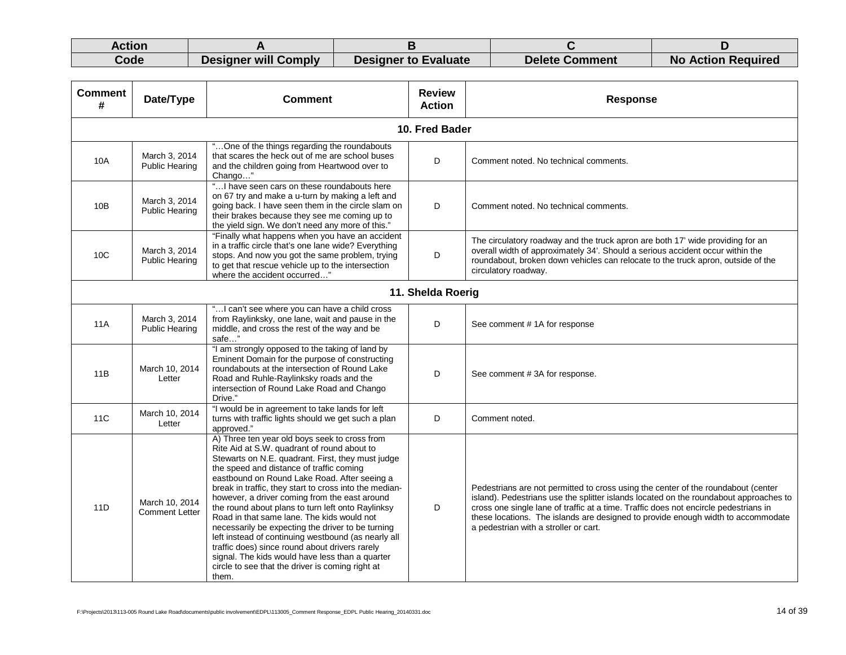| Action |                      |                             |                |                           |
|--------|----------------------|-----------------------------|----------------|---------------------------|
| Code   | Designer will Comply | <b>Designer to Evaluate</b> | Delete Comment | <b>No Action Required</b> |

| <b>Comment</b><br># | Date/Type                               | <b>Comment</b>                                                                                                                                                                                                                                                                                                                                                                                                                                                                                                                                                                                                                                                                                                                            | <b>Review</b><br><b>Action</b> | <b>Response</b>                                                                                                                                                                                                                                                                                                                                                                                 |
|---------------------|-----------------------------------------|-------------------------------------------------------------------------------------------------------------------------------------------------------------------------------------------------------------------------------------------------------------------------------------------------------------------------------------------------------------------------------------------------------------------------------------------------------------------------------------------------------------------------------------------------------------------------------------------------------------------------------------------------------------------------------------------------------------------------------------------|--------------------------------|-------------------------------------------------------------------------------------------------------------------------------------------------------------------------------------------------------------------------------------------------------------------------------------------------------------------------------------------------------------------------------------------------|
|                     |                                         |                                                                                                                                                                                                                                                                                                                                                                                                                                                                                                                                                                                                                                                                                                                                           | 10. Fred Bader                 |                                                                                                                                                                                                                                                                                                                                                                                                 |
| 10A                 | March 3, 2014<br><b>Public Hearing</b>  | "One of the things regarding the roundabouts<br>that scares the heck out of me are school buses<br>and the children going from Heartwood over to<br>Chango"                                                                                                                                                                                                                                                                                                                                                                                                                                                                                                                                                                               | D                              | Comment noted. No technical comments.                                                                                                                                                                                                                                                                                                                                                           |
| 10B                 | March 3, 2014<br><b>Public Hearing</b>  | " I have seen cars on these roundabouts here<br>on 67 try and make a u-turn by making a left and<br>going back. I have seen them in the circle slam on<br>their brakes because they see me coming up to<br>the yield sign. We don't need any more of this."                                                                                                                                                                                                                                                                                                                                                                                                                                                                               | D                              | Comment noted. No technical comments.                                                                                                                                                                                                                                                                                                                                                           |
| 10 <sub>C</sub>     | March 3, 2014<br><b>Public Hearing</b>  | "Finally what happens when you have an accident<br>in a traffic circle that's one lane wide? Everything<br>stops. And now you got the same problem, trying<br>to get that rescue vehicle up to the intersection<br>where the accident occurred"                                                                                                                                                                                                                                                                                                                                                                                                                                                                                           | D                              | The circulatory roadway and the truck apron are both 17' wide providing for an<br>overall width of approximately 34'. Should a serious accident occur within the<br>roundabout, broken down vehicles can relocate to the truck apron, outside of the<br>circulatory roadway.                                                                                                                    |
| 11. Shelda Roerig   |                                         |                                                                                                                                                                                                                                                                                                                                                                                                                                                                                                                                                                                                                                                                                                                                           |                                |                                                                                                                                                                                                                                                                                                                                                                                                 |
| 11A                 | March 3, 2014<br><b>Public Hearing</b>  | " I can't see where you can have a child cross<br>from Raylinksky, one lane, wait and pause in the<br>middle, and cross the rest of the way and be<br>safe"                                                                                                                                                                                                                                                                                                                                                                                                                                                                                                                                                                               | D                              | See comment #1A for response                                                                                                                                                                                                                                                                                                                                                                    |
| 11B                 | March 10, 2014<br>Letter                | "I am strongly opposed to the taking of land by<br>Eminent Domain for the purpose of constructing<br>roundabouts at the intersection of Round Lake<br>Road and Ruhle-Raylinksky roads and the<br>intersection of Round Lake Road and Chango<br>Drive."                                                                                                                                                                                                                                                                                                                                                                                                                                                                                    | D                              | See comment #3A for response.                                                                                                                                                                                                                                                                                                                                                                   |
| 11C                 | March 10, 2014<br>Letter                | "I would be in agreement to take lands for left<br>turns with traffic lights should we get such a plan<br>approved."                                                                                                                                                                                                                                                                                                                                                                                                                                                                                                                                                                                                                      | D                              | Comment noted.                                                                                                                                                                                                                                                                                                                                                                                  |
| 11D                 | March 10, 2014<br><b>Comment Letter</b> | A) Three ten year old boys seek to cross from<br>Rite Aid at S.W. quadrant of round about to<br>Stewarts on N.E. quadrant. First, they must judge<br>the speed and distance of traffic coming<br>eastbound on Round Lake Road. After seeing a<br>break in traffic, they start to cross into the median-<br>however, a driver coming from the east around<br>the round about plans to turn left onto Raylinksy<br>Road in that same lane. The kids would not<br>necessarily be expecting the driver to be turning<br>left instead of continuing westbound (as nearly all<br>traffic does) since round about drivers rarely<br>signal. The kids would have less than a quarter<br>circle to see that the driver is coming right at<br>them. | D                              | Pedestrians are not permitted to cross using the center of the roundabout (center<br>island). Pedestrians use the splitter islands located on the roundabout approaches to<br>cross one single lane of traffic at a time. Traffic does not encircle pedestrians in<br>these locations. The islands are designed to provide enough width to accommodate<br>a pedestrian with a stroller or cart. |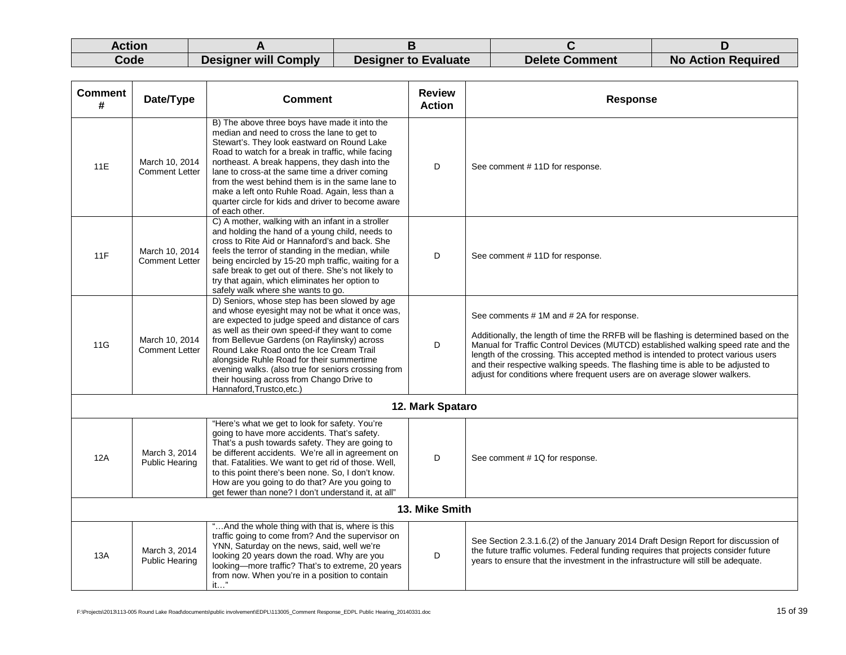| Action |                             |                             |                |                           |
|--------|-----------------------------|-----------------------------|----------------|---------------------------|
| Code   | <b>Designer will Comply</b> | <b>Designer to Evaluate</b> | Delete Comment | <b>No Action Required</b> |

| <b>Comment</b><br># | Date/Type                               | <b>Comment</b>                                                                                                                                                                                                                                                                                                                                                                                                                                                                       | <b>Review</b><br><b>Action</b> | <b>Response</b>                                                                                                                                                                                                                                                                                                                                                                                                                                                            |  |
|---------------------|-----------------------------------------|--------------------------------------------------------------------------------------------------------------------------------------------------------------------------------------------------------------------------------------------------------------------------------------------------------------------------------------------------------------------------------------------------------------------------------------------------------------------------------------|--------------------------------|----------------------------------------------------------------------------------------------------------------------------------------------------------------------------------------------------------------------------------------------------------------------------------------------------------------------------------------------------------------------------------------------------------------------------------------------------------------------------|--|
| 11E                 | March 10, 2014<br><b>Comment Letter</b> | B) The above three boys have made it into the<br>median and need to cross the lane to get to<br>Stewart's. They look eastward on Round Lake<br>Road to watch for a break in traffic, while facing<br>northeast. A break happens, they dash into the<br>lane to cross-at the same time a driver coming<br>from the west behind them is in the same lane to<br>make a left onto Ruhle Road. Again, less than a<br>quarter circle for kids and driver to become aware<br>of each other. | D                              | See comment #11D for response.                                                                                                                                                                                                                                                                                                                                                                                                                                             |  |
| 11F                 | March 10, 2014<br><b>Comment Letter</b> | C) A mother, walking with an infant in a stroller<br>and holding the hand of a young child, needs to<br>cross to Rite Aid or Hannaford's and back. She<br>feels the terror of standing in the median, while<br>being encircled by 15-20 mph traffic, waiting for a<br>safe break to get out of there. She's not likely to<br>try that again, which eliminates her option to<br>safely walk where she wants to go.                                                                    | D                              | See comment #11D for response.                                                                                                                                                                                                                                                                                                                                                                                                                                             |  |
| 11G                 | March 10, 2014<br><b>Comment Letter</b> | D) Seniors, whose step has been slowed by age<br>and whose eyesight may not be what it once was,<br>are expected to judge speed and distance of cars<br>as well as their own speed-if they want to come<br>from Bellevue Gardens (on Raylinsky) across<br>Round Lake Road onto the Ice Cream Trail<br>alongside Ruhle Road for their summertime<br>evening walks. (also true for seniors crossing from<br>their housing across from Chango Drive to<br>Hannaford.Trustco.etc.)       | D                              | See comments #1M and #2A for response.<br>Additionally, the length of time the RRFB will be flashing is determined based on the<br>Manual for Traffic Control Devices (MUTCD) established walking speed rate and the<br>length of the crossing. This accepted method is intended to protect various users<br>and their respective walking speeds. The flashing time is able to be adjusted to<br>adjust for conditions where frequent users are on average slower walkers. |  |
|                     |                                         |                                                                                                                                                                                                                                                                                                                                                                                                                                                                                      | 12. Mark Spataro               |                                                                                                                                                                                                                                                                                                                                                                                                                                                                            |  |
| 12A                 | March 3, 2014<br><b>Public Hearing</b>  | "Here's what we get to look for safety. You're<br>going to have more accidents. That's safety.<br>That's a push towards safety. They are going to<br>be different accidents. We're all in agreement on<br>that. Fatalities. We want to get rid of those. Well,<br>to this point there's been none. So, I don't know.<br>How are you going to do that? Are you going to<br>get fewer than none? I don't understand it, at all"                                                        | D                              | See comment #1Q for response.                                                                                                                                                                                                                                                                                                                                                                                                                                              |  |
| 13. Mike Smith      |                                         |                                                                                                                                                                                                                                                                                                                                                                                                                                                                                      |                                |                                                                                                                                                                                                                                                                                                                                                                                                                                                                            |  |
| 13A                 | March 3, 2014<br><b>Public Hearing</b>  | "And the whole thing with that is, where is this<br>traffic going to come from? And the supervisor on<br>YNN, Saturday on the news, said, well we're<br>looking 20 years down the road. Why are you<br>looking-more traffic? That's to extreme, 20 years<br>from now. When you're in a position to contain<br>$it$ "                                                                                                                                                                 | D                              | See Section 2.3.1.6.(2) of the January 2014 Draft Design Report for discussion of<br>the future traffic volumes. Federal funding requires that projects consider future<br>years to ensure that the investment in the infrastructure will still be adequate.                                                                                                                                                                                                               |  |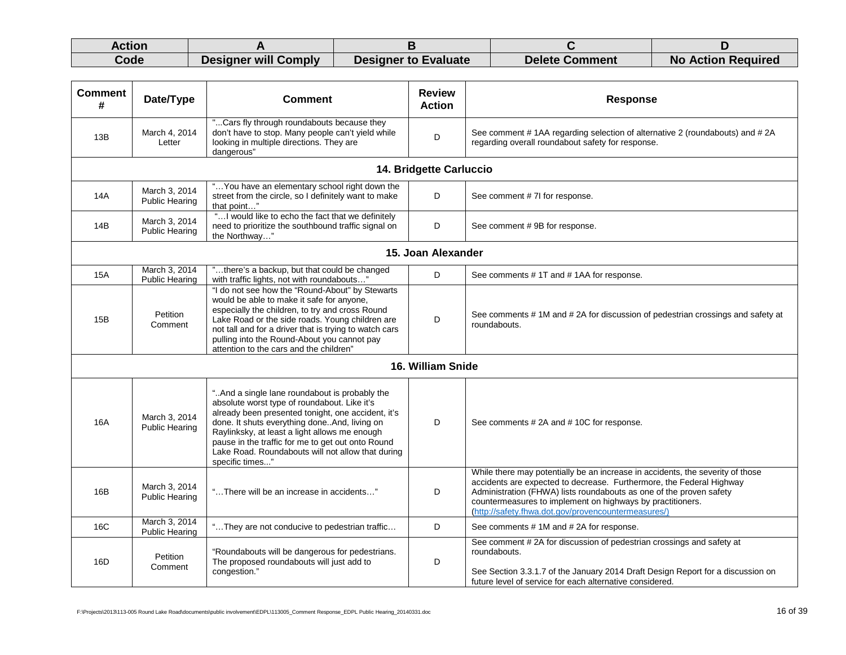| Action |                      |                             |                |                           |
|--------|----------------------|-----------------------------|----------------|---------------------------|
| Code   | Designer will Comply | <b>Designer to Evaluate</b> | Delete Comment | <b>No Action Required</b> |

| <b>Comment</b><br>#                                                                                                                                                                                    | Date/Type                              | <b>Comment</b>                                                                                                                                                                                                                                                                                                                                                                      | <b>Review</b><br><b>Action</b> | <b>Response</b>                                                                                                                                                                                                                                                                                                                                    |  |  |  |
|--------------------------------------------------------------------------------------------------------------------------------------------------------------------------------------------------------|----------------------------------------|-------------------------------------------------------------------------------------------------------------------------------------------------------------------------------------------------------------------------------------------------------------------------------------------------------------------------------------------------------------------------------------|--------------------------------|----------------------------------------------------------------------------------------------------------------------------------------------------------------------------------------------------------------------------------------------------------------------------------------------------------------------------------------------------|--|--|--|
| 13B                                                                                                                                                                                                    | March 4, 2014<br>Letter                | "Cars fly through roundabouts because they<br>don't have to stop. Many people can't yield while<br>looking in multiple directions. They are<br>dangerous"                                                                                                                                                                                                                           | D                              | See comment #1AA regarding selection of alternative 2 (roundabouts) and #2A<br>regarding overall roundabout safety for response.                                                                                                                                                                                                                   |  |  |  |
|                                                                                                                                                                                                        |                                        |                                                                                                                                                                                                                                                                                                                                                                                     | 14. Bridgette Carluccio        |                                                                                                                                                                                                                                                                                                                                                    |  |  |  |
| " You have an elementary school right down the<br>March 3, 2014<br>D<br>14A<br>street from the circle, so I definitely want to make<br>See comment # 7I for response.<br>Public Hearing<br>that point" |                                        |                                                                                                                                                                                                                                                                                                                                                                                     |                                |                                                                                                                                                                                                                                                                                                                                                    |  |  |  |
| 14B                                                                                                                                                                                                    | March 3, 2014<br><b>Public Hearing</b> | " I would like to echo the fact that we definitely<br>need to prioritize the southbound traffic signal on<br>the Northway"                                                                                                                                                                                                                                                          | D                              | See comment #9B for response.                                                                                                                                                                                                                                                                                                                      |  |  |  |
|                                                                                                                                                                                                        | 15. Joan Alexander                     |                                                                                                                                                                                                                                                                                                                                                                                     |                                |                                                                                                                                                                                                                                                                                                                                                    |  |  |  |
| <b>15A</b>                                                                                                                                                                                             | March 3, 2014<br><b>Public Hearing</b> | "there's a backup, but that could be changed<br>with traffic lights, not with roundabouts"                                                                                                                                                                                                                                                                                          | D                              | See comments #1T and #1AA for response.                                                                                                                                                                                                                                                                                                            |  |  |  |
| 15B                                                                                                                                                                                                    | Petition<br>Comment                    | "I do not see how the "Round-About" by Stewarts<br>would be able to make it safe for anyone,<br>especially the children, to try and cross Round<br>Lake Road or the side roads. Young children are<br>not tall and for a driver that is trying to watch cars<br>pulling into the Round-About you cannot pay<br>attention to the cars and the children"                              | D                              | See comments # 1M and # 2A for discussion of pedestrian crossings and safety at<br>roundabouts.                                                                                                                                                                                                                                                    |  |  |  |
|                                                                                                                                                                                                        |                                        |                                                                                                                                                                                                                                                                                                                                                                                     | 16. William Snide              |                                                                                                                                                                                                                                                                                                                                                    |  |  |  |
| 16A                                                                                                                                                                                                    | March 3, 2014<br>Public Hearing        | "And a single lane roundabout is probably the<br>absolute worst type of roundabout. Like it's<br>already been presented tonight, one accident, it's<br>done. It shuts everything done. And, living on<br>Raylinksky, at least a light allows me enough<br>pause in the traffic for me to get out onto Round<br>Lake Road. Roundabouts will not allow that during<br>specific times" | D                              | See comments #2A and #10C for response.                                                                                                                                                                                                                                                                                                            |  |  |  |
| 16B                                                                                                                                                                                                    | March 3, 2014<br><b>Public Hearing</b> | "There will be an increase in accidents"                                                                                                                                                                                                                                                                                                                                            | D                              | While there may potentially be an increase in accidents, the severity of those<br>accidents are expected to decrease. Furthermore, the Federal Highway<br>Administration (FHWA) lists roundabouts as one of the proven safety<br>countermeasures to implement on highways by practitioners.<br>(http://safety.fhwa.dot.gov/provencountermeasures/) |  |  |  |
| 16C                                                                                                                                                                                                    | March 3, 2014<br><b>Public Hearing</b> | "They are not conducive to pedestrian traffic                                                                                                                                                                                                                                                                                                                                       | D                              | See comments #1M and #2A for response.                                                                                                                                                                                                                                                                                                             |  |  |  |
| 16D                                                                                                                                                                                                    | Petition<br>Comment                    | "Roundabouts will be dangerous for pedestrians.<br>The proposed roundabouts will just add to<br>congestion."                                                                                                                                                                                                                                                                        | D                              | See comment #2A for discussion of pedestrian crossings and safety at<br>roundabouts.<br>See Section 3.3.1.7 of the January 2014 Draft Design Report for a discussion on<br>future level of service for each alternative considered.                                                                                                                |  |  |  |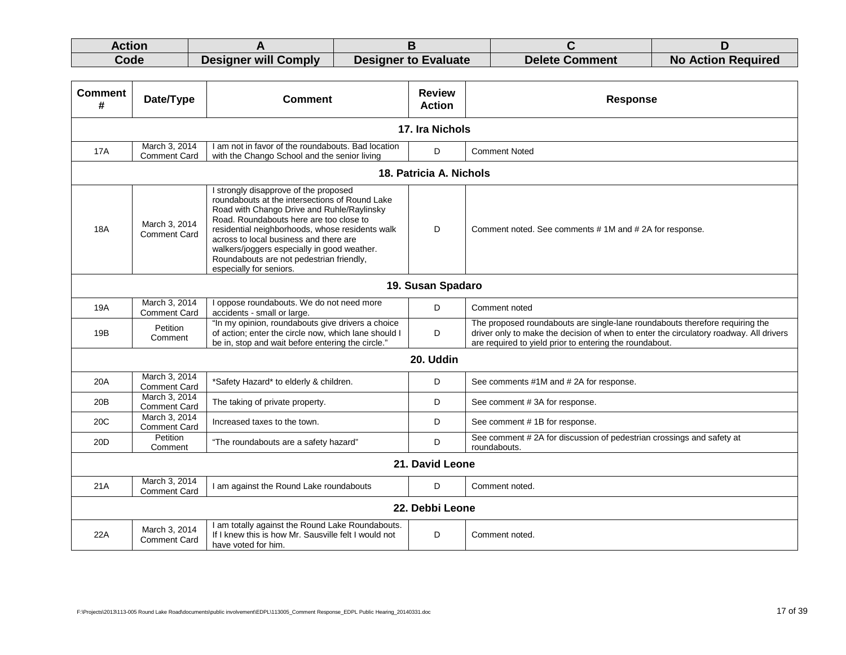| Action |                      |                             |                       |                           |
|--------|----------------------|-----------------------------|-----------------------|---------------------------|
| Code   | Designer will Comply | <b>Designer to Evaluate</b> | <b>Delete Comment</b> | <b>No Action Required</b> |

| <b>Comment</b><br># | Date/Type                            | <b>Comment</b>                                                                                                                                                                                                                                                                                                                                                                                      | <b>Review</b><br><b>Action</b> | <b>Response</b>                                                                                                                                                                                                                   |  |  |
|---------------------|--------------------------------------|-----------------------------------------------------------------------------------------------------------------------------------------------------------------------------------------------------------------------------------------------------------------------------------------------------------------------------------------------------------------------------------------------------|--------------------------------|-----------------------------------------------------------------------------------------------------------------------------------------------------------------------------------------------------------------------------------|--|--|
|                     | 17. Ira Nichols                      |                                                                                                                                                                                                                                                                                                                                                                                                     |                                |                                                                                                                                                                                                                                   |  |  |
| <b>17A</b>          | March 3, 2014<br><b>Comment Card</b> | I am not in favor of the roundabouts. Bad location<br>with the Chango School and the senior living                                                                                                                                                                                                                                                                                                  | D                              | <b>Comment Noted</b>                                                                                                                                                                                                              |  |  |
|                     |                                      |                                                                                                                                                                                                                                                                                                                                                                                                     | 18. Patricia A. Nichols        |                                                                                                                                                                                                                                   |  |  |
| <b>18A</b>          | March 3, 2014<br><b>Comment Card</b> | I strongly disapprove of the proposed<br>roundabouts at the intersections of Round Lake<br>Road with Chango Drive and Ruhle/Raylinsky<br>Road. Roundabouts here are too close to<br>residential neighborhoods, whose residents walk<br>across to local business and there are<br>walkers/joggers especially in good weather.<br>Roundabouts are not pedestrian friendly,<br>especially for seniors. | D                              | Comment noted. See comments #1M and #2A for response.                                                                                                                                                                             |  |  |
|                     | 19. Susan Spadaro                    |                                                                                                                                                                                                                                                                                                                                                                                                     |                                |                                                                                                                                                                                                                                   |  |  |
| 19A                 | March 3, 2014<br><b>Comment Card</b> | I oppose roundabouts. We do not need more<br>accidents - small or large.                                                                                                                                                                                                                                                                                                                            | D                              | Comment noted                                                                                                                                                                                                                     |  |  |
| 19B                 | Petition<br>Comment                  | "In my opinion, roundabouts give drivers a choice<br>of action; enter the circle now, which lane should I<br>be in, stop and wait before entering the circle."                                                                                                                                                                                                                                      | D                              | The proposed roundabouts are single-lane roundabouts therefore requiring the<br>driver only to make the decision of when to enter the circulatory roadway. All drivers<br>are required to yield prior to entering the roundabout. |  |  |
|                     |                                      |                                                                                                                                                                                                                                                                                                                                                                                                     | 20. Uddin                      |                                                                                                                                                                                                                                   |  |  |
| 20A                 | March 3, 2014<br><b>Comment Card</b> | *Safety Hazard* to elderly & children.                                                                                                                                                                                                                                                                                                                                                              | D                              | See comments #1M and #2A for response.                                                                                                                                                                                            |  |  |
| 20B                 | March 3, 2014<br><b>Comment Card</b> | The taking of private property.                                                                                                                                                                                                                                                                                                                                                                     | D                              | See comment #3A for response.                                                                                                                                                                                                     |  |  |
| 20C                 | March 3, 2014<br><b>Comment Card</b> | Increased taxes to the town.                                                                                                                                                                                                                                                                                                                                                                        | D                              | See comment #1B for response.                                                                                                                                                                                                     |  |  |
| 20D                 | Petition<br>Comment                  | "The roundabouts are a safety hazard"                                                                                                                                                                                                                                                                                                                                                               | D                              | See comment #2A for discussion of pedestrian crossings and safety at<br>roundabouts.                                                                                                                                              |  |  |
| 21. David Leone     |                                      |                                                                                                                                                                                                                                                                                                                                                                                                     |                                |                                                                                                                                                                                                                                   |  |  |
| 21A                 | March 3, 2014<br><b>Comment Card</b> | I am against the Round Lake roundabouts                                                                                                                                                                                                                                                                                                                                                             | D                              | Comment noted.                                                                                                                                                                                                                    |  |  |
|                     | 22. Debbi Leone                      |                                                                                                                                                                                                                                                                                                                                                                                                     |                                |                                                                                                                                                                                                                                   |  |  |
| 22A                 | March 3, 2014<br><b>Comment Card</b> | I am totally against the Round Lake Roundabouts.<br>If I knew this is how Mr. Sausville felt I would not<br>have voted for him.                                                                                                                                                                                                                                                                     | D                              | Comment noted.                                                                                                                                                                                                                    |  |  |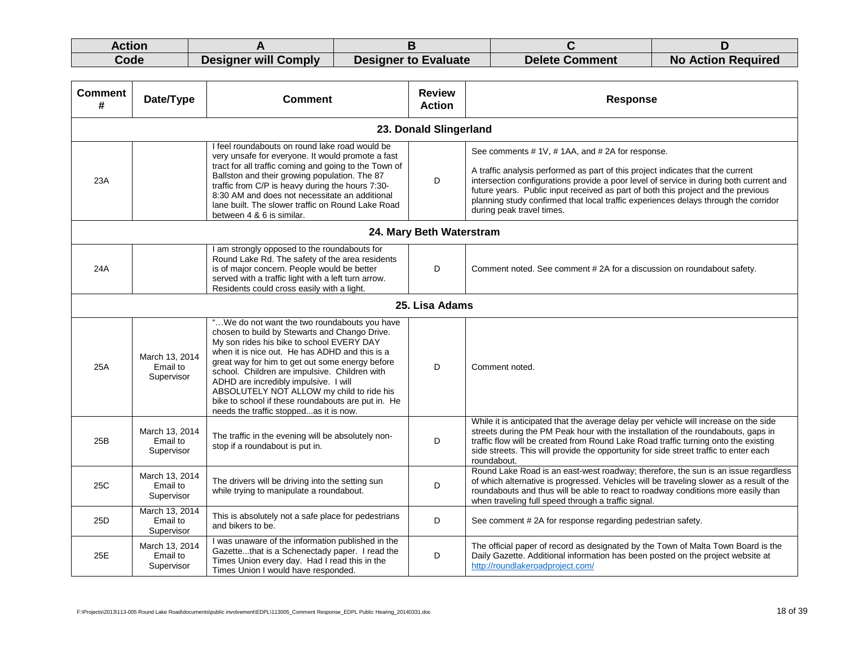| Action |                      |                             |                       |                           |
|--------|----------------------|-----------------------------|-----------------------|---------------------------|
| Code   | Designer will Comply | <b>Designer to Evaluate</b> | <b>Delete Comment</b> | <b>No Action Required</b> |

| <b>Comment</b><br># | Date/Type                                | <b>Comment</b>                                                                                                                                                                                                                                                                                                                                                                                                                                                                         | <b>Review</b><br><b>Action</b> | <b>Response</b>                                                                                                                                                                                                                                                                                                                                                                                                                     |  |  |
|---------------------|------------------------------------------|----------------------------------------------------------------------------------------------------------------------------------------------------------------------------------------------------------------------------------------------------------------------------------------------------------------------------------------------------------------------------------------------------------------------------------------------------------------------------------------|--------------------------------|-------------------------------------------------------------------------------------------------------------------------------------------------------------------------------------------------------------------------------------------------------------------------------------------------------------------------------------------------------------------------------------------------------------------------------------|--|--|
|                     |                                          |                                                                                                                                                                                                                                                                                                                                                                                                                                                                                        | 23. Donald Slingerland         |                                                                                                                                                                                                                                                                                                                                                                                                                                     |  |  |
| 23A                 |                                          | I feel roundabouts on round lake road would be<br>very unsafe for everyone. It would promote a fast<br>tract for all traffic coming and going to the Town of<br>Ballston and their growing population. The 87<br>traffic from C/P is heavy during the hours 7:30-<br>8:30 AM and does not necessitate an additional<br>lane built. The slower traffic on Round Lake Road<br>between 4 & 6 is similar.                                                                                  | D                              | See comments #1V, #1AA, and #2A for response.<br>A traffic analysis performed as part of this project indicates that the current<br>intersection configurations provide a poor level of service in during both current and<br>future years. Public input received as part of both this project and the previous<br>planning study confirmed that local traffic experiences delays through the corridor<br>during peak travel times. |  |  |
|                     |                                          |                                                                                                                                                                                                                                                                                                                                                                                                                                                                                        | 24. Mary Beth Waterstram       |                                                                                                                                                                                                                                                                                                                                                                                                                                     |  |  |
| 24A                 |                                          | am strongly opposed to the roundabouts for<br>Round Lake Rd. The safety of the area residents<br>is of major concern. People would be better<br>served with a traffic light with a left turn arrow.<br>Residents could cross easily with a light.                                                                                                                                                                                                                                      | D                              | Comment noted. See comment #2A for a discussion on roundabout safety.                                                                                                                                                                                                                                                                                                                                                               |  |  |
|                     | 25. Lisa Adams                           |                                                                                                                                                                                                                                                                                                                                                                                                                                                                                        |                                |                                                                                                                                                                                                                                                                                                                                                                                                                                     |  |  |
| 25A                 | March 13, 2014<br>Email to<br>Supervisor | "We do not want the two roundabouts you have<br>chosen to build by Stewarts and Chango Drive.<br>My son rides his bike to school EVERY DAY<br>when it is nice out. He has ADHD and this is a<br>great way for him to get out some energy before<br>school. Children are impulsive. Children with<br>ADHD are incredibly impulsive. I will<br>ABSOLUTELY NOT ALLOW my child to ride his<br>bike to school if these roundabouts are put in. He<br>needs the traffic stoppedas it is now. | D                              | Comment noted.                                                                                                                                                                                                                                                                                                                                                                                                                      |  |  |
| 25B                 | March 13, 2014<br>Email to<br>Supervisor | The traffic in the evening will be absolutely non-<br>stop if a roundabout is put in.                                                                                                                                                                                                                                                                                                                                                                                                  | D                              | While it is anticipated that the average delay per vehicle will increase on the side<br>streets during the PM Peak hour with the installation of the roundabouts, gaps in<br>traffic flow will be created from Round Lake Road traffic turning onto the existing<br>side streets. This will provide the opportunity for side street traffic to enter each<br>roundabout.                                                            |  |  |
| 25C                 | March 13, 2014<br>Email to<br>Supervisor | The drivers will be driving into the setting sun<br>while trying to manipulate a roundabout.                                                                                                                                                                                                                                                                                                                                                                                           | D                              | Round Lake Road is an east-west roadway; therefore, the sun is an issue regardless<br>of which alternative is progressed. Vehicles will be traveling slower as a result of the<br>roundabouts and thus will be able to react to roadway conditions more easily than<br>when traveling full speed through a traffic signal.                                                                                                          |  |  |
| 25 <sub>D</sub>     | March 13, 2014<br>Email to<br>Supervisor | This is absolutely not a safe place for pedestrians<br>and bikers to be.                                                                                                                                                                                                                                                                                                                                                                                                               | D                              | See comment #2A for response regarding pedestrian safety.                                                                                                                                                                                                                                                                                                                                                                           |  |  |
| 25E                 | March 13, 2014<br>Email to<br>Supervisor | I was unaware of the information published in the<br>Gazettethat is a Schenectady paper. I read the<br>Times Union every day. Had I read this in the<br>Times Union I would have responded.                                                                                                                                                                                                                                                                                            | D                              | The official paper of record as designated by the Town of Malta Town Board is the<br>Daily Gazette. Additional information has been posted on the project website at<br>http://roundlakeroadproject.com/                                                                                                                                                                                                                            |  |  |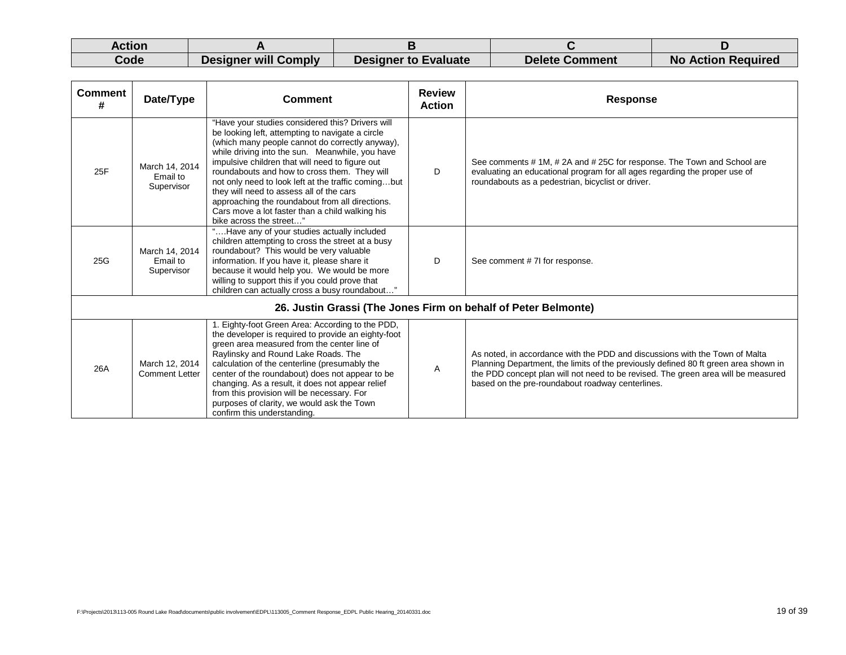| Action |                      |                             |                       |                           |
|--------|----------------------|-----------------------------|-----------------------|---------------------------|
| Code   | Designer will Comply | <b>Designer to Evaluate</b> | <b>Delete Comment</b> | <b>No Action Required</b> |

| <b>Comment</b><br># | Date/Type                                | <b>Comment</b>                                                                                                                                                                                                                                                                                                                                                                                                                                                                                                                                    | <b>Review</b><br><b>Action</b> | <b>Response</b>                                                                                                                                                                                                                                                                                             |
|---------------------|------------------------------------------|---------------------------------------------------------------------------------------------------------------------------------------------------------------------------------------------------------------------------------------------------------------------------------------------------------------------------------------------------------------------------------------------------------------------------------------------------------------------------------------------------------------------------------------------------|--------------------------------|-------------------------------------------------------------------------------------------------------------------------------------------------------------------------------------------------------------------------------------------------------------------------------------------------------------|
| 25F                 | March 14, 2014<br>Email to<br>Supervisor | "Have your studies considered this? Drivers will<br>be looking left, attempting to navigate a circle<br>(which many people cannot do correctly anyway),<br>while driving into the sun. Meanwhile, you have<br>impulsive children that will need to figure out<br>roundabouts and how to cross them. They will<br>not only need to look left at the traffic comingbut<br>they will need to assess all of the cars<br>approaching the roundabout from all directions.<br>Cars move a lot faster than a child walking his<br>bike across the street" | D                              | See comments # 1M, # 2A and # 25C for response. The Town and School are<br>evaluating an educational program for all ages regarding the proper use of<br>roundabouts as a pedestrian, bicyclist or driver.                                                                                                  |
| 25G                 | March 14, 2014<br>Email to<br>Supervisor | "Have any of your studies actually included<br>children attempting to cross the street at a busy<br>roundabout? This would be very valuable<br>information. If you have it, please share it<br>because it would help you. We would be more<br>willing to support this if you could prove that<br>children can actually cross a busy roundabout"                                                                                                                                                                                                   | D                              | See comment # 7I for response.                                                                                                                                                                                                                                                                              |
|                     |                                          | 26. Justin Grassi (The Jones Firm on behalf of Peter Belmonte)                                                                                                                                                                                                                                                                                                                                                                                                                                                                                    |                                |                                                                                                                                                                                                                                                                                                             |
| 26A                 | March 12, 2014<br><b>Comment Letter</b>  | 1. Eighty-foot Green Area: According to the PDD,<br>the developer is required to provide an eighty-foot<br>green area measured from the center line of<br>Raylinsky and Round Lake Roads. The<br>calculation of the centerline (presumably the<br>center of the roundabout) does not appear to be<br>changing. As a result, it does not appear relief<br>from this provision will be necessary. For<br>purposes of clarity, we would ask the Town<br>confirm this understanding.                                                                  | Α                              | As noted, in accordance with the PDD and discussions with the Town of Malta<br>Planning Department, the limits of the previously defined 80 ft green area shown in<br>the PDD concept plan will not need to be revised. The green area will be measured<br>based on the pre-roundabout roadway centerlines. |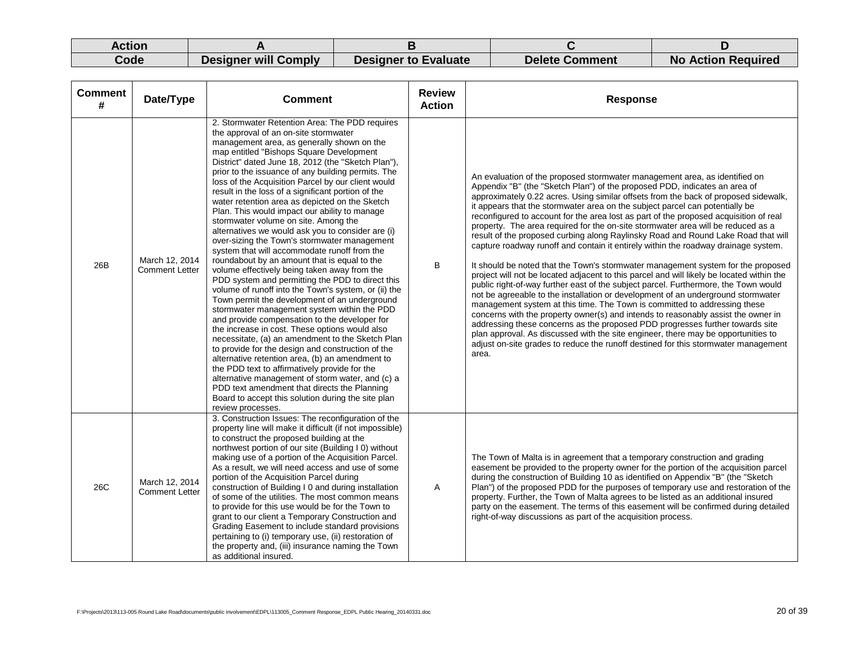| Action |                             |                             |                       |                           |
|--------|-----------------------------|-----------------------------|-----------------------|---------------------------|
| Code   | <b>Designer will Comply</b> | <b>Designer to Evaluate</b> | <b>Delete Comment</b> | <b>No Action Required</b> |

| <b>Comment</b><br># | Date/Type                               | <b>Comment</b>                                                                                                                                                                                                                                                                                                                                                                                                                                                                                                                                                                                                                                                                                                                                                                                                                                                                                                                                                                                                                                                                                                                                                                                                                                                                                                                                                                                                                                                                                                       | <b>Review</b><br><b>Action</b> | <b>Response</b>                                                                                                                                                                                                                                                                                                                                                                                                                                                                                                                                                                                                                                                                                                                                                                                                                                                                                                                                                                                                                                                                                                                                                                                                                                                                                                                                                                                                                                                                            |
|---------------------|-----------------------------------------|----------------------------------------------------------------------------------------------------------------------------------------------------------------------------------------------------------------------------------------------------------------------------------------------------------------------------------------------------------------------------------------------------------------------------------------------------------------------------------------------------------------------------------------------------------------------------------------------------------------------------------------------------------------------------------------------------------------------------------------------------------------------------------------------------------------------------------------------------------------------------------------------------------------------------------------------------------------------------------------------------------------------------------------------------------------------------------------------------------------------------------------------------------------------------------------------------------------------------------------------------------------------------------------------------------------------------------------------------------------------------------------------------------------------------------------------------------------------------------------------------------------------|--------------------------------|--------------------------------------------------------------------------------------------------------------------------------------------------------------------------------------------------------------------------------------------------------------------------------------------------------------------------------------------------------------------------------------------------------------------------------------------------------------------------------------------------------------------------------------------------------------------------------------------------------------------------------------------------------------------------------------------------------------------------------------------------------------------------------------------------------------------------------------------------------------------------------------------------------------------------------------------------------------------------------------------------------------------------------------------------------------------------------------------------------------------------------------------------------------------------------------------------------------------------------------------------------------------------------------------------------------------------------------------------------------------------------------------------------------------------------------------------------------------------------------------|
| 26B                 | March 12, 2014<br><b>Comment Letter</b> | 2. Stormwater Retention Area: The PDD requires<br>the approval of an on-site stormwater<br>management area, as generally shown on the<br>map entitled "Bishops Square Development<br>District" dated June 18, 2012 (the "Sketch Plan"),<br>prior to the issuance of any building permits. The<br>loss of the Acquisition Parcel by our client would<br>result in the loss of a significant portion of the<br>water retention area as depicted on the Sketch<br>Plan. This would impact our ability to manage<br>stormwater volume on site. Among the<br>alternatives we would ask you to consider are (i)<br>over-sizing the Town's stormwater management<br>system that will accommodate runoff from the<br>roundabout by an amount that is equal to the<br>volume effectively being taken away from the<br>PDD system and permitting the PDD to direct this<br>volume of runoff into the Town's system, or (ii) the<br>Town permit the development of an underground<br>stormwater management system within the PDD<br>and provide compensation to the developer for<br>the increase in cost. These options would also<br>necessitate, (a) an amendment to the Sketch Plan<br>to provide for the design and construction of the<br>alternative retention area, (b) an amendment to<br>the PDD text to affirmatively provide for the<br>alternative management of storm water, and (c) a<br>PDD text amendment that directs the Planning<br>Board to accept this solution during the site plan<br>review processes. | B                              | An evaluation of the proposed stormwater management area, as identified on<br>Appendix "B" (the "Sketch Plan") of the proposed PDD, indicates an area of<br>approximately 0.22 acres. Using similar offsets from the back of proposed sidewalk,<br>it appears that the stormwater area on the subject parcel can potentially be<br>reconfigured to account for the area lost as part of the proposed acquisition of real<br>property. The area required for the on-site stormwater area will be reduced as a<br>result of the proposed curbing along Raylinsky Road and Round Lake Road that will<br>capture roadway runoff and contain it entirely within the roadway drainage system.<br>It should be noted that the Town's stormwater management system for the proposed<br>project will not be located adjacent to this parcel and will likely be located within the<br>public right-of-way further east of the subject parcel. Furthermore, the Town would<br>not be agreeable to the installation or development of an underground stormwater<br>management system at this time. The Town is committed to addressing these<br>concerns with the property owner(s) and intends to reasonably assist the owner in<br>addressing these concerns as the proposed PDD progresses further towards site<br>plan approval. As discussed with the site engineer, there may be opportunities to<br>adjust on-site grades to reduce the runoff destined for this stormwater management<br>area. |
| 26C                 | March 12, 2014<br><b>Comment Letter</b> | 3. Construction Issues: The reconfiguration of the<br>property line will make it difficult (if not impossible)<br>to construct the proposed building at the<br>northwest portion of our site (Building I 0) without<br>making use of a portion of the Acquisition Parcel.<br>As a result, we will need access and use of some<br>portion of the Acquisition Parcel during<br>construction of Building I 0 and during installation<br>of some of the utilities. The most common means<br>to provide for this use would be for the Town to<br>grant to our client a Temporary Construction and<br>Grading Easement to include standard provisions<br>pertaining to (i) temporary use, (ii) restoration of<br>the property and, (iii) insurance naming the Town<br>as additional insured.                                                                                                                                                                                                                                                                                                                                                                                                                                                                                                                                                                                                                                                                                                                               | A                              | The Town of Malta is in agreement that a temporary construction and grading<br>easement be provided to the property owner for the portion of the acquisition parcel<br>during the construction of Building 10 as identified on Appendix "B" (the "Sketch<br>Plan") of the proposed PDD for the purposes of temporary use and restoration of the<br>property. Further, the Town of Malta agrees to be listed as an additional insured<br>party on the easement. The terms of this easement will be confirmed during detailed<br>right-of-way discussions as part of the acquisition process.                                                                                                                                                                                                                                                                                                                                                                                                                                                                                                                                                                                                                                                                                                                                                                                                                                                                                                |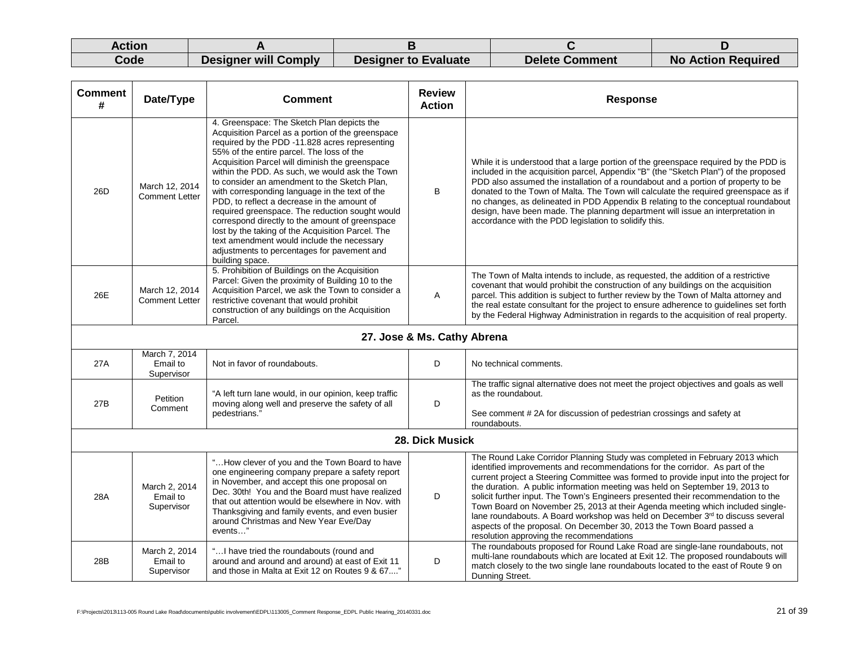| Action |                             |                             |                       |                           |
|--------|-----------------------------|-----------------------------|-----------------------|---------------------------|
| Code   | <b>Designer will Comply</b> | <b>Designer to Evaluate</b> | <b>Delete Comment</b> | <b>No Action Required</b> |

| <b>Comment</b><br># | Date/Type                               | <b>Comment</b>                                                                                                                                                                                                                                                                                                                                                                                                                                                                                                                                                                                                                                                                                                                  | <b>Review</b><br><b>Action</b> | <b>Response</b>                                                                                                                                                                                                                                                                                                                                                                                                                                                                                                                                                                                                                                                                                                    |
|---------------------|-----------------------------------------|---------------------------------------------------------------------------------------------------------------------------------------------------------------------------------------------------------------------------------------------------------------------------------------------------------------------------------------------------------------------------------------------------------------------------------------------------------------------------------------------------------------------------------------------------------------------------------------------------------------------------------------------------------------------------------------------------------------------------------|--------------------------------|--------------------------------------------------------------------------------------------------------------------------------------------------------------------------------------------------------------------------------------------------------------------------------------------------------------------------------------------------------------------------------------------------------------------------------------------------------------------------------------------------------------------------------------------------------------------------------------------------------------------------------------------------------------------------------------------------------------------|
| 26D                 | March 12, 2014<br><b>Comment Letter</b> | 4. Greenspace: The Sketch Plan depicts the<br>Acquisition Parcel as a portion of the greenspace<br>required by the PDD -11.828 acres representing<br>55% of the entire parcel. The loss of the<br>Acquisition Parcel will diminish the greenspace<br>within the PDD. As such, we would ask the Town<br>to consider an amendment to the Sketch Plan,<br>with corresponding language in the text of the<br>PDD, to reflect a decrease in the amount of<br>required greenspace. The reduction sought would<br>correspond directly to the amount of greenspace<br>lost by the taking of the Acquisition Parcel. The<br>text amendment would include the necessary<br>adjustments to percentages for pavement and<br>building space. | B                              | While it is understood that a large portion of the greenspace required by the PDD is<br>included in the acquisition parcel, Appendix "B" (the "Sketch Plan") of the proposed<br>PDD also assumed the installation of a roundabout and a portion of property to be<br>donated to the Town of Malta. The Town will calculate the required greenspace as if<br>no changes, as delineated in PDD Appendix B relating to the conceptual roundabout<br>design, have been made. The planning department will issue an interpretation in<br>accordance with the PDD legislation to solidify this.                                                                                                                          |
| 26E                 | March 12, 2014<br><b>Comment Letter</b> | 5. Prohibition of Buildings on the Acquisition<br>Parcel: Given the proximity of Building 10 to the<br>Acquisition Parcel, we ask the Town to consider a<br>restrictive covenant that would prohibit<br>construction of any buildings on the Acquisition<br>Parcel.                                                                                                                                                                                                                                                                                                                                                                                                                                                             | A                              | The Town of Malta intends to include, as requested, the addition of a restrictive<br>covenant that would prohibit the construction of any buildings on the acquisition<br>parcel. This addition is subject to further review by the Town of Malta attorney and<br>the real estate consultant for the project to ensure adherence to guidelines set forth<br>by the Federal Highway Administration in regards to the acquisition of real property.                                                                                                                                                                                                                                                                  |
|                     |                                         |                                                                                                                                                                                                                                                                                                                                                                                                                                                                                                                                                                                                                                                                                                                                 | 27. Jose & Ms. Cathy Abrena    |                                                                                                                                                                                                                                                                                                                                                                                                                                                                                                                                                                                                                                                                                                                    |
| 27A                 | March 7, 2014<br>Email to<br>Supervisor | Not in favor of roundabouts.                                                                                                                                                                                                                                                                                                                                                                                                                                                                                                                                                                                                                                                                                                    | D                              | No technical comments.                                                                                                                                                                                                                                                                                                                                                                                                                                                                                                                                                                                                                                                                                             |
| 27B                 | Petition<br>Comment                     | "A left turn lane would, in our opinion, keep traffic<br>moving along well and preserve the safety of all<br>pedestrians.'                                                                                                                                                                                                                                                                                                                                                                                                                                                                                                                                                                                                      | D                              | The traffic signal alternative does not meet the project objectives and goals as well<br>as the roundabout.<br>See comment #2A for discussion of pedestrian crossings and safety at<br>roundabouts.                                                                                                                                                                                                                                                                                                                                                                                                                                                                                                                |
|                     |                                         |                                                                                                                                                                                                                                                                                                                                                                                                                                                                                                                                                                                                                                                                                                                                 | 28. Dick Musick                |                                                                                                                                                                                                                                                                                                                                                                                                                                                                                                                                                                                                                                                                                                                    |
| 28A                 | March 2, 2014<br>Email to<br>Supervisor | " How clever of you and the Town Board to have<br>one engineering company prepare a safety report<br>in November, and accept this one proposal on<br>Dec. 30th! You and the Board must have realized<br>that out attention would be elsewhere in Nov. with<br>Thanksgiving and family events, and even busier<br>around Christmas and New Year Eve/Day<br>events"                                                                                                                                                                                                                                                                                                                                                               | D                              | The Round Lake Corridor Planning Study was completed in February 2013 which<br>identified improvements and recommendations for the corridor. As part of the<br>current project a Steering Committee was formed to provide input into the project for<br>the duration. A public information meeting was held on September 19, 2013 to<br>solicit further input. The Town's Engineers presented their recommendation to the<br>Town Board on November 25, 2013 at their Agenda meeting which included single-<br>lane roundabouts. A Board workshop was held on December 3rd to discuss several<br>aspects of the proposal. On December 30, 2013 the Town Board passed a<br>resolution approving the recommendations |
| 28B                 | March 2, 2014<br>Email to<br>Supervisor | " I have tried the roundabouts (round and<br>around and around and around) at east of Exit 11<br>and those in Malta at Exit 12 on Routes 9 & 67"                                                                                                                                                                                                                                                                                                                                                                                                                                                                                                                                                                                | D                              | The roundabouts proposed for Round Lake Road are single-lane roundabouts, not<br>multi-lane roundabouts which are located at Exit 12. The proposed roundabouts will<br>match closely to the two single lane roundabouts located to the east of Route 9 on<br>Dunning Street.                                                                                                                                                                                                                                                                                                                                                                                                                                       |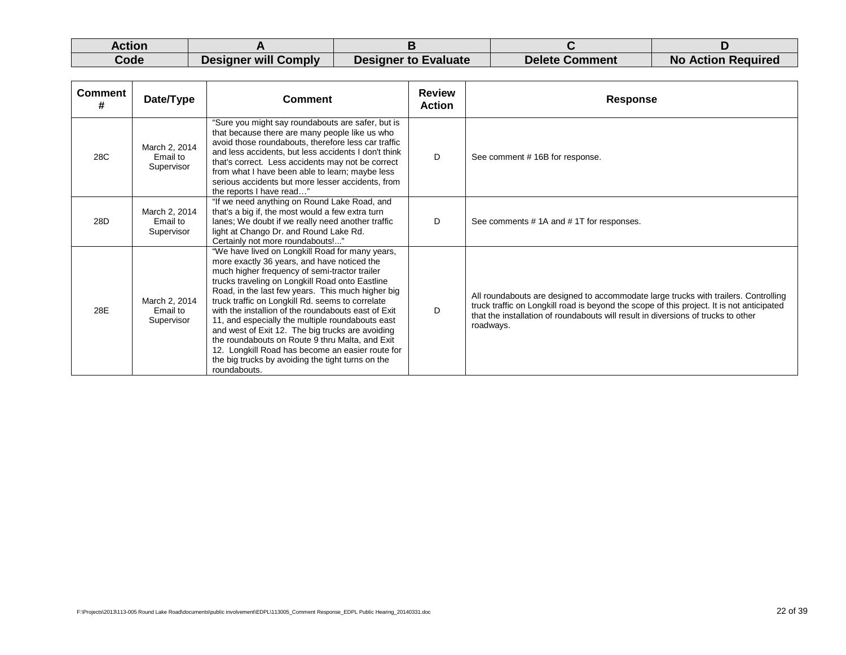| Action |                             |                      |                       |                           |
|--------|-----------------------------|----------------------|-----------------------|---------------------------|
| Code   | <b>Designer will Comply</b> | Designer to Evaluate | <b>Delete Comment</b> | <b>No Action Required</b> |

| <b>Comment</b><br># | Date/Type                               | Comment                                                                                                                                                                                                                                                                                                                                                                                                                                                                                                                                                                                                                                                | <b>Review</b><br><b>Action</b> | <b>Response</b>                                                                                                                                                                                                                                                                    |
|---------------------|-----------------------------------------|--------------------------------------------------------------------------------------------------------------------------------------------------------------------------------------------------------------------------------------------------------------------------------------------------------------------------------------------------------------------------------------------------------------------------------------------------------------------------------------------------------------------------------------------------------------------------------------------------------------------------------------------------------|--------------------------------|------------------------------------------------------------------------------------------------------------------------------------------------------------------------------------------------------------------------------------------------------------------------------------|
| 28C                 | March 2, 2014<br>Email to<br>Supervisor | "Sure you might say roundabouts are safer, but is<br>that because there are many people like us who<br>avoid those roundabouts, therefore less car traffic<br>and less accidents, but less accidents I don't think<br>that's correct. Less accidents may not be correct<br>from what I have been able to learn; maybe less<br>serious accidents but more lesser accidents, from<br>the reports I have read"                                                                                                                                                                                                                                            | D                              | See comment #16B for response.                                                                                                                                                                                                                                                     |
| 28D                 | March 2, 2014<br>Email to<br>Supervisor | "If we need anything on Round Lake Road, and<br>that's a big if, the most would a few extra turn<br>lanes; We doubt if we really need another traffic<br>light at Chango Dr. and Round Lake Rd.<br>Certainly not more roundabouts!"                                                                                                                                                                                                                                                                                                                                                                                                                    | D                              | See comments #1A and #1T for responses.                                                                                                                                                                                                                                            |
| 28E                 | March 2, 2014<br>Email to<br>Supervisor | "We have lived on Longkill Road for many years,<br>more exactly 36 years, and have noticed the<br>much higher frequency of semi-tractor trailer<br>trucks traveling on Longkill Road onto Eastline<br>Road, in the last few years. This much higher big<br>truck traffic on Longkill Rd. seems to correlate<br>with the installion of the roundabouts east of Exit<br>11, and especially the multiple roundabouts east<br>and west of Exit 12. The big trucks are avoiding<br>the roundabouts on Route 9 thru Malta, and Exit<br>12. Longkill Road has become an easier route for<br>the big trucks by avoiding the tight turns on the<br>roundabouts. | D                              | All roundabouts are designed to accommodate large trucks with trailers. Controlling<br>truck traffic on Longkill road is beyond the scope of this project. It is not anticipated<br>that the installation of roundabouts will result in diversions of trucks to other<br>roadways. |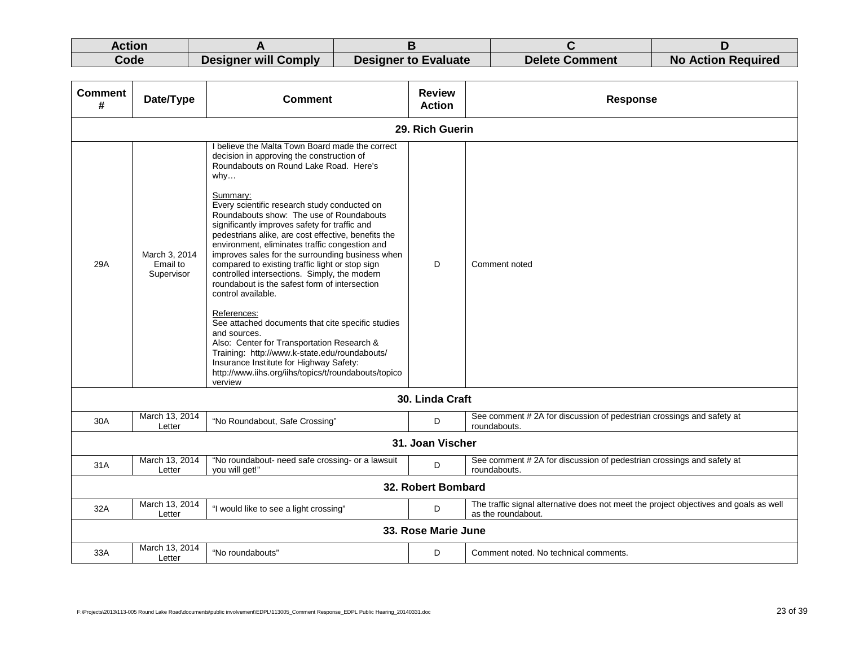| Action |                      |                             |                       |                           |
|--------|----------------------|-----------------------------|-----------------------|---------------------------|
| Code   | Designer will Comply | <b>Designer to Evaluate</b> | <b>Delete Comment</b> | <b>No Action Required</b> |

| <b>Comment</b><br># | Date/Type                               | <b>Comment</b>                                                                                                                                                                                                                                                                                                                                                                                                                                                                                                                                                                                                                                                                                                                                                                                                                                                                                                                                 | <b>Review</b><br><b>Action</b> | <b>Response</b>                                                                                             |  |  |  |
|---------------------|-----------------------------------------|------------------------------------------------------------------------------------------------------------------------------------------------------------------------------------------------------------------------------------------------------------------------------------------------------------------------------------------------------------------------------------------------------------------------------------------------------------------------------------------------------------------------------------------------------------------------------------------------------------------------------------------------------------------------------------------------------------------------------------------------------------------------------------------------------------------------------------------------------------------------------------------------------------------------------------------------|--------------------------------|-------------------------------------------------------------------------------------------------------------|--|--|--|
|                     | 29. Rich Guerin                         |                                                                                                                                                                                                                                                                                                                                                                                                                                                                                                                                                                                                                                                                                                                                                                                                                                                                                                                                                |                                |                                                                                                             |  |  |  |
| 29A                 | March 3, 2014<br>Email to<br>Supervisor | I believe the Malta Town Board made the correct<br>decision in approving the construction of<br>Roundabouts on Round Lake Road. Here's<br>whv<br>Summary:<br>Every scientific research study conducted on<br>Roundabouts show: The use of Roundabouts<br>significantly improves safety for traffic and<br>pedestrians alike, are cost effective, benefits the<br>environment, eliminates traffic congestion and<br>improves sales for the surrounding business when<br>compared to existing traffic light or stop sign<br>controlled intersections. Simply, the modern<br>roundabout is the safest form of intersection<br>control available.<br>References:<br>See attached documents that cite specific studies<br>and sources.<br>Also: Center for Transportation Research &<br>Training: http://www.k-state.edu/roundabouts/<br>Insurance Institute for Highway Safety:<br>http://www.iihs.org/iihs/topics/t/roundabouts/topico<br>verview | D                              | Comment noted                                                                                               |  |  |  |
|                     |                                         |                                                                                                                                                                                                                                                                                                                                                                                                                                                                                                                                                                                                                                                                                                                                                                                                                                                                                                                                                | 30. Linda Craft                |                                                                                                             |  |  |  |
| 30A                 | March 13, 2014<br>Letter                | "No Roundabout, Safe Crossing"                                                                                                                                                                                                                                                                                                                                                                                                                                                                                                                                                                                                                                                                                                                                                                                                                                                                                                                 | D                              | See comment #2A for discussion of pedestrian crossings and safety at<br>roundabouts.                        |  |  |  |
|                     |                                         |                                                                                                                                                                                                                                                                                                                                                                                                                                                                                                                                                                                                                                                                                                                                                                                                                                                                                                                                                | 31. Joan Vischer               |                                                                                                             |  |  |  |
| 31A                 | March 13, 2014<br>Letter                | "No roundabout- need safe crossing- or a lawsuit<br>vou will get!"                                                                                                                                                                                                                                                                                                                                                                                                                                                                                                                                                                                                                                                                                                                                                                                                                                                                             | D                              | See comment #2A for discussion of pedestrian crossings and safety at<br>roundabouts.                        |  |  |  |
|                     | 32. Robert Bombard                      |                                                                                                                                                                                                                                                                                                                                                                                                                                                                                                                                                                                                                                                                                                                                                                                                                                                                                                                                                |                                |                                                                                                             |  |  |  |
| 32A                 | March 13, 2014<br>Letter                | "I would like to see a light crossing"                                                                                                                                                                                                                                                                                                                                                                                                                                                                                                                                                                                                                                                                                                                                                                                                                                                                                                         | D                              | The traffic signal alternative does not meet the project objectives and goals as well<br>as the roundabout. |  |  |  |
|                     |                                         |                                                                                                                                                                                                                                                                                                                                                                                                                                                                                                                                                                                                                                                                                                                                                                                                                                                                                                                                                | 33. Rose Marie June            |                                                                                                             |  |  |  |
| 33A                 | March 13, 2014<br>Letter                | "No roundabouts"                                                                                                                                                                                                                                                                                                                                                                                                                                                                                                                                                                                                                                                                                                                                                                                                                                                                                                                               | D                              | Comment noted. No technical comments.                                                                       |  |  |  |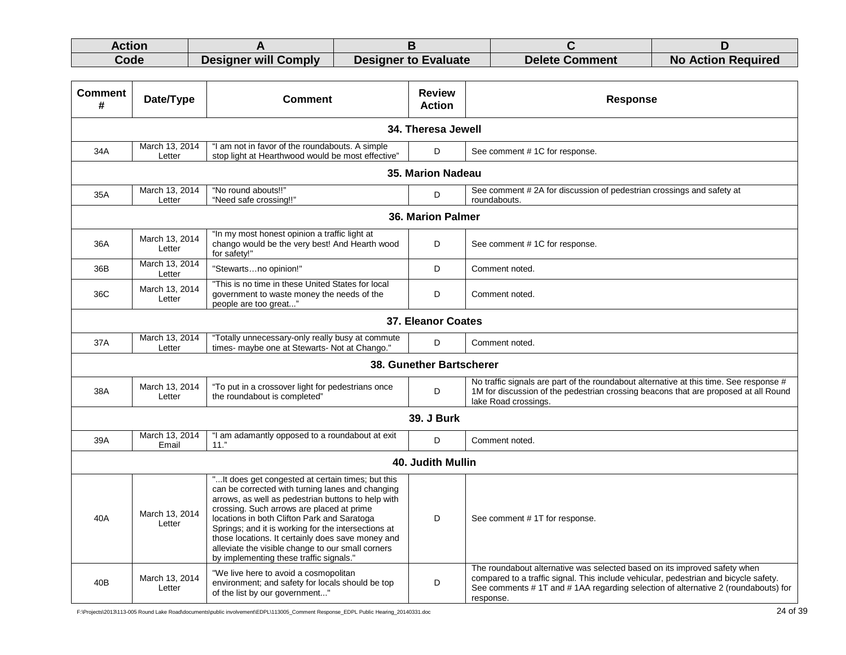| Action |                      |                             |                       |                           |
|--------|----------------------|-----------------------------|-----------------------|---------------------------|
| Code   | Designer will Comply | <b>Designer to Evaluate</b> | <b>Delete Comment</b> | <b>No Action Required</b> |

| <b>Comment</b><br># | Date/Type                                                                                                                                                              | <b>Comment</b>                                                                                                                                                                                                                                                                                                                                                                                                                                                       | <b>Review</b><br><b>Action</b> | <b>Response</b>                                                                                                                                                                                                                                                      |  |  |
|---------------------|------------------------------------------------------------------------------------------------------------------------------------------------------------------------|----------------------------------------------------------------------------------------------------------------------------------------------------------------------------------------------------------------------------------------------------------------------------------------------------------------------------------------------------------------------------------------------------------------------------------------------------------------------|--------------------------------|----------------------------------------------------------------------------------------------------------------------------------------------------------------------------------------------------------------------------------------------------------------------|--|--|
|                     |                                                                                                                                                                        |                                                                                                                                                                                                                                                                                                                                                                                                                                                                      | 34. Theresa Jewell             |                                                                                                                                                                                                                                                                      |  |  |
| 34A                 | March 13, 2014<br>Letter                                                                                                                                               | "I am not in favor of the roundabouts. A simple<br>stop light at Hearthwood would be most effective"                                                                                                                                                                                                                                                                                                                                                                 | D                              | See comment #1C for response.                                                                                                                                                                                                                                        |  |  |
|                     | 35. Marion Nadeau                                                                                                                                                      |                                                                                                                                                                                                                                                                                                                                                                                                                                                                      |                                |                                                                                                                                                                                                                                                                      |  |  |
| 35A                 | "No round abouts!!"<br>March 13, 2014<br>See comment #2A for discussion of pedestrian crossings and safety at<br>D<br>Letter<br>"Need safe crossing!!"<br>roundabouts. |                                                                                                                                                                                                                                                                                                                                                                                                                                                                      |                                |                                                                                                                                                                                                                                                                      |  |  |
|                     |                                                                                                                                                                        |                                                                                                                                                                                                                                                                                                                                                                                                                                                                      | 36. Marion Palmer              |                                                                                                                                                                                                                                                                      |  |  |
| 36A                 | See comment #1C for response.                                                                                                                                          |                                                                                                                                                                                                                                                                                                                                                                                                                                                                      |                                |                                                                                                                                                                                                                                                                      |  |  |
| 36B                 | March 13, 2014<br>Letter                                                                                                                                               | "Stewartsno opinion!"                                                                                                                                                                                                                                                                                                                                                                                                                                                | D                              | Comment noted.                                                                                                                                                                                                                                                       |  |  |
| 36C                 | March 13, 2014<br>Letter                                                                                                                                               | "This is no time in these United States for local<br>government to waste money the needs of the<br>people are too great"                                                                                                                                                                                                                                                                                                                                             | D                              | Comment noted.                                                                                                                                                                                                                                                       |  |  |
| 37. Eleanor Coates  |                                                                                                                                                                        |                                                                                                                                                                                                                                                                                                                                                                                                                                                                      |                                |                                                                                                                                                                                                                                                                      |  |  |
| 37A                 | March 13, 2014<br>Letter                                                                                                                                               | "Totally unnecessary-only really busy at commute<br>times- maybe one at Stewarts- Not at Chango."                                                                                                                                                                                                                                                                                                                                                                    | D                              | Comment noted.                                                                                                                                                                                                                                                       |  |  |
|                     |                                                                                                                                                                        |                                                                                                                                                                                                                                                                                                                                                                                                                                                                      | 38. Gunether Bartscherer       |                                                                                                                                                                                                                                                                      |  |  |
| 38A                 | March 13, 2014<br>Letter                                                                                                                                               | "To put in a crossover light for pedestrians once<br>the roundabout is completed"                                                                                                                                                                                                                                                                                                                                                                                    | D                              | No traffic signals are part of the roundabout alternative at this time. See response #<br>1M for discussion of the pedestrian crossing beacons that are proposed at all Round<br>lake Road crossings.                                                                |  |  |
|                     |                                                                                                                                                                        |                                                                                                                                                                                                                                                                                                                                                                                                                                                                      | <b>39. J Burk</b>              |                                                                                                                                                                                                                                                                      |  |  |
| 39A                 | March 13, 2014<br>Email                                                                                                                                                | "I am adamantly opposed to a roundabout at exit<br>11."                                                                                                                                                                                                                                                                                                                                                                                                              | D                              | Comment noted.                                                                                                                                                                                                                                                       |  |  |
|                     |                                                                                                                                                                        |                                                                                                                                                                                                                                                                                                                                                                                                                                                                      | 40. Judith Mullin              |                                                                                                                                                                                                                                                                      |  |  |
| 40A                 | March 13, 2014<br>Letter                                                                                                                                               | " It does get congested at certain times; but this<br>can be corrected with turning lanes and changing<br>arrows, as well as pedestrian buttons to help with<br>crossing. Such arrows are placed at prime<br>locations in both Clifton Park and Saratoga<br>Springs; and it is working for the intersections at<br>those locations. It certainly does save money and<br>alleviate the visible change to our small corners<br>by implementing these traffic signals." | D                              | See comment #1T for response.                                                                                                                                                                                                                                        |  |  |
| 40B                 | March 13, 2014<br>Letter                                                                                                                                               | "We live here to avoid a cosmopolitan<br>environment; and safety for locals should be top<br>of the list by our government"                                                                                                                                                                                                                                                                                                                                          | D                              | The roundabout alternative was selected based on its improved safety when<br>compared to a traffic signal. This include vehicular, pedestrian and bicycle safety.<br>See comments # 1T and # 1AA regarding selection of alternative 2 (roundabouts) for<br>response. |  |  |

F:\Projects\2013\113-005 Round Lake Road\documents\public involvement\EDPL\113005\_Comment Response\_EDPL Public Hearing\_20140331.doc 24 of 39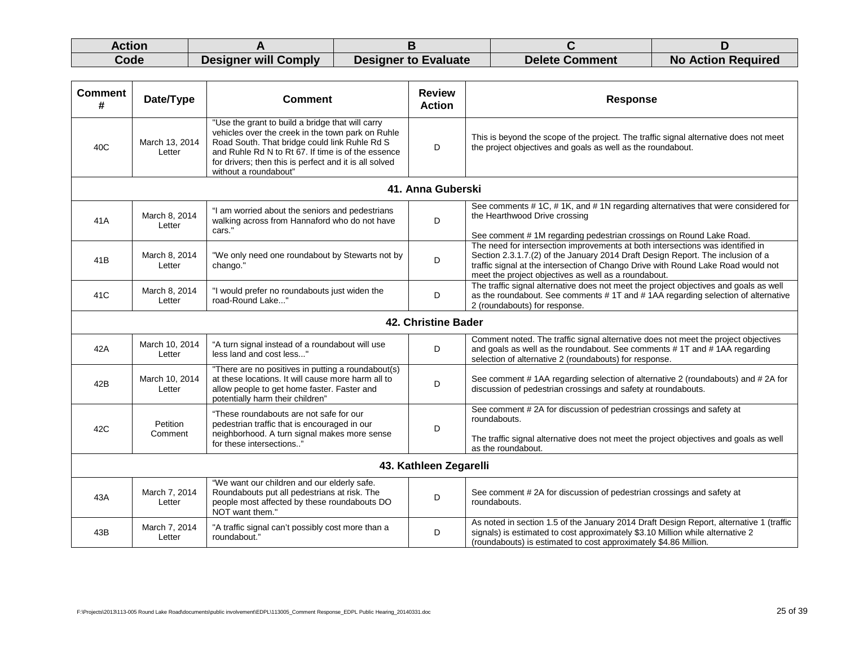| Action |                             |                             |                       |                           |
|--------|-----------------------------|-----------------------------|-----------------------|---------------------------|
| Code   | <b>Designer will Comply</b> | <b>Designer to Evaluate</b> | <b>Delete Comment</b> | <b>No Action Required</b> |

| <b>Comment</b><br>#    | Date/Type                | <b>Comment</b>                                                                                                                                                                                                                                                                                  | <b>Review</b><br><b>Action</b> | <b>Response</b>                                                                                                                                                                                                                                                                                                |  |
|------------------------|--------------------------|-------------------------------------------------------------------------------------------------------------------------------------------------------------------------------------------------------------------------------------------------------------------------------------------------|--------------------------------|----------------------------------------------------------------------------------------------------------------------------------------------------------------------------------------------------------------------------------------------------------------------------------------------------------------|--|
| 40C                    | March 13, 2014<br>Letter | "Use the grant to build a bridge that will carry<br>vehicles over the creek in the town park on Ruhle<br>Road South. That bridge could link Ruhle Rd S<br>and Ruhle Rd N to Rt 67. If time is of the essence<br>for drivers; then this is perfect and it is all solved<br>without a roundabout" | D                              | This is beyond the scope of the project. The traffic signal alternative does not meet<br>the project objectives and goals as well as the roundabout.                                                                                                                                                           |  |
|                        |                          |                                                                                                                                                                                                                                                                                                 | 41. Anna Guberski              |                                                                                                                                                                                                                                                                                                                |  |
| 41A                    | March 8, 2014<br>Letter  | "I am worried about the seniors and pedestrians<br>walking across from Hannaford who do not have<br>cars."                                                                                                                                                                                      | D                              | See comments # 1C, # 1K, and # 1N regarding alternatives that were considered for<br>the Hearthwood Drive crossing<br>See comment #1M regarding pedestrian crossings on Round Lake Road.                                                                                                                       |  |
| 41B                    | March 8, 2014<br>Letter  | "We only need one roundabout by Stewarts not by<br>chango."                                                                                                                                                                                                                                     | D                              | The need for intersection improvements at both intersections was identified in<br>Section 2.3.1.7.(2) of the January 2014 Draft Design Report. The inclusion of a<br>traffic signal at the intersection of Chango Drive with Round Lake Road would not<br>meet the project objectives as well as a roundabout. |  |
| 41C                    | March 8, 2014<br>Letter  | "I would prefer no roundabouts just widen the<br>road-Round Lake"                                                                                                                                                                                                                               | D                              | The traffic signal alternative does not meet the project objectives and goals as well<br>as the roundabout. See comments #1T and #1AA regarding selection of alternative<br>2 (roundabouts) for response.                                                                                                      |  |
| 42. Christine Bader    |                          |                                                                                                                                                                                                                                                                                                 |                                |                                                                                                                                                                                                                                                                                                                |  |
| 42A                    | March 10, 2014<br>Letter | "A turn signal instead of a roundabout will use<br>less land and cost less"                                                                                                                                                                                                                     | D                              | Comment noted. The traffic signal alternative does not meet the project objectives<br>and goals as well as the roundabout. See comments #1T and #1AA regarding<br>selection of alternative 2 (roundabouts) for response.                                                                                       |  |
| 42B                    | March 10, 2014<br>Letter | "There are no positives in putting a roundabout(s)<br>at these locations. It will cause more harm all to<br>allow people to get home faster. Faster and<br>potentially harm their children"                                                                                                     | D                              | See comment #1AA regarding selection of alternative 2 (roundabouts) and #2A for<br>discussion of pedestrian crossings and safety at roundabouts.                                                                                                                                                               |  |
| 42C                    | Petition<br>Comment      | "These roundabouts are not safe for our<br>pedestrian traffic that is encouraged in our<br>neighborhood. A turn signal makes more sense<br>for these intersections'                                                                                                                             | D                              | See comment #2A for discussion of pedestrian crossings and safety at<br>roundabouts.<br>The traffic signal alternative does not meet the project objectives and goals as well<br>as the roundabout.                                                                                                            |  |
| 43. Kathleen Zegarelli |                          |                                                                                                                                                                                                                                                                                                 |                                |                                                                                                                                                                                                                                                                                                                |  |
| 43A                    | March 7, 2014<br>Letter  | "We want our children and our elderly safe.<br>Roundabouts put all pedestrians at risk. The<br>people most affected by these roundabouts DO<br>NOT want them."                                                                                                                                  | D                              | See comment #2A for discussion of pedestrian crossings and safety at<br>roundabouts.                                                                                                                                                                                                                           |  |
| 43B                    | March 7, 2014<br>Letter  | "A traffic signal can't possibly cost more than a<br>roundabout."                                                                                                                                                                                                                               | D                              | As noted in section 1.5 of the January 2014 Draft Design Report, alternative 1 (traffic<br>signals) is estimated to cost approximately \$3.10 Million while alternative 2<br>(roundabouts) is estimated to cost approximately \$4.86 Million.                                                                  |  |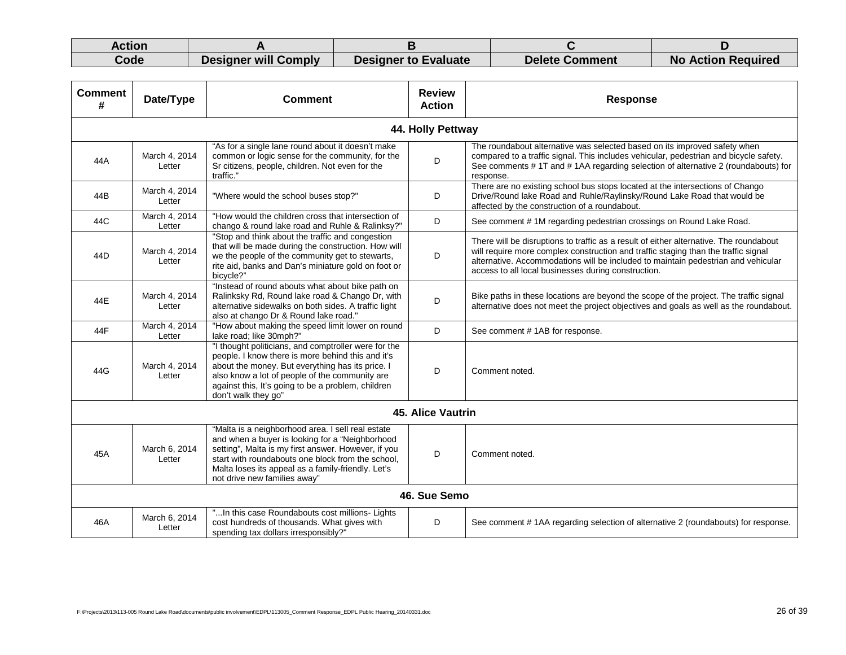| Action |                      |                             |                       |                           |
|--------|----------------------|-----------------------------|-----------------------|---------------------------|
| Code   | Designer will Comply | <b>Designer to Evaluate</b> | <b>Delete Comment</b> | <b>No Action Required</b> |

| <b>Comment</b><br># | Date/Type               | <b>Comment</b>                                                                                                                                                                                                                                                                                         | <b>Review</b><br><b>Action</b> | <b>Response</b>                                                                                                                                                                                                                                                                                                          |
|---------------------|-------------------------|--------------------------------------------------------------------------------------------------------------------------------------------------------------------------------------------------------------------------------------------------------------------------------------------------------|--------------------------------|--------------------------------------------------------------------------------------------------------------------------------------------------------------------------------------------------------------------------------------------------------------------------------------------------------------------------|
|                     |                         |                                                                                                                                                                                                                                                                                                        | 44. Holly Pettway              |                                                                                                                                                                                                                                                                                                                          |
| 44A                 | March 4, 2014<br>Letter | "As for a single lane round about it doesn't make<br>common or logic sense for the community, for the<br>Sr citizens, people, children. Not even for the<br>traffic."                                                                                                                                  | D                              | The roundabout alternative was selected based on its improved safety when<br>compared to a traffic signal. This includes vehicular, pedestrian and bicycle safety.<br>See comments # 1T and # 1AA regarding selection of alternative 2 (roundabouts) for<br>response.                                                    |
| 44B                 | March 4, 2014<br>Letter | "Where would the school buses stop?"                                                                                                                                                                                                                                                                   | D                              | There are no existing school bus stops located at the intersections of Chango<br>Drive/Round lake Road and Ruhle/Raylinsky/Round Lake Road that would be<br>affected by the construction of a roundabout.                                                                                                                |
| 44C                 | March 4, 2014<br>Letter | "How would the children cross that intersection of<br>chango & round lake road and Ruhle & Ralinksy?"                                                                                                                                                                                                  | D                              | See comment #1M regarding pedestrian crossings on Round Lake Road.                                                                                                                                                                                                                                                       |
| 44D                 | March 4, 2014<br>Letter | "Stop and think about the traffic and congestion<br>that will be made during the construction. How will<br>we the people of the community get to stewarts,<br>rite aid, banks and Dan's miniature gold on foot or<br>bicycle?"                                                                         | D                              | There will be disruptions to traffic as a result of either alternative. The roundabout<br>will require more complex construction and traffic staging than the traffic signal<br>alternative. Accommodations will be included to maintain pedestrian and vehicular<br>access to all local businesses during construction. |
| 44E                 | March 4, 2014<br>Letter | "Instead of round abouts what about bike path on<br>Ralinksky Rd, Round lake road & Chango Dr, with<br>alternative sidewalks on both sides. A traffic light<br>also at chango Dr & Round lake road."                                                                                                   | D                              | Bike paths in these locations are beyond the scope of the project. The traffic signal<br>alternative does not meet the project objectives and goals as well as the roundabout.                                                                                                                                           |
| 44F                 | March 4, 2014<br>Letter | "How about making the speed limit lower on round<br>lake road; like 30mph?"                                                                                                                                                                                                                            | D                              | See comment #1AB for response.                                                                                                                                                                                                                                                                                           |
| 44G                 | March 4, 2014<br>Letter | "I thought politicians, and comptroller were for the<br>people. I know there is more behind this and it's<br>about the money. But everything has its price. I<br>also know a lot of people of the community are<br>against this, It's going to be a problem, children<br>don't walk they go"           | D                              | Comment noted.                                                                                                                                                                                                                                                                                                           |
|                     |                         |                                                                                                                                                                                                                                                                                                        | <b>45. Alice Vautrin</b>       |                                                                                                                                                                                                                                                                                                                          |
| 45A                 | March 6, 2014<br>Letter | "Malta is a neighborhood area. I sell real estate<br>and when a buyer is looking for a "Neighborhood<br>setting", Malta is my first answer. However, if you<br>start with roundabouts one block from the school,<br>Malta loses its appeal as a family-friendly. Let's<br>not drive new families away" | D                              | Comment noted.                                                                                                                                                                                                                                                                                                           |
|                     |                         |                                                                                                                                                                                                                                                                                                        | 46. Sue Semo                   |                                                                                                                                                                                                                                                                                                                          |
| 46A                 | March 6, 2014<br>Letter | "In this case Roundabouts cost millions- Lights<br>cost hundreds of thousands. What gives with<br>spending tax dollars irresponsibly?"                                                                                                                                                                 | D                              | See comment # 1AA regarding selection of alternative 2 (roundabouts) for response.                                                                                                                                                                                                                                       |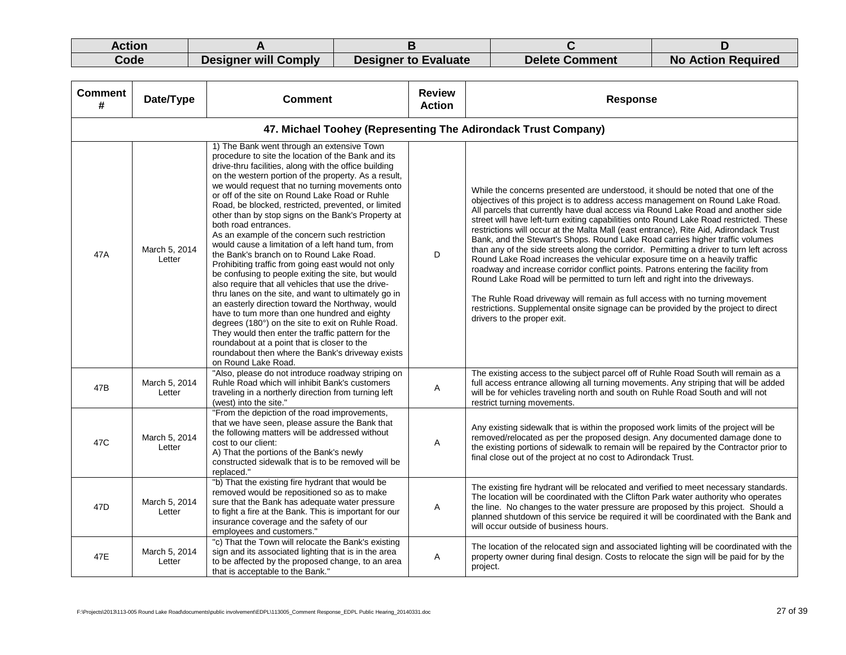| Action |                      |                             |                       |                           |
|--------|----------------------|-----------------------------|-----------------------|---------------------------|
| Code   | Designer will Comply | <b>Designer to Evaluate</b> | <b>Delete Comment</b> | <b>No Action Required</b> |

| <b>Comment</b><br># | Date/Type               | <b>Comment</b>                                                                                                                                                                                                                                                                                                                                                                                                                                                                                                                                                                                                                                                                                                                                                                                                                                                                                                                                                                                                                                                                                                                                                                  | <b>Review</b><br><b>Action</b> | <b>Response</b>                                                                                                                                                                                                                                                                                                                                                                                                                                                                                                                                                                                                                                                                                                                                                                                                                                                                                                                                                                                                                                                              |
|---------------------|-------------------------|---------------------------------------------------------------------------------------------------------------------------------------------------------------------------------------------------------------------------------------------------------------------------------------------------------------------------------------------------------------------------------------------------------------------------------------------------------------------------------------------------------------------------------------------------------------------------------------------------------------------------------------------------------------------------------------------------------------------------------------------------------------------------------------------------------------------------------------------------------------------------------------------------------------------------------------------------------------------------------------------------------------------------------------------------------------------------------------------------------------------------------------------------------------------------------|--------------------------------|------------------------------------------------------------------------------------------------------------------------------------------------------------------------------------------------------------------------------------------------------------------------------------------------------------------------------------------------------------------------------------------------------------------------------------------------------------------------------------------------------------------------------------------------------------------------------------------------------------------------------------------------------------------------------------------------------------------------------------------------------------------------------------------------------------------------------------------------------------------------------------------------------------------------------------------------------------------------------------------------------------------------------------------------------------------------------|
|                     |                         | 47. Michael Toohey (Representing The Adirondack Trust Company)                                                                                                                                                                                                                                                                                                                                                                                                                                                                                                                                                                                                                                                                                                                                                                                                                                                                                                                                                                                                                                                                                                                  |                                |                                                                                                                                                                                                                                                                                                                                                                                                                                                                                                                                                                                                                                                                                                                                                                                                                                                                                                                                                                                                                                                                              |
| 47A                 | March 5, 2014<br>Letter | 1) The Bank went through an extensive Town<br>procedure to site the location of the Bank and its<br>drive-thru facilities, along with the office building<br>on the western portion of the property. As a result,<br>we would request that no turning movements onto<br>or off of the site on Round Lake Road or Ruhle<br>Road, be blocked, restricted, prevented, or limited<br>other than by stop signs on the Bank's Property at<br>both road entrances.<br>As an example of the concern such restriction<br>would cause a limitation of a left hand tum, from<br>the Bank's branch on to Round Lake Road.<br>Prohibiting traffic from going east would not only<br>be confusing to people exiting the site, but would<br>also require that all vehicles that use the drive-<br>thru lanes on the site, and want to ultimately go in<br>an easterly direction toward the Northway, would<br>have to tum more than one hundred and eighty<br>degrees (180°) on the site to exit on Ruhle Road.<br>They would then enter the traffic pattern for the<br>roundabout at a point that is closer to the<br>roundabout then where the Bank's driveway exists<br>on Round Lake Road. | D                              | While the concerns presented are understood, it should be noted that one of the<br>objectives of this project is to address access management on Round Lake Road.<br>All parcels that currently have dual access via Round Lake Road and another side<br>street will have left-turn exiting capabilities onto Round Lake Road restricted. These<br>restrictions will occur at the Malta Mall (east entrance), Rite Aid, Adirondack Trust<br>Bank, and the Stewart's Shops. Round Lake Road carries higher traffic volumes<br>than any of the side streets along the corridor. Permitting a driver to turn left across<br>Round Lake Road increases the vehicular exposure time on a heavily traffic<br>roadway and increase corridor conflict points. Patrons entering the facility from<br>Round Lake Road will be permitted to turn left and right into the driveways.<br>The Ruhle Road driveway will remain as full access with no turning movement<br>restrictions. Supplemental onsite signage can be provided by the project to direct<br>drivers to the proper exit. |
| 47B                 | March 5, 2014<br>Letter | "Also, please do not introduce roadway striping on<br>Ruhle Road which will inhibit Bank's customers<br>traveling in a northerly direction from turning left<br>(west) into the site."                                                                                                                                                                                                                                                                                                                                                                                                                                                                                                                                                                                                                                                                                                                                                                                                                                                                                                                                                                                          | Α                              | The existing access to the subject parcel off of Ruhle Road South will remain as a<br>full access entrance allowing all turning movements. Any striping that will be added<br>will be for vehicles traveling north and south on Ruhle Road South and will not<br>restrict turning movements.                                                                                                                                                                                                                                                                                                                                                                                                                                                                                                                                                                                                                                                                                                                                                                                 |
| 47C                 | March 5, 2014<br>Letter | "From the depiction of the road improvements,<br>that we have seen, please assure the Bank that<br>the following matters will be addressed without<br>cost to our client:<br>A) That the portions of the Bank's newly<br>constructed sidewalk that is to be removed will be<br>replaced."                                                                                                                                                                                                                                                                                                                                                                                                                                                                                                                                                                                                                                                                                                                                                                                                                                                                                       | Α                              | Any existing sidewalk that is within the proposed work limits of the project will be<br>removed/relocated as per the proposed design. Any documented damage done to<br>the existing portions of sidewalk to remain will be repaired by the Contractor prior to<br>final close out of the project at no cost to Adirondack Trust.                                                                                                                                                                                                                                                                                                                                                                                                                                                                                                                                                                                                                                                                                                                                             |
| 47D                 | March 5, 2014<br>Letter | "b) That the existing fire hydrant that would be<br>removed would be repositioned so as to make<br>sure that the Bank has adequate water pressure<br>to fight a fire at the Bank. This is important for our<br>insurance coverage and the safety of our<br>employees and customers."                                                                                                                                                                                                                                                                                                                                                                                                                                                                                                                                                                                                                                                                                                                                                                                                                                                                                            | Α                              | The existing fire hydrant will be relocated and verified to meet necessary standards.<br>The location will be coordinated with the Clifton Park water authority who operates<br>the line. No changes to the water pressure are proposed by this project. Should a<br>planned shutdown of this service be required it will be coordinated with the Bank and<br>will occur outside of business hours.                                                                                                                                                                                                                                                                                                                                                                                                                                                                                                                                                                                                                                                                          |
| 47E                 | March 5, 2014<br>Letter | "c) That the Town will relocate the Bank's existing<br>sign and its associated lighting that is in the area<br>to be affected by the proposed change, to an area<br>that is acceptable to the Bank."                                                                                                                                                                                                                                                                                                                                                                                                                                                                                                                                                                                                                                                                                                                                                                                                                                                                                                                                                                            | Α                              | The location of the relocated sign and associated lighting will be coordinated with the<br>property owner during final design. Costs to relocate the sign will be paid for by the<br>project.                                                                                                                                                                                                                                                                                                                                                                                                                                                                                                                                                                                                                                                                                                                                                                                                                                                                                |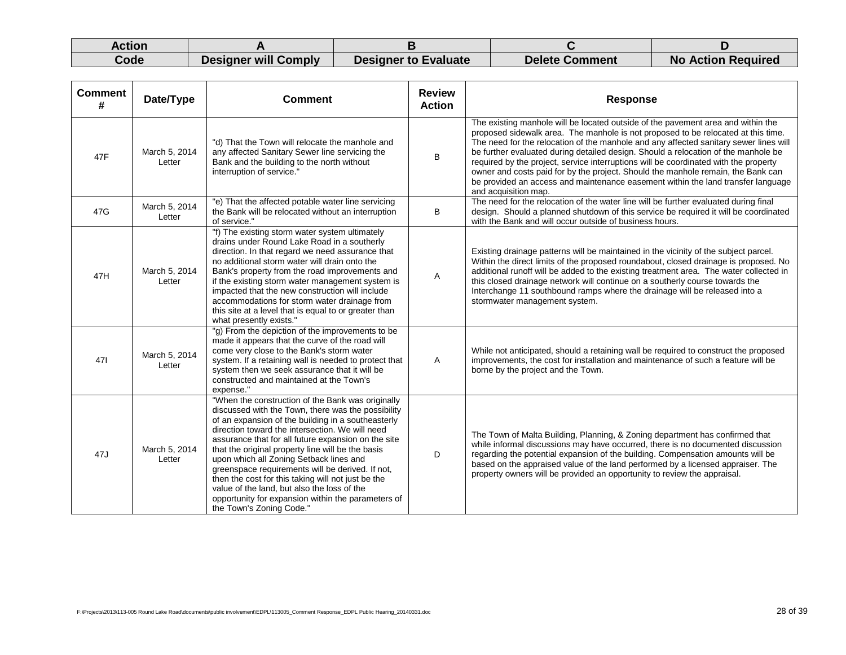| Action |                             |                             |                       |                           |
|--------|-----------------------------|-----------------------------|-----------------------|---------------------------|
| Code   | <b>Designer will Comply</b> | <b>Designer to Evaluate</b> | <b>Delete Comment</b> | <b>No Action Required</b> |

| <b>Comment</b><br># | Date/Type               | <b>Comment</b>                                                                                                                                                                                                                                                                                                                                                                                                                                                                                                                                                                                                     | <b>Review</b><br><b>Action</b> | <b>Response</b>                                                                                                                                                                                                                                                                                                                                                                                                                                                                                                                                                                                                                              |
|---------------------|-------------------------|--------------------------------------------------------------------------------------------------------------------------------------------------------------------------------------------------------------------------------------------------------------------------------------------------------------------------------------------------------------------------------------------------------------------------------------------------------------------------------------------------------------------------------------------------------------------------------------------------------------------|--------------------------------|----------------------------------------------------------------------------------------------------------------------------------------------------------------------------------------------------------------------------------------------------------------------------------------------------------------------------------------------------------------------------------------------------------------------------------------------------------------------------------------------------------------------------------------------------------------------------------------------------------------------------------------------|
| 47F                 | March 5, 2014<br>Letter | "d) That the Town will relocate the manhole and<br>any affected Sanitary Sewer line servicing the<br>Bank and the building to the north without<br>interruption of service."                                                                                                                                                                                                                                                                                                                                                                                                                                       | B                              | The existing manhole will be located outside of the pavement area and within the<br>proposed sidewalk area. The manhole is not proposed to be relocated at this time.<br>The need for the relocation of the manhole and any affected sanitary sewer lines will<br>be further evaluated during detailed design. Should a relocation of the manhole be<br>required by the project, service interruptions will be coordinated with the property<br>owner and costs paid for by the project. Should the manhole remain, the Bank can<br>be provided an access and maintenance easement within the land transfer language<br>and acquisition map. |
| 47G                 | March 5, 2014<br>Letter | "e) That the affected potable water line servicing<br>the Bank will be relocated without an interruption<br>of service."                                                                                                                                                                                                                                                                                                                                                                                                                                                                                           | B                              | The need for the relocation of the water line will be further evaluated during final<br>design. Should a planned shutdown of this service be required it will be coordinated<br>with the Bank and will occur outside of business hours.                                                                                                                                                                                                                                                                                                                                                                                                      |
| 47H                 | March 5, 2014<br>Letter | "f) The existing storm water system ultimately<br>drains under Round Lake Road in a southerly<br>direction. In that regard we need assurance that<br>no additional storm water will drain onto the<br>Bank's property from the road improvements and<br>if the existing storm water management system is<br>impacted that the new construction will include<br>accommodations for storm water drainage from<br>this site at a level that is equal to or greater than<br>what presently exists."                                                                                                                    | Α                              | Existing drainage patterns will be maintained in the vicinity of the subject parcel.<br>Within the direct limits of the proposed roundabout, closed drainage is proposed. No<br>additional runoff will be added to the existing treatment area. The water collected in<br>this closed drainage network will continue on a southerly course towards the<br>Interchange 11 southbound ramps where the drainage will be released into a<br>stormwater management system.                                                                                                                                                                        |
| 471                 | March 5, 2014<br>Letter | "g) From the depiction of the improvements to be<br>made it appears that the curve of the road will<br>come very close to the Bank's storm water<br>system. If a retaining wall is needed to protect that<br>system then we seek assurance that it will be<br>constructed and maintained at the Town's<br>expense."                                                                                                                                                                                                                                                                                                | Α                              | While not anticipated, should a retaining wall be required to construct the proposed<br>improvements, the cost for installation and maintenance of such a feature will be<br>borne by the project and the Town.                                                                                                                                                                                                                                                                                                                                                                                                                              |
| 47J                 | March 5, 2014<br>Letter | "When the construction of the Bank was originally<br>discussed with the Town, there was the possibility<br>of an expansion of the building in a southeasterly<br>direction toward the intersection. We will need<br>assurance that for all future expansion on the site<br>that the original property line will be the basis<br>upon which all Zoning Setback lines and<br>greenspace requirements will be derived. If not,<br>then the cost for this taking will not just be the<br>value of the land, but also the loss of the<br>opportunity for expansion within the parameters of<br>the Town's Zoning Code." | D                              | The Town of Malta Building, Planning, & Zoning department has confirmed that<br>while informal discussions may have occurred, there is no documented discussion<br>regarding the potential expansion of the building. Compensation amounts will be<br>based on the appraised value of the land performed by a licensed appraiser. The<br>property owners will be provided an opportunity to review the appraisal.                                                                                                                                                                                                                            |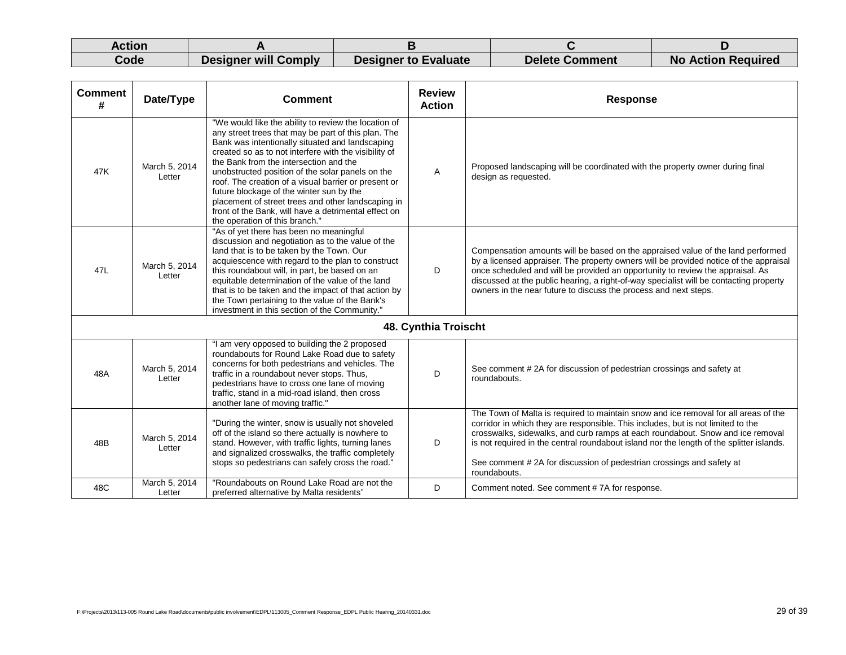| Action |                      |                             |                       |                           |
|--------|----------------------|-----------------------------|-----------------------|---------------------------|
| Code   | Designer will Comply | <b>Designer to Evaluate</b> | <b>Delete Comment</b> | <b>No Action Required</b> |

| <b>Comment</b><br># | Date/Type               | <b>Comment</b>                                                                                                                                                                                                                                                                                                                                                                                                                                                                                                                                                            | <b>Review</b><br><b>Action</b> | <b>Response</b>                                                                                                                                                                                                                                                                                                                                                                                                                               |
|---------------------|-------------------------|---------------------------------------------------------------------------------------------------------------------------------------------------------------------------------------------------------------------------------------------------------------------------------------------------------------------------------------------------------------------------------------------------------------------------------------------------------------------------------------------------------------------------------------------------------------------------|--------------------------------|-----------------------------------------------------------------------------------------------------------------------------------------------------------------------------------------------------------------------------------------------------------------------------------------------------------------------------------------------------------------------------------------------------------------------------------------------|
| 47K                 | March 5, 2014<br>Letter | "We would like the ability to review the location of<br>any street trees that may be part of this plan. The<br>Bank was intentionally situated and landscaping<br>created so as to not interfere with the visibility of<br>the Bank from the intersection and the<br>unobstructed position of the solar panels on the<br>roof. The creation of a visual barrier or present or<br>future blockage of the winter sun by the<br>placement of street trees and other landscaping in<br>front of the Bank, will have a detrimental effect on<br>the operation of this branch." | A                              | Proposed landscaping will be coordinated with the property owner during final<br>design as requested.                                                                                                                                                                                                                                                                                                                                         |
| 47L                 | March 5, 2014<br>Letter | "As of yet there has been no meaningful<br>discussion and negotiation as to the value of the<br>land that is to be taken by the Town. Our<br>acquiescence with regard to the plan to construct<br>this roundabout will, in part, be based on an<br>equitable determination of the value of the land<br>that is to be taken and the impact of that action by<br>the Town pertaining to the value of the Bank's<br>investment in this section of the Community."                                                                                                            | D                              | Compensation amounts will be based on the appraised value of the land performed<br>by a licensed appraiser. The property owners will be provided notice of the appraisal<br>once scheduled and will be provided an opportunity to review the appraisal. As<br>discussed at the public hearing, a right-of-way specialist will be contacting property<br>owners in the near future to discuss the process and next steps.                      |
|                     |                         |                                                                                                                                                                                                                                                                                                                                                                                                                                                                                                                                                                           | 48. Cynthia Troischt           |                                                                                                                                                                                                                                                                                                                                                                                                                                               |
| 48A                 | March 5, 2014<br>Letter | "I am very opposed to building the 2 proposed<br>roundabouts for Round Lake Road due to safety<br>concerns for both pedestrians and vehicles. The<br>traffic in a roundabout never stops. Thus,<br>pedestrians have to cross one lane of moving<br>traffic, stand in a mid-road island, then cross<br>another lane of moving traffic."                                                                                                                                                                                                                                    | D                              | See comment #2A for discussion of pedestrian crossings and safety at<br>roundabouts.                                                                                                                                                                                                                                                                                                                                                          |
| 48B                 | March 5, 2014<br>Letter | "During the winter, snow is usually not shoveled<br>off of the island so there actually is nowhere to<br>stand. However, with traffic lights, turning lanes<br>and signalized crosswalks, the traffic completely<br>stops so pedestrians can safely cross the road."                                                                                                                                                                                                                                                                                                      | D                              | The Town of Malta is required to maintain snow and ice removal for all areas of the<br>corridor in which they are responsible. This includes, but is not limited to the<br>crosswalks, sidewalks, and curb ramps at each roundabout. Snow and ice removal<br>is not required in the central roundabout island nor the length of the splitter islands.<br>See comment #2A for discussion of pedestrian crossings and safety at<br>roundabouts. |
| 48C                 | March 5, 2014<br>Letter | "Roundabouts on Round Lake Road are not the<br>preferred alternative by Malta residents"                                                                                                                                                                                                                                                                                                                                                                                                                                                                                  | D                              | Comment noted. See comment #7A for response.                                                                                                                                                                                                                                                                                                                                                                                                  |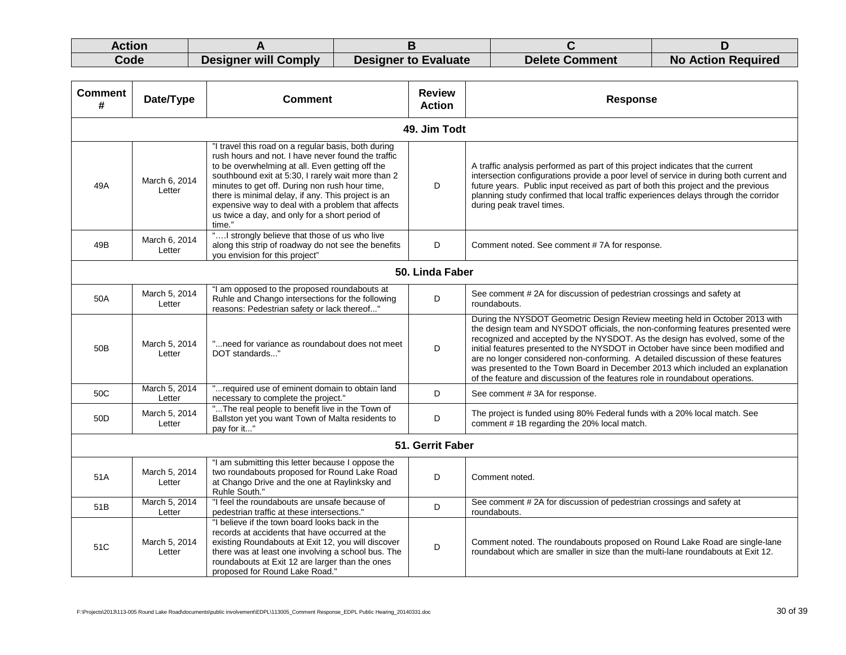| Action |                             |                             |                       |                           |
|--------|-----------------------------|-----------------------------|-----------------------|---------------------------|
| Code   | <b>Designer will Comply</b> | <b>Designer to Evaluate</b> | <b>Delete Comment</b> | <b>No Action Required</b> |

| <b>Comment</b><br># | Date/Type               | <b>Comment</b>                                                                                                                                                                                                                                                                                                                                                                                                                              |                  | <b>Response</b>                                                                                                                                                                                                                                                                                                                                                                                                                                                                                                                                                                            |  |
|---------------------|-------------------------|---------------------------------------------------------------------------------------------------------------------------------------------------------------------------------------------------------------------------------------------------------------------------------------------------------------------------------------------------------------------------------------------------------------------------------------------|------------------|--------------------------------------------------------------------------------------------------------------------------------------------------------------------------------------------------------------------------------------------------------------------------------------------------------------------------------------------------------------------------------------------------------------------------------------------------------------------------------------------------------------------------------------------------------------------------------------------|--|
|                     |                         |                                                                                                                                                                                                                                                                                                                                                                                                                                             | 49. Jim Todt     |                                                                                                                                                                                                                                                                                                                                                                                                                                                                                                                                                                                            |  |
| 49A                 | March 6, 2014<br>Letter | "I travel this road on a regular basis, both during<br>rush hours and not. I have never found the traffic<br>to be overwhelming at all. Even getting off the<br>southbound exit at 5:30, I rarely wait more than 2<br>minutes to get off. During non rush hour time,<br>there is minimal delay, if any. This project is an<br>expensive way to deal with a problem that affects<br>us twice a day, and only for a short period of<br>time." | D                | A traffic analysis performed as part of this project indicates that the current<br>intersection configurations provide a poor level of service in during both current and<br>future years. Public input received as part of both this project and the previous<br>planning study confirmed that local traffic experiences delays through the corridor<br>during peak travel times.                                                                                                                                                                                                         |  |
| 49B                 | March 6, 2014<br>Letter | "! strongly believe that those of us who live<br>along this strip of roadway do not see the benefits<br>you envision for this project"                                                                                                                                                                                                                                                                                                      | D                | Comment noted. See comment #7A for response.                                                                                                                                                                                                                                                                                                                                                                                                                                                                                                                                               |  |
| 50. Linda Faber     |                         |                                                                                                                                                                                                                                                                                                                                                                                                                                             |                  |                                                                                                                                                                                                                                                                                                                                                                                                                                                                                                                                                                                            |  |
| 50A                 | March 5, 2014<br>Letter | "I am opposed to the proposed roundabouts at<br>Ruhle and Chango intersections for the following<br>reasons: Pedestrian safety or lack thereof"                                                                                                                                                                                                                                                                                             | D                | See comment #2A for discussion of pedestrian crossings and safety at<br>roundabouts.                                                                                                                                                                                                                                                                                                                                                                                                                                                                                                       |  |
| 50 <sub>B</sub>     | March 5, 2014<br>Letter | " need for variance as roundabout does not meet<br>DOT standards"                                                                                                                                                                                                                                                                                                                                                                           | D                | During the NYSDOT Geometric Design Review meeting held in October 2013 with<br>the design team and NYSDOT officials, the non-conforming features presented were<br>recognized and accepted by the NYSDOT. As the design has evolved, some of the<br>initial features presented to the NYSDOT in October have since been modified and<br>are no longer considered non-conforming. A detailed discussion of these features<br>was presented to the Town Board in December 2013 which included an explanation<br>of the feature and discussion of the features role in roundabout operations. |  |
| 50C                 | March 5, 2014<br>Letter | "required use of eminent domain to obtain land<br>necessary to complete the project."                                                                                                                                                                                                                                                                                                                                                       | D                | See comment #3A for response.                                                                                                                                                                                                                                                                                                                                                                                                                                                                                                                                                              |  |
| 50 <sub>D</sub>     | March 5, 2014<br>Letter | "The real people to benefit live in the Town of<br>Ballston yet you want Town of Malta residents to<br>pay for it"                                                                                                                                                                                                                                                                                                                          | D                | The project is funded using 80% Federal funds with a 20% local match. See<br>comment #1B regarding the 20% local match.                                                                                                                                                                                                                                                                                                                                                                                                                                                                    |  |
|                     |                         |                                                                                                                                                                                                                                                                                                                                                                                                                                             | 51. Gerrit Faber |                                                                                                                                                                                                                                                                                                                                                                                                                                                                                                                                                                                            |  |
| 51A                 | March 5, 2014<br>Letter | "I am submitting this letter because I oppose the<br>two roundabouts proposed for Round Lake Road<br>at Chango Drive and the one at Raylinksky and<br>Ruhle South."                                                                                                                                                                                                                                                                         | D                | Comment noted.                                                                                                                                                                                                                                                                                                                                                                                                                                                                                                                                                                             |  |
| 51B                 | March 5, 2014<br>Letter | "I feel the roundabouts are unsafe because of<br>pedestrian traffic at these intersections."                                                                                                                                                                                                                                                                                                                                                | D                | See comment #2A for discussion of pedestrian crossings and safety at<br>roundabouts.                                                                                                                                                                                                                                                                                                                                                                                                                                                                                                       |  |
| 51C                 | March 5, 2014<br>Letter | "I believe if the town board looks back in the<br>records at accidents that have occurred at the<br>existing Roundabouts at Exit 12, you will discover<br>there was at least one involving a school bus. The<br>roundabouts at Exit 12 are larger than the ones<br>proposed for Round Lake Road."                                                                                                                                           | D                | Comment noted. The roundabouts proposed on Round Lake Road are single-lane<br>roundabout which are smaller in size than the multi-lane roundabouts at Exit 12.                                                                                                                                                                                                                                                                                                                                                                                                                             |  |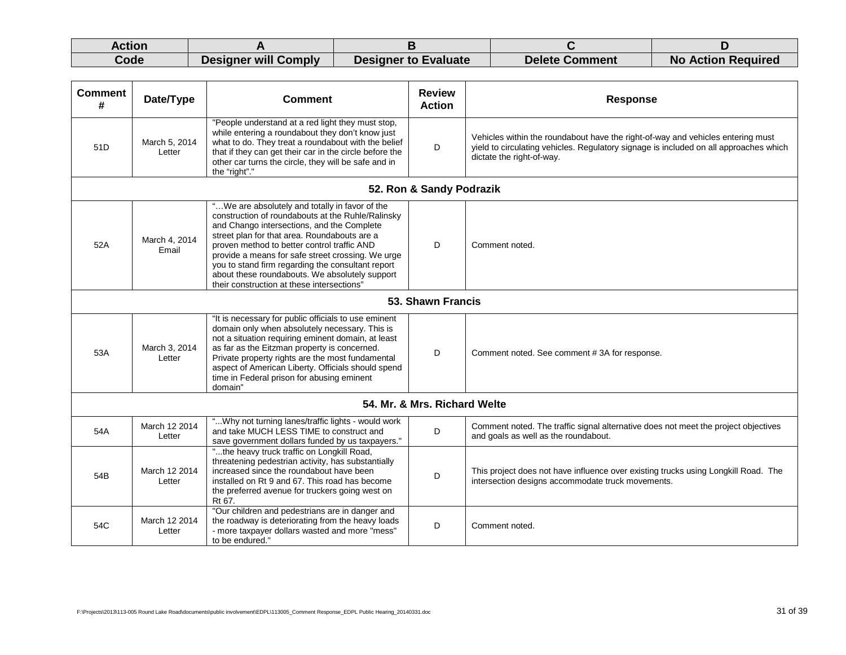| Action |                             |                      |                       |                           |
|--------|-----------------------------|----------------------|-----------------------|---------------------------|
| Code   | <b>Designer will Comply</b> | Designer to Evaluate | <b>Delete Comment</b> | <b>No Action Required</b> |

| <b>Comment</b><br># | Date/Type               | <b>Comment</b>                                                                                                                                                                                                                                                                                                                                                                                                                                              | <b>Review</b><br><b>Action</b> | <b>Response</b>                                                                                                                                                                                       |  |  |
|---------------------|-------------------------|-------------------------------------------------------------------------------------------------------------------------------------------------------------------------------------------------------------------------------------------------------------------------------------------------------------------------------------------------------------------------------------------------------------------------------------------------------------|--------------------------------|-------------------------------------------------------------------------------------------------------------------------------------------------------------------------------------------------------|--|--|
| 51D                 | March 5, 2014<br>Letter | "People understand at a red light they must stop,<br>while entering a roundabout they don't know just<br>what to do. They treat a roundabout with the belief<br>that if they can get their car in the circle before the<br>other car turns the circle, they will be safe and in<br>the "right"."                                                                                                                                                            | D                              | Vehicles within the roundabout have the right-of-way and vehicles entering must<br>yield to circulating vehicles. Regulatory signage is included on all approaches which<br>dictate the right-of-way. |  |  |
|                     |                         |                                                                                                                                                                                                                                                                                                                                                                                                                                                             | 52. Ron & Sandy Podrazik       |                                                                                                                                                                                                       |  |  |
| 52A                 | March 4, 2014<br>Email  | " We are absolutely and totally in favor of the<br>construction of roundabouts at the Ruhle/Ralinsky<br>and Chango intersections, and the Complete<br>street plan for that area. Roundabouts are a<br>proven method to better control traffic AND<br>provide a means for safe street crossing. We urge<br>you to stand firm regarding the consultant report<br>about these roundabouts. We absolutely support<br>their construction at these intersections' | D                              | Comment noted.                                                                                                                                                                                        |  |  |
|                     | 53. Shawn Francis       |                                                                                                                                                                                                                                                                                                                                                                                                                                                             |                                |                                                                                                                                                                                                       |  |  |
| 53A                 | March 3, 2014<br>Letter | "It is necessary for public officials to use eminent<br>domain only when absolutely necessary. This is<br>not a situation requiring eminent domain, at least<br>as far as the Eitzman property is concerned.<br>Private property rights are the most fundamental<br>aspect of American Liberty. Officials should spend<br>time in Federal prison for abusing eminent<br>domain"                                                                             | D                              | Comment noted. See comment #3A for response.                                                                                                                                                          |  |  |
|                     |                         |                                                                                                                                                                                                                                                                                                                                                                                                                                                             | 54. Mr. & Mrs. Richard Welte   |                                                                                                                                                                                                       |  |  |
| 54A                 | March 12 2014<br>Letter | " Why not turning lanes/traffic lights - would work<br>and take MUCH LESS TIME to construct and<br>save government dollars funded by us taxpayers."                                                                                                                                                                                                                                                                                                         | D                              | Comment noted. The traffic signal alternative does not meet the project objectives<br>and goals as well as the roundabout.                                                                            |  |  |
| 54B                 | March 12 2014<br>Letter | "the heavy truck traffic on Longkill Road,<br>threatening pedestrian activity, has substantially<br>increased since the roundabout have been<br>installed on Rt 9 and 67. This road has become<br>the preferred avenue for truckers going west on<br>Rt 67.                                                                                                                                                                                                 | D                              | This project does not have influence over existing trucks using Longkill Road. The<br>intersection designs accommodate truck movements.                                                               |  |  |
| 54C                 | March 12 2014<br>Letter | "Our children and pedestrians are in danger and<br>the roadway is deteriorating from the heavy loads<br>- more taxpayer dollars wasted and more "mess"<br>to be endured."                                                                                                                                                                                                                                                                                   | D                              | Comment noted.                                                                                                                                                                                        |  |  |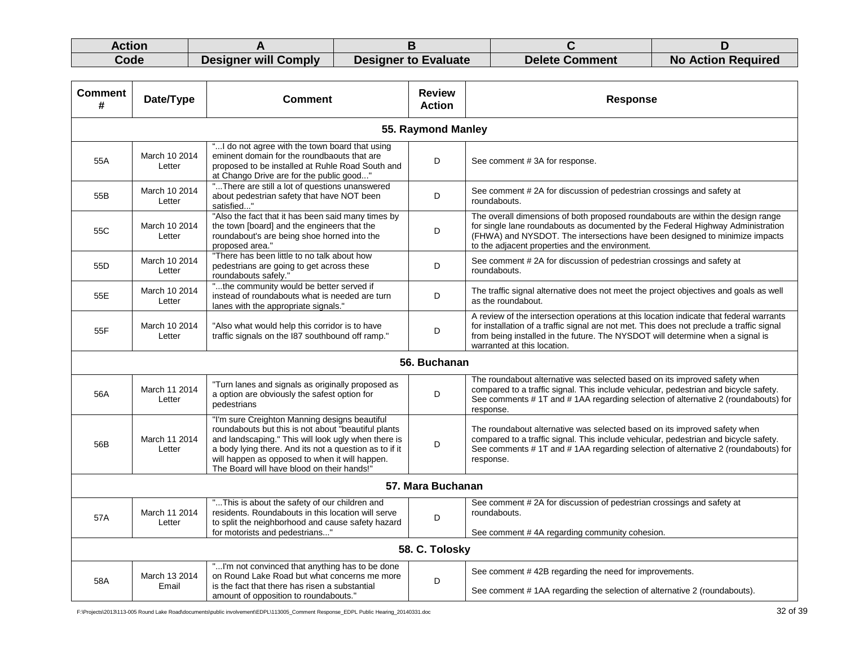| Action |                      |                             |                       |                           |
|--------|----------------------|-----------------------------|-----------------------|---------------------------|
| Code   | Designer will Comply | <b>Designer to Evaluate</b> | <b>Delete Comment</b> | <b>No Action Required</b> |

| <b>Comment</b><br># | Date/Type               | Comment                                                                                                                                                                                                                                                                                                               | <b>Review</b><br><b>Action</b> | <b>Response</b>                                                                                                                                                                                                                                                                                       |
|---------------------|-------------------------|-----------------------------------------------------------------------------------------------------------------------------------------------------------------------------------------------------------------------------------------------------------------------------------------------------------------------|--------------------------------|-------------------------------------------------------------------------------------------------------------------------------------------------------------------------------------------------------------------------------------------------------------------------------------------------------|
|                     |                         |                                                                                                                                                                                                                                                                                                                       | 55. Raymond Manley             |                                                                                                                                                                                                                                                                                                       |
| 55A                 | March 10 2014<br>Letter | " I do not agree with the town board that using<br>eminent domain for the roundbaouts that are<br>proposed to be installed at Ruhle Road South and<br>at Chango Drive are for the public good"                                                                                                                        | D                              | See comment #3A for response.                                                                                                                                                                                                                                                                         |
| 55B                 | March 10 2014<br>Letter | "There are still a lot of questions unanswered<br>about pedestrian safety that have NOT been<br>satisfied"                                                                                                                                                                                                            | D                              | See comment #2A for discussion of pedestrian crossings and safety at<br>roundabouts.                                                                                                                                                                                                                  |
| 55C                 | March 10 2014<br>Letter | "Also the fact that it has been said many times by<br>the town [board] and the engineers that the<br>roundabout's are being shoe horned into the<br>proposed area."                                                                                                                                                   | D                              | The overall dimensions of both proposed roundabouts are within the design range<br>for single lane roundabouts as documented by the Federal Highway Administration<br>(FHWA) and NYSDOT. The intersections have been designed to minimize impacts<br>to the adjacent properties and the environment.  |
| 55 <sub>D</sub>     | March 10 2014<br>Letter | "There has been little to no talk about how<br>pedestrians are going to get across these<br>roundabouts safely."                                                                                                                                                                                                      | D                              | See comment #2A for discussion of pedestrian crossings and safety at<br>roundabouts.                                                                                                                                                                                                                  |
| 55E                 | March 10 2014<br>Letter | "the community would be better served if<br>instead of roundabouts what is needed are turn<br>lanes with the appropriate signals."                                                                                                                                                                                    | D                              | The traffic signal alternative does not meet the project objectives and goals as well<br>as the roundabout.                                                                                                                                                                                           |
| 55F                 | March 10 2014<br>Letter | "Also what would help this corridor is to have<br>traffic signals on the I87 southbound off ramp."                                                                                                                                                                                                                    | D                              | A review of the intersection operations at this location indicate that federal warrants<br>for installation of a traffic signal are not met. This does not preclude a traffic signal<br>from being installed in the future. The NYSDOT will determine when a signal is<br>warranted at this location. |
|                     |                         |                                                                                                                                                                                                                                                                                                                       | 56. Buchanan                   |                                                                                                                                                                                                                                                                                                       |
| 56A                 | March 11 2014<br>Letter | "Turn lanes and signals as originally proposed as<br>a option are obviously the safest option for<br>pedestrians                                                                                                                                                                                                      | D                              | The roundabout alternative was selected based on its improved safety when<br>compared to a traffic signal. This include vehicular, pedestrian and bicycle safety.<br>See comments #1T and #1AA regarding selection of alternative 2 (roundabouts) for<br>response.                                    |
| 56B                 | March 11 2014<br>Letter | "I'm sure Creighton Manning designs beautiful<br>roundabouts but this is not about "beautiful plants<br>and landscaping." This will look ugly when there is<br>a body lying there. And its not a question as to if it<br>will happen as opposed to when it will happen.<br>The Board will have blood on their hands!' | D                              | The roundabout alternative was selected based on its improved safety when<br>compared to a traffic signal. This include vehicular, pedestrian and bicycle safety.<br>See comments # 1T and # 1AA regarding selection of alternative 2 (roundabouts) for<br>response.                                  |
|                     |                         |                                                                                                                                                                                                                                                                                                                       | 57. Mara Buchanan              |                                                                                                                                                                                                                                                                                                       |
| 57A                 | March 11 2014<br>Letter | "This is about the safety of our children and<br>residents. Roundabouts in this location will serve<br>to split the neighborhood and cause safety hazard<br>for motorists and pedestrians"                                                                                                                            | D                              | See comment #2A for discussion of pedestrian crossings and safety at<br>roundabouts.<br>See comment #4A regarding community cohesion.                                                                                                                                                                 |
|                     |                         |                                                                                                                                                                                                                                                                                                                       | 58. C. Tolosky                 |                                                                                                                                                                                                                                                                                                       |
| 58A                 | March 13 2014<br>Email  | "I'm not convinced that anything has to be done<br>on Round Lake Road but what concerns me more<br>is the fact that there has risen a substantial<br>amount of opposition to roundabouts."                                                                                                                            | D                              | See comment #42B regarding the need for improvements.<br>See comment #1AA regarding the selection of alternative 2 (roundabouts).                                                                                                                                                                     |

F:\Projects\2013\113-005 Round Lake Road\documents\public involvement\EDPL\113005\_Comment Response\_EDPL Public Hearing\_20140331.doc 32 of 39 and the sponse\_EDPL Public Hearing\_20140331.doc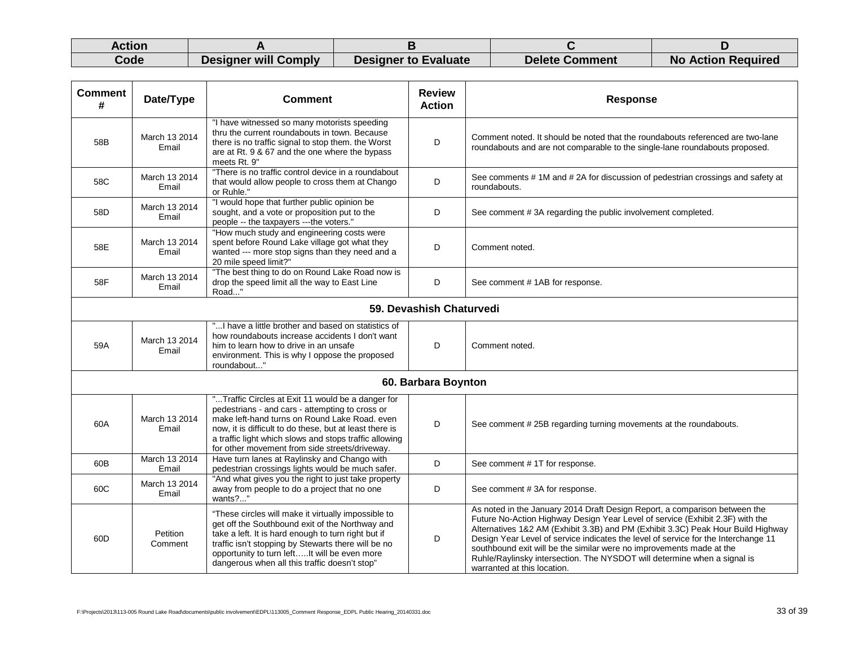| Action |                      |                             |                       |                           |
|--------|----------------------|-----------------------------|-----------------------|---------------------------|
| Code   | Designer will Comply | <b>Designer to Evaluate</b> | <b>Delete Comment</b> | <b>No Action Required</b> |

| <b>Comment</b><br>#      | Date/Type              | <b>Comment</b>                                                                                                                                                                                                                                                                                                               | <b>Review</b><br><b>Action</b> | <b>Response</b>                                                                                                                                                                                                                                                                                                                                                                                                                                                                                                          |  |
|--------------------------|------------------------|------------------------------------------------------------------------------------------------------------------------------------------------------------------------------------------------------------------------------------------------------------------------------------------------------------------------------|--------------------------------|--------------------------------------------------------------------------------------------------------------------------------------------------------------------------------------------------------------------------------------------------------------------------------------------------------------------------------------------------------------------------------------------------------------------------------------------------------------------------------------------------------------------------|--|
| 58B                      | March 13 2014<br>Email | "I have witnessed so many motorists speeding<br>thru the current roundabouts in town. Because<br>there is no traffic signal to stop them. the Worst<br>are at Rt. 9 & 67 and the one where the bypass<br>meets Rt. 9"                                                                                                        | D                              | Comment noted. It should be noted that the roundabouts referenced are two-lane<br>roundabouts and are not comparable to the single-lane roundabouts proposed.                                                                                                                                                                                                                                                                                                                                                            |  |
| 58C                      | March 13 2014<br>Email | "There is no traffic control device in a roundabout<br>that would allow people to cross them at Chango<br>or Ruhle."                                                                                                                                                                                                         | D                              | See comments #1M and #2A for discussion of pedestrian crossings and safety at<br>roundabouts.                                                                                                                                                                                                                                                                                                                                                                                                                            |  |
| 58D                      | March 13 2014<br>Email | "I would hope that further public opinion be<br>sought, and a vote or proposition put to the<br>people -- the taxpayers ---the voters."                                                                                                                                                                                      | D                              | See comment #3A regarding the public involvement completed.                                                                                                                                                                                                                                                                                                                                                                                                                                                              |  |
| 58E                      | March 13 2014<br>Email | "How much study and engineering costs were<br>spent before Round Lake village got what they<br>wanted --- more stop signs than they need and a<br>20 mile speed limit?"                                                                                                                                                      | D                              | Comment noted.                                                                                                                                                                                                                                                                                                                                                                                                                                                                                                           |  |
| 58F                      | March 13 2014<br>Email | "The best thing to do on Round Lake Road now is<br>drop the speed limit all the way to East Line<br>Road"                                                                                                                                                                                                                    | D                              | See comment #1AB for response.                                                                                                                                                                                                                                                                                                                                                                                                                                                                                           |  |
| 59. Devashish Chaturvedi |                        |                                                                                                                                                                                                                                                                                                                              |                                |                                                                                                                                                                                                                                                                                                                                                                                                                                                                                                                          |  |
| 59A                      | March 13 2014<br>Email | "I have a little brother and based on statistics of<br>how roundabouts increase accidents I don't want<br>him to learn how to drive in an unsafe<br>environment. This is why I oppose the proposed<br>roundabout"                                                                                                            | D                              | Comment noted.                                                                                                                                                                                                                                                                                                                                                                                                                                                                                                           |  |
|                          |                        |                                                                                                                                                                                                                                                                                                                              | 60. Barbara Boynton            |                                                                                                                                                                                                                                                                                                                                                                                                                                                                                                                          |  |
| 60A                      | March 13 2014<br>Email | "Traffic Circles at Exit 11 would be a danger for<br>pedestrians - and cars - attempting to cross or<br>make left-hand turns on Round Lake Road, even<br>now, it is difficult to do these, but at least there is<br>a traffic light which slows and stops traffic allowing<br>for other movement from side streets/driveway. | D                              | See comment #25B regarding turning movements at the roundabouts.                                                                                                                                                                                                                                                                                                                                                                                                                                                         |  |
| 60B                      | March 13 2014<br>Email | Have turn lanes at Raylinsky and Chango with<br>pedestrian crossings lights would be much safer.                                                                                                                                                                                                                             | D                              | See comment #1T for response.                                                                                                                                                                                                                                                                                                                                                                                                                                                                                            |  |
| 60C                      | March 13 2014<br>Email | "And what gives you the right to just take property<br>away from people to do a project that no one<br>wants?"                                                                                                                                                                                                               | D                              | See comment #3A for response.                                                                                                                                                                                                                                                                                                                                                                                                                                                                                            |  |
| 60 <sub>D</sub>          | Petition<br>Comment    | "These circles will make it virtually impossible to<br>get off the Southbound exit of the Northway and<br>take a left. It is hard enough to turn right but if<br>traffic isn't stopping by Stewarts there will be no<br>opportunity to turn leftIt will be even more<br>dangerous when all this traffic doesn't stop"        | D                              | As noted in the January 2014 Draft Design Report, a comparison between the<br>Future No-Action Highway Design Year Level of service (Exhibit 2.3F) with the<br>Alternatives 1&2 AM (Exhibit 3.3B) and PM (Exhibit 3.3C) Peak Hour Build Highway<br>Design Year Level of service indicates the level of service for the Interchange 11<br>southbound exit will be the similar were no improvements made at the<br>Ruhle/Raylinsky intersection. The NYSDOT will determine when a signal is<br>warranted at this location. |  |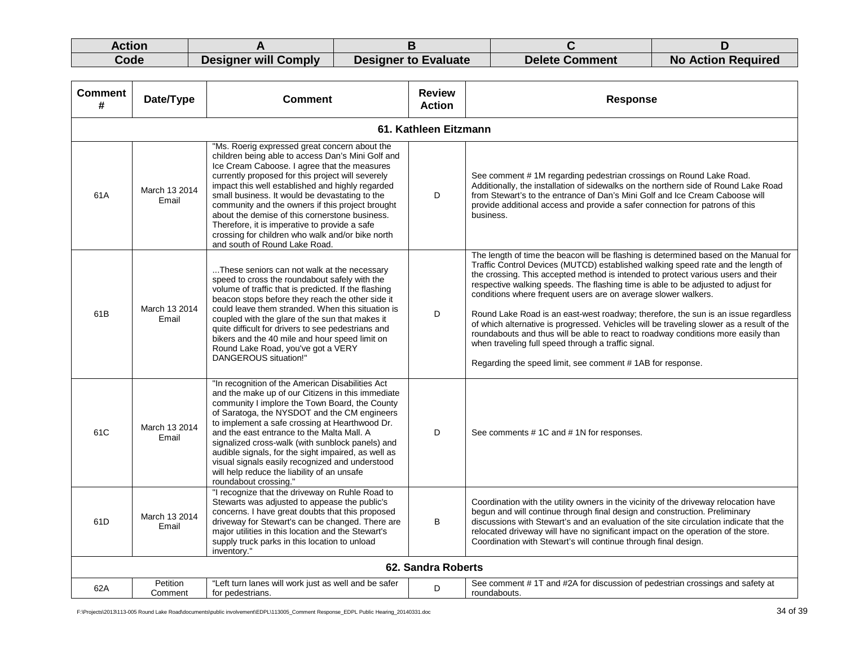| Action |                      |                             |                |                           |
|--------|----------------------|-----------------------------|----------------|---------------------------|
| Code   | Designer will Comply | <b>Designer to Evaluate</b> | Delete Comment | <b>No Action Required</b> |

| <b>Comment</b><br># | Date/Type              | Comment                                                                                                                                                                                                                                                                                                                                                                                                                                                                                                                                                   | <b>Review</b><br><b>Action</b> | <b>Response</b>                                                                                                                                                                                                                                                                                                                                                                                                                                                                                                                                                                                                                                                                                                                                                                                                 |
|---------------------|------------------------|-----------------------------------------------------------------------------------------------------------------------------------------------------------------------------------------------------------------------------------------------------------------------------------------------------------------------------------------------------------------------------------------------------------------------------------------------------------------------------------------------------------------------------------------------------------|--------------------------------|-----------------------------------------------------------------------------------------------------------------------------------------------------------------------------------------------------------------------------------------------------------------------------------------------------------------------------------------------------------------------------------------------------------------------------------------------------------------------------------------------------------------------------------------------------------------------------------------------------------------------------------------------------------------------------------------------------------------------------------------------------------------------------------------------------------------|
|                     |                        |                                                                                                                                                                                                                                                                                                                                                                                                                                                                                                                                                           | 61. Kathleen Eitzmann          |                                                                                                                                                                                                                                                                                                                                                                                                                                                                                                                                                                                                                                                                                                                                                                                                                 |
| 61A                 | March 13 2014<br>Email | "Ms. Roerig expressed great concern about the<br>children being able to access Dan's Mini Golf and<br>Ice Cream Caboose. I agree that the measures<br>currently proposed for this project will severely<br>impact this well established and highly regarded<br>small business. It would be devastating to the<br>community and the owners if this project brought<br>about the demise of this cornerstone business.<br>Therefore, it is imperative to provide a safe<br>crossing for children who walk and/or bike north<br>and south of Round Lake Road. | D                              | See comment #1M regarding pedestrian crossings on Round Lake Road.<br>Additionally, the installation of sidewalks on the northern side of Round Lake Road<br>from Stewart's to the entrance of Dan's Mini Golf and Ice Cream Caboose will<br>provide additional access and provide a safer connection for patrons of this<br>business.                                                                                                                                                                                                                                                                                                                                                                                                                                                                          |
| 61B                 | March 13 2014<br>Email | These seniors can not walk at the necessary<br>speed to cross the roundabout safely with the<br>volume of traffic that is predicted. If the flashing<br>beacon stops before they reach the other side it<br>could leave them stranded. When this situation is<br>coupled with the glare of the sun that makes it<br>quite difficult for drivers to see pedestrians and<br>bikers and the 40 mile and hour speed limit on<br>Round Lake Road, you've got a VERY<br>DANGEROUS situation!"                                                                   | D                              | The length of time the beacon will be flashing is determined based on the Manual for<br>Traffic Control Devices (MUTCD) established walking speed rate and the length of<br>the crossing. This accepted method is intended to protect various users and their<br>respective walking speeds. The flashing time is able to be adjusted to adjust for<br>conditions where frequent users are on average slower walkers.<br>Round Lake Road is an east-west roadway; therefore, the sun is an issue regardless<br>of which alternative is progressed. Vehicles will be traveling slower as a result of the<br>roundabouts and thus will be able to react to roadway conditions more easily than<br>when traveling full speed through a traffic signal.<br>Regarding the speed limit, see comment #1AB for response. |
| 61C                 | March 13 2014<br>Email | "In recognition of the American Disabilities Act<br>and the make up of our Citizens in this immediate<br>community I implore the Town Board, the County<br>of Saratoga, the NYSDOT and the CM engineers<br>to implement a safe crossing at Hearthwood Dr.<br>and the east entrance to the Malta Mall. A<br>signalized cross-walk (with sunblock panels) and<br>audible signals, for the sight impaired, as well as<br>visual signals easily recognized and understood<br>will help reduce the liability of an unsafe<br>roundabout crossing."             | D                              | See comments #1C and #1N for responses.                                                                                                                                                                                                                                                                                                                                                                                                                                                                                                                                                                                                                                                                                                                                                                         |
| 61D                 | March 13 2014<br>Email | "I recognize that the driveway on Ruhle Road to<br>Stewarts was adjusted to appease the public's<br>concerns. I have great doubts that this proposed<br>driveway for Stewart's can be changed. There are<br>major utilities in this location and the Stewart's<br>supply truck parks in this location to unload<br>inventory."                                                                                                                                                                                                                            | B                              | Coordination with the utility owners in the vicinity of the driveway relocation have<br>begun and will continue through final design and construction. Preliminary<br>discussions with Stewart's and an evaluation of the site circulation indicate that the<br>relocated driveway will have no significant impact on the operation of the store.<br>Coordination with Stewart's will continue through final design.                                                                                                                                                                                                                                                                                                                                                                                            |
|                     |                        |                                                                                                                                                                                                                                                                                                                                                                                                                                                                                                                                                           | 62. Sandra Roberts             |                                                                                                                                                                                                                                                                                                                                                                                                                                                                                                                                                                                                                                                                                                                                                                                                                 |
| 62A                 | Petition<br>Comment    | "Left turn lanes will work just as well and be safer<br>for pedestrians.                                                                                                                                                                                                                                                                                                                                                                                                                                                                                  | D                              | See comment #1T and #2A for discussion of pedestrian crossings and safety at<br>roundabouts.                                                                                                                                                                                                                                                                                                                                                                                                                                                                                                                                                                                                                                                                                                                    |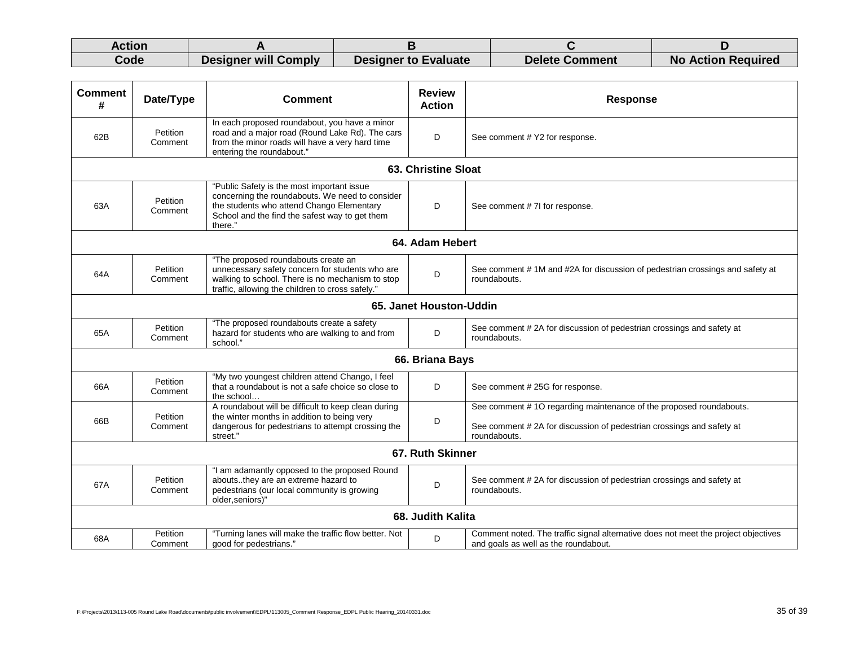| Action |                      |                             |                       |                           |
|--------|----------------------|-----------------------------|-----------------------|---------------------------|
| Code   | Designer will Comply | <b>Designer to Evaluate</b> | <b>Delete Comment</b> | <b>No Action Required</b> |

| <b>Comment</b><br># | Date/Type               | <b>Comment</b>                                                                                                                                                                                          | <b>Review</b><br><b>Action</b> | <b>Response</b>                                                                                                                                            |  |  |  |
|---------------------|-------------------------|---------------------------------------------------------------------------------------------------------------------------------------------------------------------------------------------------------|--------------------------------|------------------------------------------------------------------------------------------------------------------------------------------------------------|--|--|--|
| 62B                 | Petition<br>Comment     | In each proposed roundabout, you have a minor<br>road and a major road (Round Lake Rd). The cars<br>from the minor roads will have a very hard time<br>entering the roundabout."                        | D                              | See comment # Y2 for response.                                                                                                                             |  |  |  |
|                     | 63. Christine Sloat     |                                                                                                                                                                                                         |                                |                                                                                                                                                            |  |  |  |
| 63A                 | Petition<br>Comment     | "Public Safety is the most important issue<br>concerning the roundabouts. We need to consider<br>the students who attend Chango Elementary<br>School and the find the safest way to get them<br>there." | D                              | See comment # 7I for response.                                                                                                                             |  |  |  |
|                     | 64. Adam Hebert         |                                                                                                                                                                                                         |                                |                                                                                                                                                            |  |  |  |
| 64A                 | Petition<br>Comment     | "The proposed roundabouts create an<br>unnecessary safety concern for students who are<br>walking to school. There is no mechanism to stop<br>traffic, allowing the children to cross safely."          | D                              | See comment #1M and #2A for discussion of pedestrian crossings and safety at<br>roundabouts.                                                               |  |  |  |
|                     | 65. Janet Houston-Uddin |                                                                                                                                                                                                         |                                |                                                                                                                                                            |  |  |  |
| 65A                 | Petition<br>Comment     | "The proposed roundabouts create a safety<br>hazard for students who are walking to and from<br>school."                                                                                                | D                              | See comment #2A for discussion of pedestrian crossings and safety at<br>roundabouts.                                                                       |  |  |  |
|                     |                         |                                                                                                                                                                                                         | 66. Briana Bays                |                                                                                                                                                            |  |  |  |
| 66A                 | Petition<br>Comment     | "My two youngest children attend Chango, I feel<br>that a roundabout is not a safe choice so close to<br>the school                                                                                     | D                              | See comment # 25G for response.                                                                                                                            |  |  |  |
| 66B                 | Petition<br>Comment     | A roundabout will be difficult to keep clean during<br>the winter months in addition to being very<br>dangerous for pedestrians to attempt crossing the<br>street."                                     | D                              | See comment #10 regarding maintenance of the proposed roundabouts.<br>See comment #2A for discussion of pedestrian crossings and safety at<br>roundabouts. |  |  |  |
| 67. Ruth Skinner    |                         |                                                                                                                                                                                                         |                                |                                                                                                                                                            |  |  |  |
| 67A                 | Petition<br>Comment     | "I am adamantly opposed to the proposed Round<br>aboutsthey are an extreme hazard to<br>pedestrians (our local community is growing<br>older, seniors)"                                                 | D                              | See comment #2A for discussion of pedestrian crossings and safety at<br>roundabouts.                                                                       |  |  |  |
|                     |                         |                                                                                                                                                                                                         | 68. Judith Kalita              |                                                                                                                                                            |  |  |  |
| 68A                 | Petition<br>Comment     | "Turning lanes will make the traffic flow better. Not<br>good for pedestrians."                                                                                                                         | D                              | Comment noted. The traffic signal alternative does not meet the project objectives<br>and goals as well as the roundabout.                                 |  |  |  |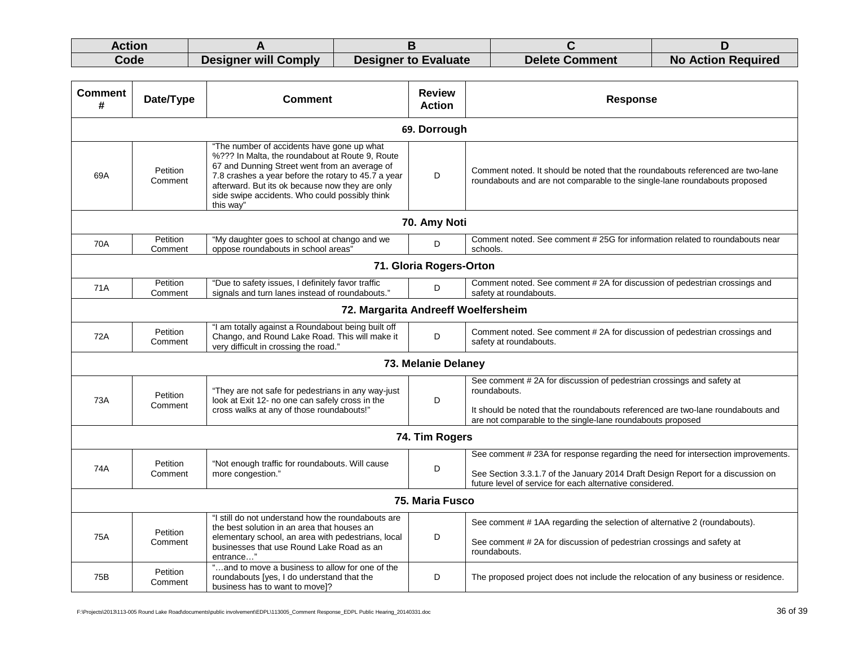| Action |                      |                             |                       |                           |
|--------|----------------------|-----------------------------|-----------------------|---------------------------|
| Code   | Designer will Comply | <b>Designer to Evaluate</b> | <b>Delete Comment</b> | <b>No Action Required</b> |

| <b>Comment</b><br># | Date/Type           | <b>Comment</b>                                                                                                                                                                                                                                                                                                          | <b>Review</b><br><b>Action</b> | <b>Response</b>                                                                                                                                                                                                                       |  |  |
|---------------------|---------------------|-------------------------------------------------------------------------------------------------------------------------------------------------------------------------------------------------------------------------------------------------------------------------------------------------------------------------|--------------------------------|---------------------------------------------------------------------------------------------------------------------------------------------------------------------------------------------------------------------------------------|--|--|
|                     | 69. Dorrough        |                                                                                                                                                                                                                                                                                                                         |                                |                                                                                                                                                                                                                                       |  |  |
| 69A                 | Petition<br>Comment | "The number of accidents have gone up what<br>%??? In Malta, the roundabout at Route 9, Route<br>67 and Dunning Street went from an average of<br>7.8 crashes a year before the rotary to 45.7 a year<br>afterward. But its ok because now they are only<br>side swipe accidents. Who could possibly think<br>this way" | D                              | Comment noted. It should be noted that the roundabouts referenced are two-lane<br>roundabouts and are not comparable to the single-lane roundabouts proposed                                                                          |  |  |
|                     |                     |                                                                                                                                                                                                                                                                                                                         | 70. Amy Noti                   |                                                                                                                                                                                                                                       |  |  |
| 70A                 | Petition<br>Comment | "My daughter goes to school at chango and we<br>oppose roundabouts in school areas"                                                                                                                                                                                                                                     | D                              | Comment noted. See comment #25G for information related to roundabouts near<br>schools.                                                                                                                                               |  |  |
|                     |                     |                                                                                                                                                                                                                                                                                                                         | 71. Gloria Rogers-Orton        |                                                                                                                                                                                                                                       |  |  |
| 71A                 | Petition<br>Comment | "Due to safety issues, I definitely favor traffic<br>signals and turn lanes instead of roundabouts."                                                                                                                                                                                                                    | D                              | Comment noted. See comment #2A for discussion of pedestrian crossings and<br>safety at roundabouts.                                                                                                                                   |  |  |
|                     |                     | 72. Margarita Andreeff Woelfersheim                                                                                                                                                                                                                                                                                     |                                |                                                                                                                                                                                                                                       |  |  |
| 72A                 | Petition<br>Comment | "I am totally against a Roundabout being built off<br>Chango, and Round Lake Road. This will make it<br>very difficult in crossing the road."                                                                                                                                                                           | D                              | Comment noted. See comment #2A for discussion of pedestrian crossings and<br>safety at roundabouts.                                                                                                                                   |  |  |
|                     |                     |                                                                                                                                                                                                                                                                                                                         | 73. Melanie Delaney            |                                                                                                                                                                                                                                       |  |  |
| 73A                 | Petition<br>Comment | "They are not safe for pedestrians in any way-just<br>look at Exit 12- no one can safely cross in the<br>cross walks at any of those roundabouts!"                                                                                                                                                                      | D                              | See comment #2A for discussion of pedestrian crossings and safety at<br>roundabouts.<br>It should be noted that the roundabouts referenced are two-lane roundabouts and<br>are not comparable to the single-lane roundabouts proposed |  |  |
| 74. Tim Rogers      |                     |                                                                                                                                                                                                                                                                                                                         |                                |                                                                                                                                                                                                                                       |  |  |
| 74A                 | Petition<br>Comment | "Not enough traffic for roundabouts. Will cause<br>more congestion."                                                                                                                                                                                                                                                    | D                              | See comment #23A for response regarding the need for intersection improvements.<br>See Section 3.3.1.7 of the January 2014 Draft Design Report for a discussion on<br>future level of service for each alternative considered.        |  |  |
| 75. Maria Fusco     |                     |                                                                                                                                                                                                                                                                                                                         |                                |                                                                                                                                                                                                                                       |  |  |
| 75A                 | Petition<br>Comment | "I still do not understand how the roundabouts are<br>the best solution in an area that houses an<br>elementary school, an area with pedestrians, local<br>businesses that use Round Lake Road as an<br>entrance"                                                                                                       | D                              | See comment #1AA regarding the selection of alternative 2 (roundabouts).<br>See comment #2A for discussion of pedestrian crossings and safety at<br>roundabouts.                                                                      |  |  |
| 75B                 | Petition<br>Comment | "and to move a business to allow for one of the<br>roundabouts [yes, I do understand that the<br>business has to want to movel?                                                                                                                                                                                         | D                              | The proposed project does not include the relocation of any business or residence.                                                                                                                                                    |  |  |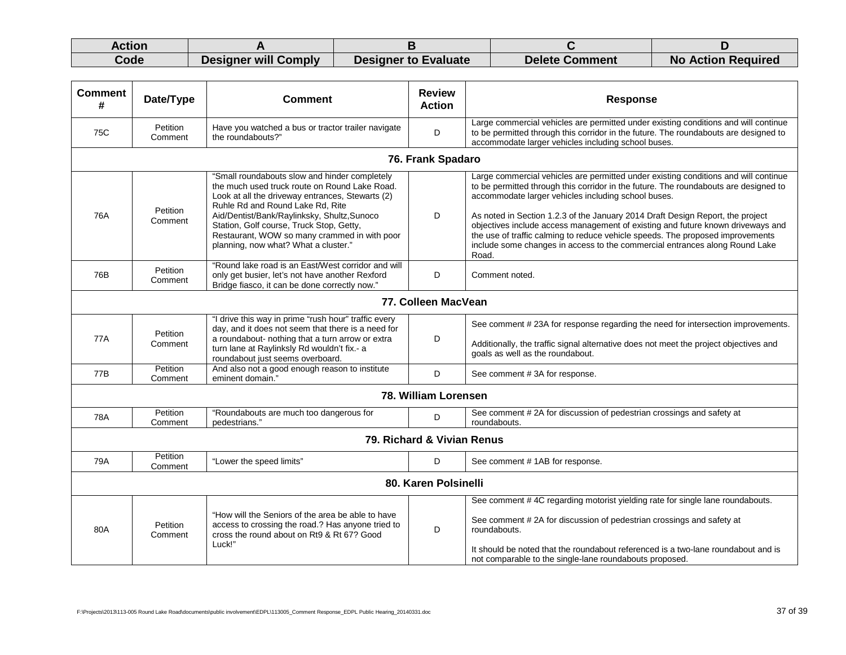| Action |                      |                             |                |                           |
|--------|----------------------|-----------------------------|----------------|---------------------------|
| Code   | Designer will Comply | <b>Designer to Evaluate</b> | Delete Comment | <b>No Action Required</b> |

| <b>Comment</b><br>#        | Date/Type           | <b>Comment</b>                                                                                                                                                                                                                                                                                                                                                            | <b>Review</b><br><b>Action</b> | <b>Response</b>                                                                                                                                                                                                                                                                                                                                                                                                                                                                                                                                                                   |  |
|----------------------------|---------------------|---------------------------------------------------------------------------------------------------------------------------------------------------------------------------------------------------------------------------------------------------------------------------------------------------------------------------------------------------------------------------|--------------------------------|-----------------------------------------------------------------------------------------------------------------------------------------------------------------------------------------------------------------------------------------------------------------------------------------------------------------------------------------------------------------------------------------------------------------------------------------------------------------------------------------------------------------------------------------------------------------------------------|--|
| 75C                        | Petition<br>Comment | Have you watched a bus or tractor trailer navigate<br>the roundabouts?"                                                                                                                                                                                                                                                                                                   | D                              | Large commercial vehicles are permitted under existing conditions and will continue<br>to be permitted through this corridor in the future. The roundabouts are designed to<br>accommodate larger vehicles including school buses.                                                                                                                                                                                                                                                                                                                                                |  |
|                            |                     |                                                                                                                                                                                                                                                                                                                                                                           | 76. Frank Spadaro              |                                                                                                                                                                                                                                                                                                                                                                                                                                                                                                                                                                                   |  |
| 76A                        | Petition<br>Comment | "Small roundabouts slow and hinder completely<br>the much used truck route on Round Lake Road.<br>Look at all the driveway entrances, Stewarts (2)<br>Ruhle Rd and Round Lake Rd, Rite<br>Aid/Dentist/Bank/Raylinksky, Shultz, Sunoco<br>Station, Golf course, Truck Stop, Getty,<br>Restaurant, WOW so many crammed in with poor<br>planning, now what? What a cluster." | D                              | Large commercial vehicles are permitted under existing conditions and will continue<br>to be permitted through this corridor in the future. The roundabouts are designed to<br>accommodate larger vehicles including school buses.<br>As noted in Section 1.2.3 of the January 2014 Draft Design Report, the project<br>objectives include access management of existing and future known driveways and<br>the use of traffic calming to reduce vehicle speeds. The proposed improvements<br>include some changes in access to the commercial entrances along Round Lake<br>Road. |  |
| 76B                        | Petition<br>Comment | "Round lake road is an East/West corridor and will<br>only get busier, let's not have another Rexford<br>Bridge fiasco, it can be done correctly now."                                                                                                                                                                                                                    | D                              | Comment noted.                                                                                                                                                                                                                                                                                                                                                                                                                                                                                                                                                                    |  |
|                            |                     |                                                                                                                                                                                                                                                                                                                                                                           | 77. Colleen MacVean            |                                                                                                                                                                                                                                                                                                                                                                                                                                                                                                                                                                                   |  |
| 77A                        | Petition<br>Comment | "I drive this way in prime "rush hour" traffic every<br>day, and it does not seem that there is a need for<br>a roundabout- nothing that a turn arrow or extra<br>turn lane at Raylinksly Rd wouldn't fix.- a<br>roundabout just seems overboard.                                                                                                                         | D                              | See comment # 23A for response regarding the need for intersection improvements.<br>Additionally, the traffic signal alternative does not meet the project objectives and<br>goals as well as the roundabout.                                                                                                                                                                                                                                                                                                                                                                     |  |
| 77B                        | Petition<br>Comment | And also not a good enough reason to institute<br>eminent domain.'                                                                                                                                                                                                                                                                                                        | D                              | See comment #3A for response.                                                                                                                                                                                                                                                                                                                                                                                                                                                                                                                                                     |  |
| 78. William Lorensen       |                     |                                                                                                                                                                                                                                                                                                                                                                           |                                |                                                                                                                                                                                                                                                                                                                                                                                                                                                                                                                                                                                   |  |
| 78A                        | Petition<br>Comment | "Roundabouts are much too dangerous for<br>pedestrians."                                                                                                                                                                                                                                                                                                                  | D                              | See comment #2A for discussion of pedestrian crossings and safety at<br>roundabouts.                                                                                                                                                                                                                                                                                                                                                                                                                                                                                              |  |
| 79. Richard & Vivian Renus |                     |                                                                                                                                                                                                                                                                                                                                                                           |                                |                                                                                                                                                                                                                                                                                                                                                                                                                                                                                                                                                                                   |  |
| 79A                        | Petition<br>Comment | "Lower the speed limits"                                                                                                                                                                                                                                                                                                                                                  | D                              | See comment #1AB for response.                                                                                                                                                                                                                                                                                                                                                                                                                                                                                                                                                    |  |
| 80. Karen Polsinelli       |                     |                                                                                                                                                                                                                                                                                                                                                                           |                                |                                                                                                                                                                                                                                                                                                                                                                                                                                                                                                                                                                                   |  |
| 80A                        | Petition<br>Comment | "How will the Seniors of the area be able to have<br>access to crossing the road.? Has anyone tried to<br>cross the round about on Rt9 & Rt 67? Good<br>Luck!"                                                                                                                                                                                                            | D                              | See comment #4C regarding motorist yielding rate for single lane roundabouts.<br>See comment #2A for discussion of pedestrian crossings and safety at<br>roundabouts.<br>It should be noted that the roundabout referenced is a two-lane roundabout and is<br>not comparable to the single-lane roundabouts proposed.                                                                                                                                                                                                                                                             |  |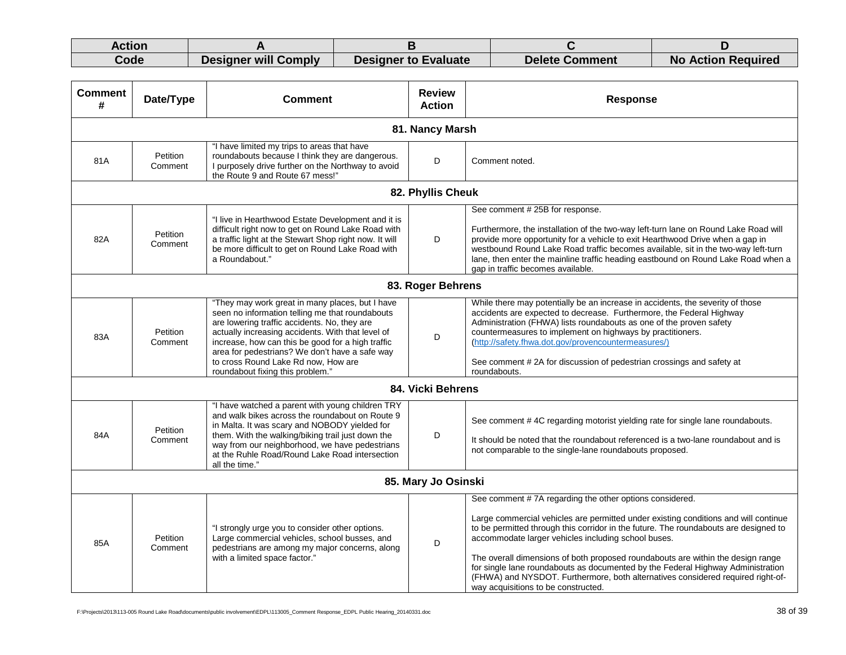| Action |                      |                             |                       |                           |
|--------|----------------------|-----------------------------|-----------------------|---------------------------|
| Code   | Designer will Comply | <b>Designer to Evaluate</b> | <b>Delete Comment</b> | <b>No Action Required</b> |

| <b>Comment</b><br># | Date/Type           | <b>Comment</b>                                                                                                                                                                                                                                                                                                                                                                            | <b>Review</b><br><b>Action</b> | <b>Response</b>                                                                                                                                                                                                                                                                                                                                                                                                                                                                                                                                                                               |  |
|---------------------|---------------------|-------------------------------------------------------------------------------------------------------------------------------------------------------------------------------------------------------------------------------------------------------------------------------------------------------------------------------------------------------------------------------------------|--------------------------------|-----------------------------------------------------------------------------------------------------------------------------------------------------------------------------------------------------------------------------------------------------------------------------------------------------------------------------------------------------------------------------------------------------------------------------------------------------------------------------------------------------------------------------------------------------------------------------------------------|--|
| 81. Nancy Marsh     |                     |                                                                                                                                                                                                                                                                                                                                                                                           |                                |                                                                                                                                                                                                                                                                                                                                                                                                                                                                                                                                                                                               |  |
| 81A                 | Petition<br>Comment | "I have limited my trips to areas that have<br>roundabouts because I think they are dangerous.<br>I purposely drive further on the Northway to avoid<br>the Route 9 and Route 67 mess!"                                                                                                                                                                                                   | D                              | Comment noted.                                                                                                                                                                                                                                                                                                                                                                                                                                                                                                                                                                                |  |
|                     |                     |                                                                                                                                                                                                                                                                                                                                                                                           | 82. Phyllis Cheuk              |                                                                                                                                                                                                                                                                                                                                                                                                                                                                                                                                                                                               |  |
| 82A                 | Petition<br>Comment | "I live in Hearthwood Estate Development and it is<br>difficult right now to get on Round Lake Road with<br>a traffic light at the Stewart Shop right now. It will<br>be more difficult to get on Round Lake Road with<br>a Roundabout."                                                                                                                                                  | D                              | See comment # 25B for response.<br>Furthermore, the installation of the two-way left-turn lane on Round Lake Road will<br>provide more opportunity for a vehicle to exit Hearthwood Drive when a gap in<br>westbound Round Lake Road traffic becomes available, sit in the two-way left-turn<br>lane, then enter the mainline traffic heading eastbound on Round Lake Road when a<br>gap in traffic becomes available.                                                                                                                                                                        |  |
|                     |                     |                                                                                                                                                                                                                                                                                                                                                                                           | 83. Roger Behrens              |                                                                                                                                                                                                                                                                                                                                                                                                                                                                                                                                                                                               |  |
| 83A                 | Petition<br>Comment | "They may work great in many places, but I have<br>seen no information telling me that roundabouts<br>are lowering traffic accidents. No, they are<br>actually increasing accidents. With that level of<br>increase, how can this be good for a high traffic<br>area for pedestrians? We don't have a safe way<br>to cross Round Lake Rd now, How are<br>roundabout fixing this problem." | D                              | While there may potentially be an increase in accidents, the severity of those<br>accidents are expected to decrease. Furthermore, the Federal Highway<br>Administration (FHWA) lists roundabouts as one of the proven safety<br>countermeasures to implement on highways by practitioners.<br>(http://safety.fhwa.dot.gov/provencountermeasures/)<br>See comment #2A for discussion of pedestrian crossings and safety at<br>roundabouts.                                                                                                                                                    |  |
|                     |                     |                                                                                                                                                                                                                                                                                                                                                                                           | 84. Vicki Behrens              |                                                                                                                                                                                                                                                                                                                                                                                                                                                                                                                                                                                               |  |
| 84A                 | Petition<br>Comment | "I have watched a parent with young children TRY<br>and walk bikes across the roundabout on Route 9<br>in Malta. It was scary and NOBODY yielded for<br>them. With the walking/biking trail just down the<br>way from our neighborhood, we have pedestrians<br>at the Ruhle Road/Round Lake Road intersection<br>all the time."                                                           | D                              | See comment #4C regarding motorist yielding rate for single lane roundabouts.<br>It should be noted that the roundabout referenced is a two-lane roundabout and is<br>not comparable to the single-lane roundabouts proposed.                                                                                                                                                                                                                                                                                                                                                                 |  |
| 85. Mary Jo Osinski |                     |                                                                                                                                                                                                                                                                                                                                                                                           |                                |                                                                                                                                                                                                                                                                                                                                                                                                                                                                                                                                                                                               |  |
| 85A                 | Petition<br>Comment | "I strongly urge you to consider other options.<br>Large commercial vehicles, school busses, and<br>pedestrians are among my major concerns, along<br>with a limited space factor."                                                                                                                                                                                                       | D                              | See comment #7A regarding the other options considered.<br>Large commercial vehicles are permitted under existing conditions and will continue<br>to be permitted through this corridor in the future. The roundabouts are designed to<br>accommodate larger vehicles including school buses.<br>The overall dimensions of both proposed roundabouts are within the design range<br>for single lane roundabouts as documented by the Federal Highway Administration<br>(FHWA) and NYSDOT. Furthermore, both alternatives considered required right-of-<br>way acquisitions to be constructed. |  |